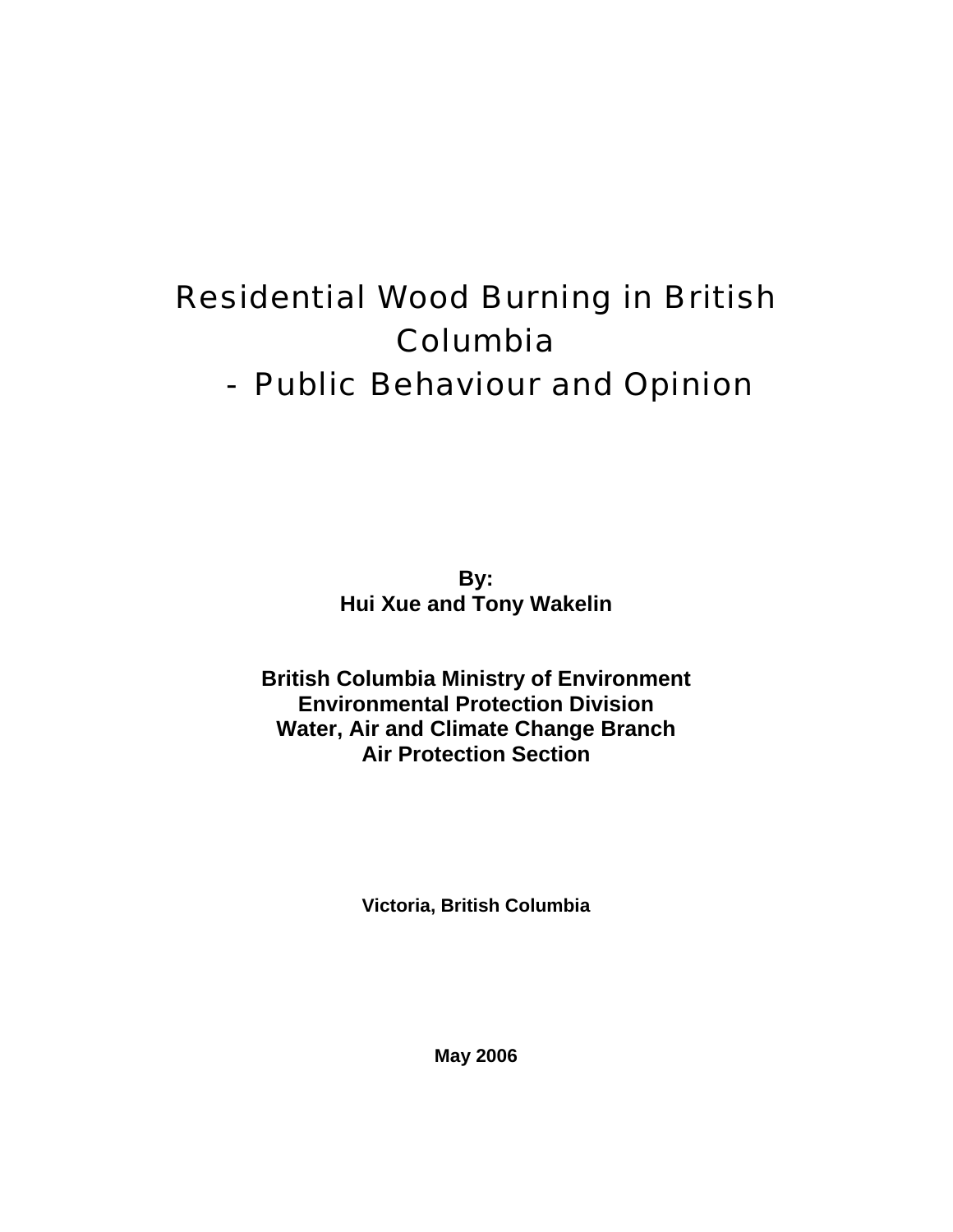# Residential Wood Burning in British Columbia

# - Public Behaviour and Opinion

**By: Hui Xue and Tony Wakelin** 

**British Columbia Ministry of Environment Environmental Protection Division Water, Air and Climate Change Branch Air Protection Section** 

**Victoria, British Columbia** 

**May 2006**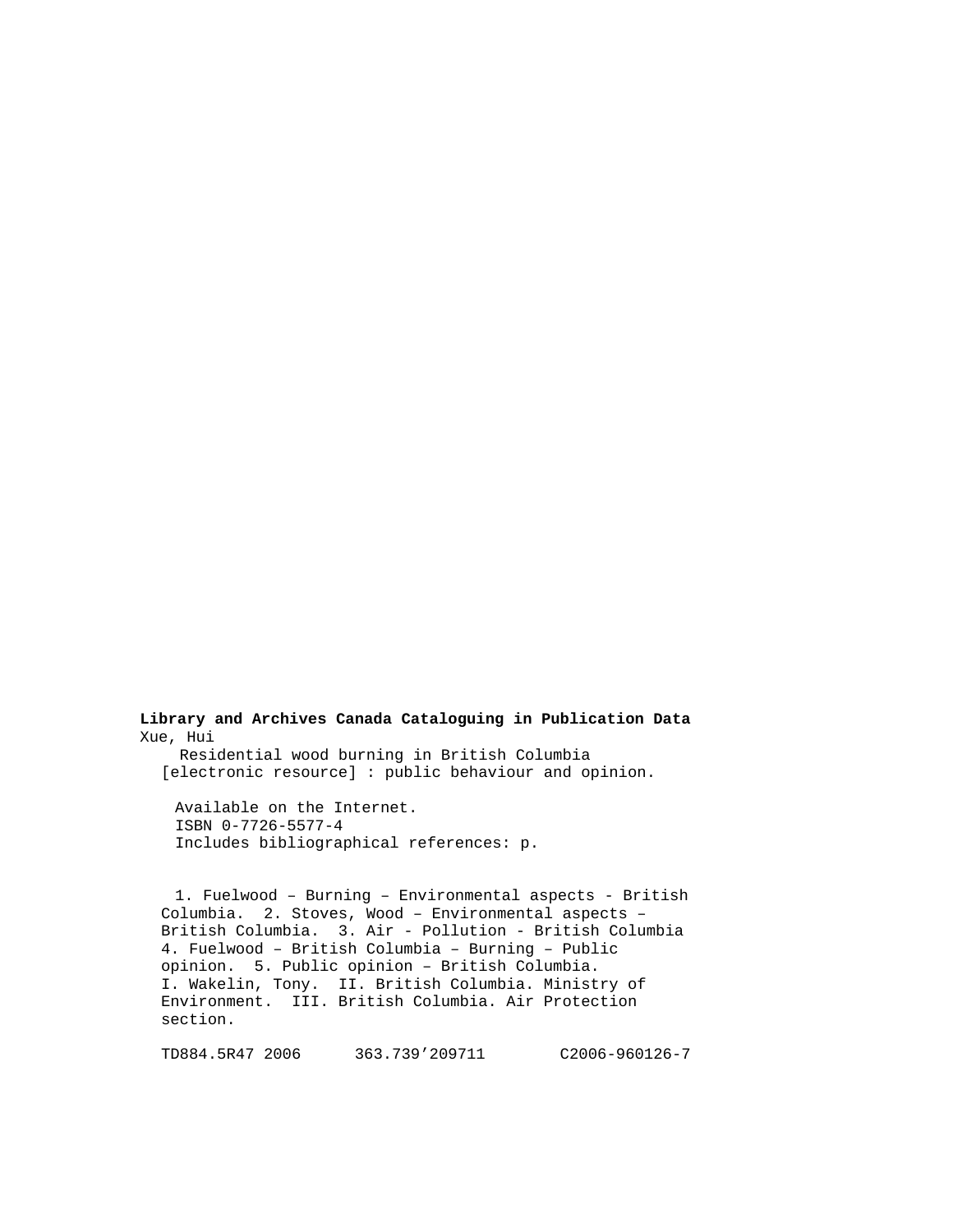**Library and Archives Canada Cataloguing in Publication Data**  Xue, Hui Residential wood burning in British Columbia [electronic resource] : public behaviour and opinion. Available on the Internet. ISBN 0-7726-5577-4 Includes bibliographical references: p.

1. Fuelwood – Burning – Environmental aspects - British Columbia. 2. Stoves, Wood – Environmental aspects – British Columbia. 3. Air - Pollution - British Columbia 4. Fuelwood – British Columbia – Burning – Public opinion. 5. Public opinion – British Columbia. I. Wakelin, Tony. II. British Columbia. Ministry of Environment. III. British Columbia. Air Protection section.

TD884.5R47 2006 363.739'209711 C2006-960126-7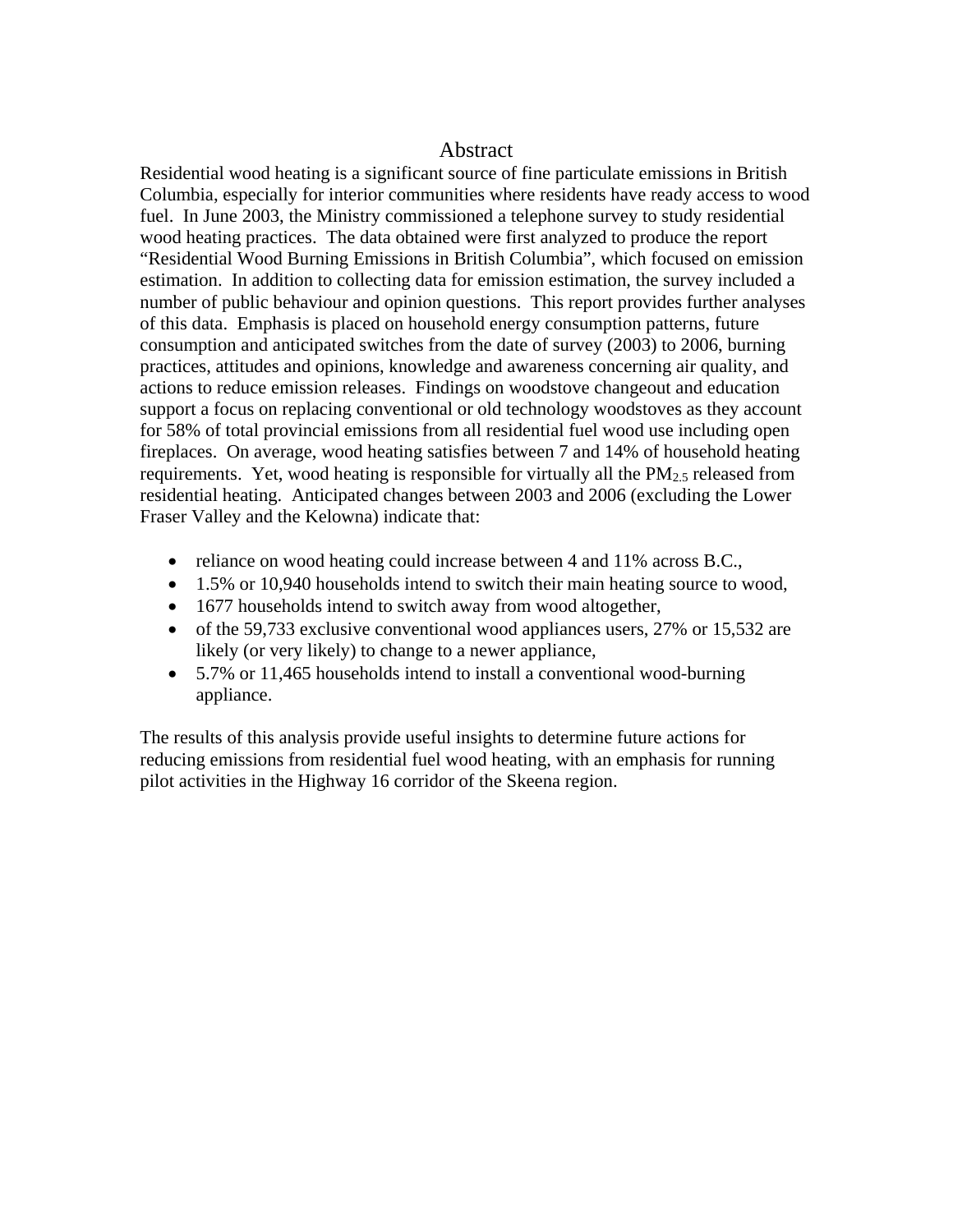#### Abstract

Residential wood heating is a significant source of fine particulate emissions in British Columbia, especially for interior communities where residents have ready access to wood fuel. In June 2003, the Ministry commissioned a telephone survey to study residential wood heating practices. The data obtained were first analyzed to produce the report "Residential Wood Burning Emissions in British Columbia", which focused on emission estimation. In addition to collecting data for emission estimation, the survey included a number of public behaviour and opinion questions. This report provides further analyses of this data. Emphasis is placed on household energy consumption patterns, future consumption and anticipated switches from the date of survey (2003) to 2006, burning practices, attitudes and opinions, knowledge and awareness concerning air quality, and actions to reduce emission releases. Findings on woodstove changeout and education support a focus on replacing conventional or old technology woodstoves as they account for 58% of total provincial emissions from all residential fuel wood use including open fireplaces. On average, wood heating satisfies between 7 and 14% of household heating requirements. Yet, wood heating is responsible for virtually all the  $PM_{2.5}$  released from residential heating. Anticipated changes between 2003 and 2006 (excluding the Lower Fraser Valley and the Kelowna) indicate that:

- reliance on wood heating could increase between 4 and 11% across B.C.,
- 1.5% or 10,940 households intend to switch their main heating source to wood,
- 1677 households intend to switch away from wood altogether,
- of the 59,733 exclusive conventional wood appliances users, 27% or 15,532 are likely (or very likely) to change to a newer appliance,
- 5.7% or 11,465 households intend to install a conventional wood-burning appliance.

The results of this analysis provide useful insights to determine future actions for reducing emissions from residential fuel wood heating, with an emphasis for running pilot activities in the Highway 16 corridor of the Skeena region.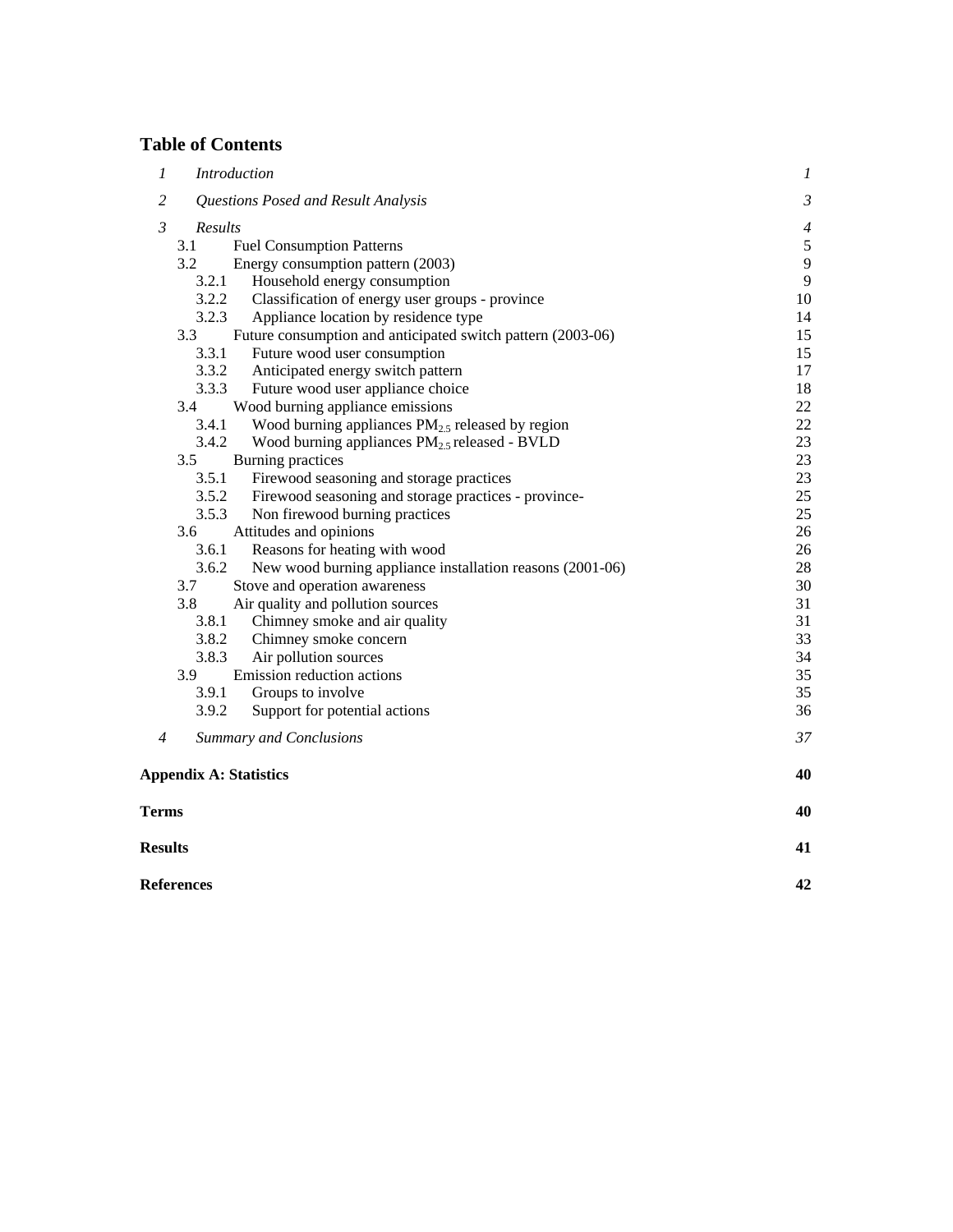### **Table of Contents**

| $\mathfrak{1}$ | <b>Introduction</b>           |                                                             | $\mathcal{I}$  |
|----------------|-------------------------------|-------------------------------------------------------------|----------------|
| $\overline{2}$ |                               | Questions Posed and Result Analysis                         | $\mathfrak{Z}$ |
| $\mathfrak{Z}$ | <b>Results</b>                |                                                             | $\overline{4}$ |
|                | 3.1                           | <b>Fuel Consumption Patterns</b>                            | $\sqrt{5}$     |
|                | 3.2                           | Energy consumption pattern (2003)                           | 9              |
|                | 3.2.1                         | Household energy consumption                                | 9              |
|                | 3.2.2                         | Classification of energy user groups - province             | 10             |
|                | 3.2.3                         | Appliance location by residence type                        | 14             |
|                | 3.3                           | Future consumption and anticipated switch pattern (2003-06) | 15             |
|                | 3.3.1                         | Future wood user consumption                                | 15             |
|                | 3.3.2                         | Anticipated energy switch pattern                           | 17             |
|                | 3.3.3                         | Future wood user appliance choice                           | 18             |
|                | 3.4                           | Wood burning appliance emissions                            | 22             |
|                | 3.4.1                         | Wood burning appliances $PM_{2.5}$ released by region       | 22             |
|                | 3.4.2                         | Wood burning appliances $PM_{2.5}$ released - BVLD          | 23             |
|                | 3.5                           | <b>Burning</b> practices                                    | 23             |
|                | 3.5.1                         | Firewood seasoning and storage practices                    | 23             |
|                |                               | 3.5.2 Firewood seasoning and storage practices - province-  | 25             |
|                | 3.5.3                         | Non firewood burning practices                              | 25             |
|                | 3.6                           | Attitudes and opinions                                      | 26             |
|                | 3.6.1                         | Reasons for heating with wood                               | 26             |
|                | 3.6.2                         | New wood burning appliance installation reasons (2001-06)   | 28             |
|                | 3.7                           | Stove and operation awareness                               | 30             |
|                | 3.8                           | Air quality and pollution sources                           | 31             |
|                | 3.8.1                         | Chimney smoke and air quality                               | 31             |
|                | 3.8.2                         | Chimney smoke concern                                       | 33             |
|                | 3.8.3                         | Air pollution sources                                       | 34             |
|                | 3.9                           | Emission reduction actions                                  | 35             |
|                | 3.9.1<br>3.9.2                | Groups to involve                                           | 35<br>36       |
|                |                               | Support for potential actions                               |                |
| $\overline{4}$ |                               | <b>Summary and Conclusions</b>                              | 37             |
|                | <b>Appendix A: Statistics</b> |                                                             | 40             |
| Terms          |                               |                                                             | 40             |
| <b>Results</b> |                               |                                                             | 41             |
|                | <b>References</b>             |                                                             | 42             |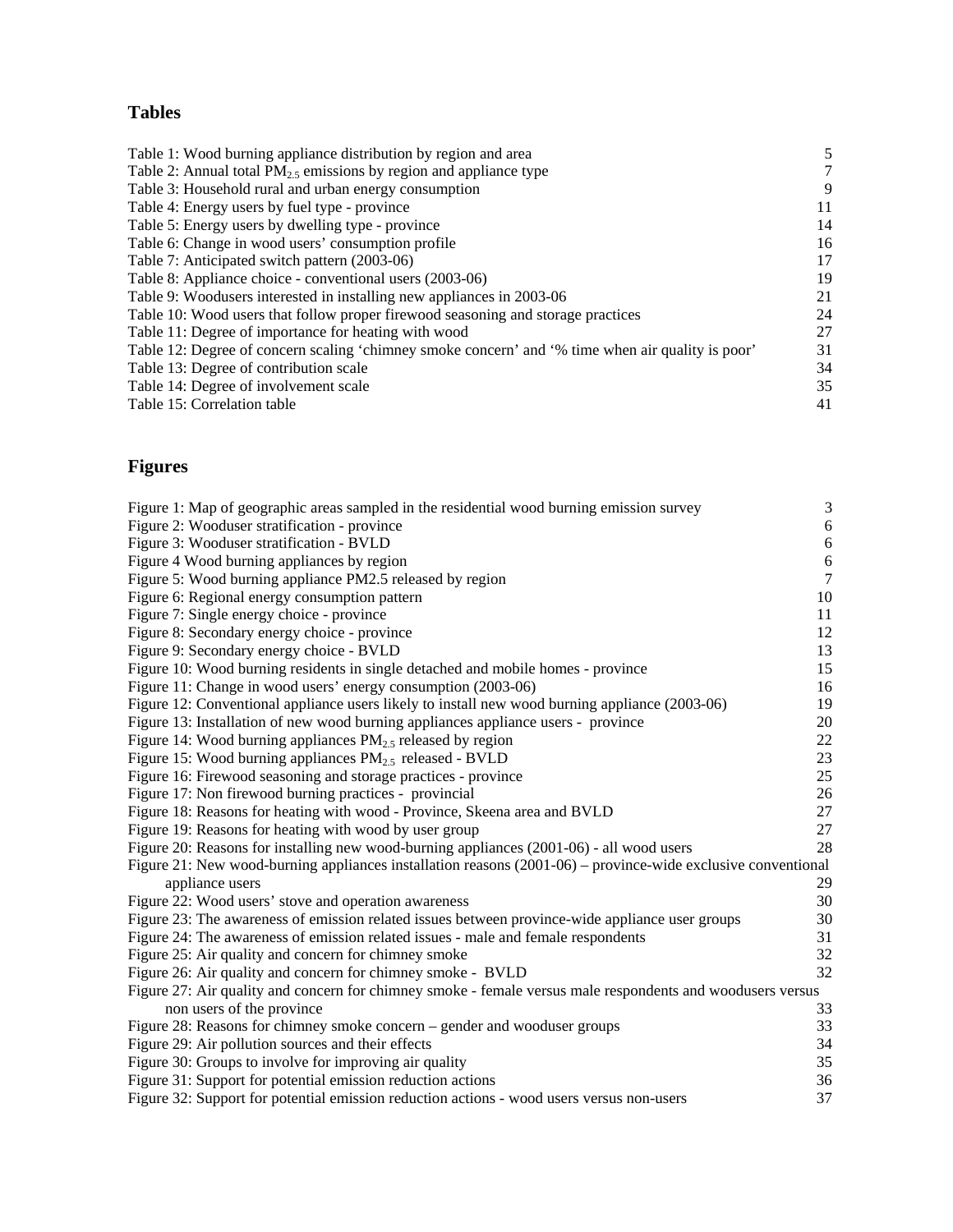### **Tables**

| Table 1: Wood burning appliance distribution by region and area                                         |
|---------------------------------------------------------------------------------------------------------|
| 7<br>Table 2: Annual total $PM_{2.5}$ emissions by region and appliance type                            |
| 9<br>Table 3: Household rural and urban energy consumption                                              |
| Table 4: Energy users by fuel type - province<br>11                                                     |
| Table 5: Energy users by dwelling type - province<br>14                                                 |
| Table 6: Change in wood users' consumption profile<br>16                                                |
| 17<br>Table 7: Anticipated switch pattern (2003-06)                                                     |
| 19<br>Table 8: Appliance choice - conventional users (2003-06)                                          |
| 21<br>Table 9: Woodusers interested in installing new appliances in 2003-06                             |
| Table 10: Wood users that follow proper firewood seasoning and storage practices<br>24                  |
| 27<br>Table 11: Degree of importance for heating with wood                                              |
| Table 12: Degree of concern scaling 'chimney smoke concern' and '% time when air quality is poor'<br>31 |
| 34<br>Table 13: Degree of contribution scale                                                            |
| 35<br>Table 14: Degree of involvement scale                                                             |
| Table 15: Correlation table<br>41                                                                       |

### **Figures**

| Figure 1: Map of geographic areas sampled in the residential wood burning emission survey                    | 3              |
|--------------------------------------------------------------------------------------------------------------|----------------|
| Figure 2: Wooduser stratification - province                                                                 | 6              |
| Figure 3: Wooduser stratification - BVLD                                                                     | $6\,$          |
| Figure 4 Wood burning appliances by region                                                                   | $\sqrt{6}$     |
| Figure 5: Wood burning appliance PM2.5 released by region                                                    | $\overline{7}$ |
| Figure 6: Regional energy consumption pattern                                                                | 10             |
| Figure 7: Single energy choice - province                                                                    | 11             |
| Figure 8: Secondary energy choice - province                                                                 | 12             |
| Figure 9: Secondary energy choice - BVLD                                                                     | 13             |
| Figure 10: Wood burning residents in single detached and mobile homes - province                             | 15             |
| Figure 11: Change in wood users' energy consumption (2003-06)                                                | 16             |
| Figure 12: Conventional appliance users likely to install new wood burning appliance (2003-06)               | 19             |
| Figure 13: Installation of new wood burning appliances appliance users - province                            | 20             |
| Figure 14: Wood burning appliances $PM_{2.5}$ released by region                                             | 22             |
| Figure 15: Wood burning appliances PM <sub>2.5</sub> released - BVLD                                         | 23             |
| Figure 16: Firewood seasoning and storage practices - province                                               | 25             |
| Figure 17: Non firewood burning practices - provincial                                                       | 26             |
| Figure 18: Reasons for heating with wood - Province, Skeena area and BVLD                                    | 27             |
| Figure 19: Reasons for heating with wood by user group                                                       | 27             |
| Figure 20: Reasons for installing new wood-burning appliances (2001-06) - all wood users                     | 28             |
| Figure 21: New wood-burning appliances installation reasons (2001-06) – province-wide exclusive conventional |                |
| appliance users                                                                                              | 29             |
| Figure 22: Wood users' stove and operation awareness                                                         | 30             |
| Figure 23: The awareness of emission related issues between province-wide appliance user groups              | 30             |
| Figure 24: The awareness of emission related issues - male and female respondents                            | 31             |
| Figure 25: Air quality and concern for chimney smoke                                                         | 32             |
| Figure 26: Air quality and concern for chimney smoke - BVLD                                                  | 32             |
| Figure 27: Air quality and concern for chimney smoke - female versus male respondents and woodusers versus   |                |
| non users of the province                                                                                    | 33             |
| Figure 28: Reasons for chimney smoke concern – gender and wooduser groups                                    | 33             |
| Figure 29: Air pollution sources and their effects                                                           | 34             |
| Figure 30: Groups to involve for improving air quality                                                       | 35             |
| Figure 31: Support for potential emission reduction actions                                                  | 36             |
| Figure 32: Support for potential emission reduction actions - wood users versus non-users                    | 37             |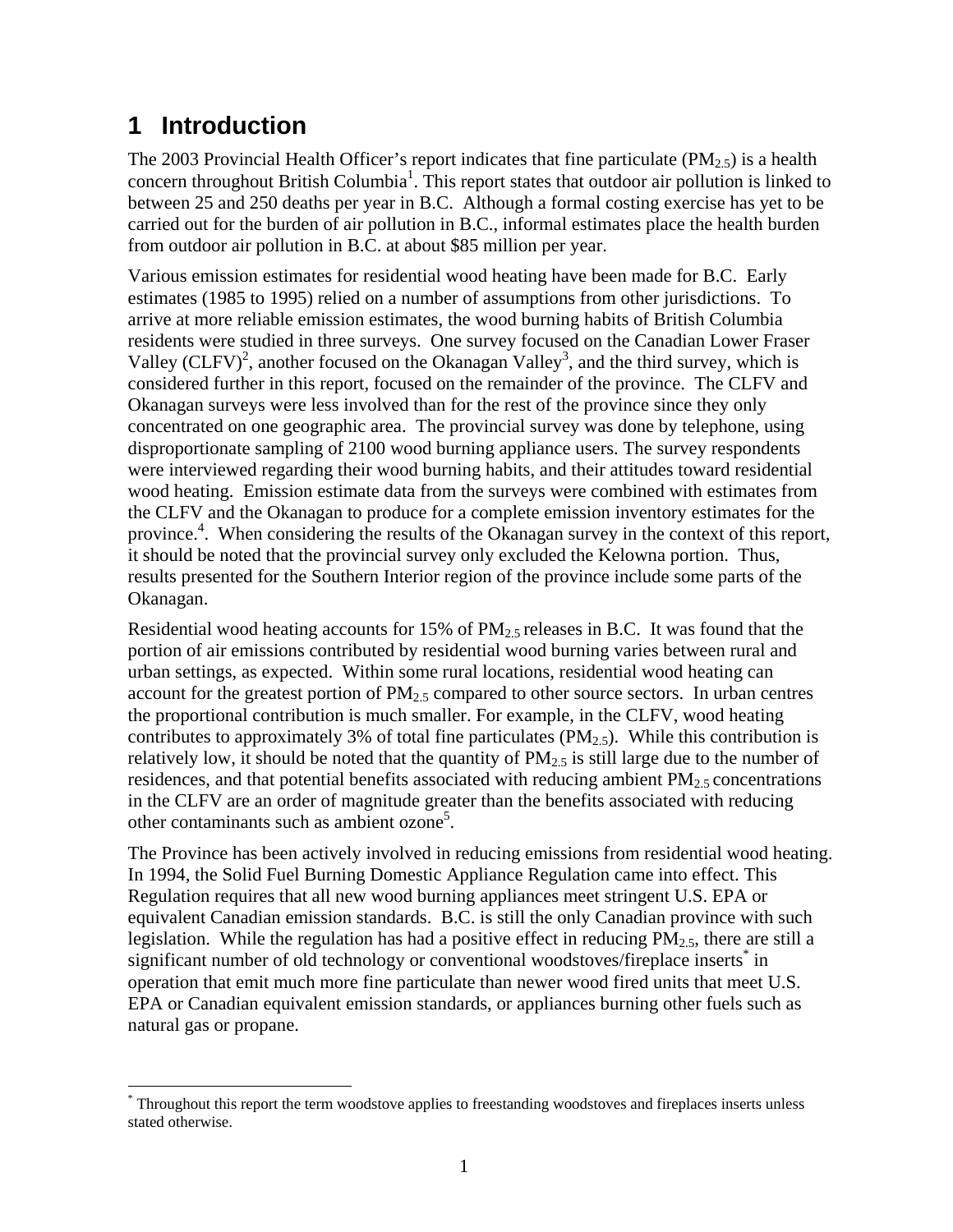# **1 Introduction**

 $\overline{a}$ 

The 2003 Provincial Health Officer's report indicates that fine particulate  $(PM_{2.5})$  is a health concern throughout British Columbia<sup>1</sup>. This report states that outdoor air pollution is linked to between 25 and 250 deaths per year in B.C. Although a formal costing exercise has yet to be carried out for the burden of air pollution in B.C., informal estimates place the health burden from outdoor air pollution in B.C. at about \$85 million per year.

Various emission estimates for residential wood heating have been made for B.C. Early estimates (1985 to 1995) relied on a number of assumptions from other jurisdictions. To arrive at more reliable emission estimates, the wood burning habits of British Columbia residents were studied in three surveys. One survey focused on the Canadian Lower Fraser Valley  $(CLFV)^2$ , another focused on the Okanagan Valley<sup>3</sup>, and the third survey, which is considered further in this report, focused on the remainder of the province. The CLFV and Okanagan surveys were less involved than for the rest of the province since they only concentrated on one geographic area. The provincial survey was done by telephone, using disproportionate sampling of 2100 wood burning appliance users. The survey respondents were interviewed regarding their wood burning habits, and their attitudes toward residential wood heating. Emission estimate data from the surveys were combined with estimates from the CLFV and the Okanagan to produce for a complete emission inventory estimates for the province.<sup>4</sup>. When considering the results of the Okanagan survey in the context of this report, it should be noted that the provincial survey only excluded the Kelowna portion. Thus, results presented for the Southern Interior region of the province include some parts of the Okanagan.

Residential wood heating accounts for 15% of  $PM_{2.5}$  releases in B.C. It was found that the portion of air emissions contributed by residential wood burning varies between rural and urban settings, as expected. Within some rural locations, residential wood heating can account for the greatest portion of  $PM<sub>2.5</sub>$  compared to other source sectors. In urban centres the proportional contribution is much smaller. For example, in the CLFV, wood heating contributes to approximately 3% of total fine particulates  $(PM_{2.5})$ . While this contribution is relatively low, it should be noted that the quantity of  $PM<sub>2.5</sub>$  is still large due to the number of residences, and that potential benefits associated with reducing ambient  $PM_{2.5}$  concentrations in the CLFV are an order of magnitude greater than the benefits associated with reducing other contaminants such as ambient ozone<sup>5</sup>.

The Province has been actively involved in reducing emissions from residential wood heating. In 1994, the Solid Fuel Burning Domestic Appliance Regulation came into effect. This Regulation requires that all new wood burning appliances meet stringent U.S. EPA or equivalent Canadian emission standards. B.C. is still the only Canadian province with such legislation. While the regulation has had a positive effect in reducing  $PM_{2.5}$ , there are still a significant number of old technology or conventional woodstoves/fireplace inserts<sup>\*</sup> in operation that emit much more fine particulate than newer wood fired units that meet U.S. EPA or Canadian equivalent emission standards, or appliances burning other fuels such as natural gas or propane.

<sup>\*</sup> Throughout this report the term woodstove applies to freestanding woodstoves and fireplaces inserts unless stated otherwise.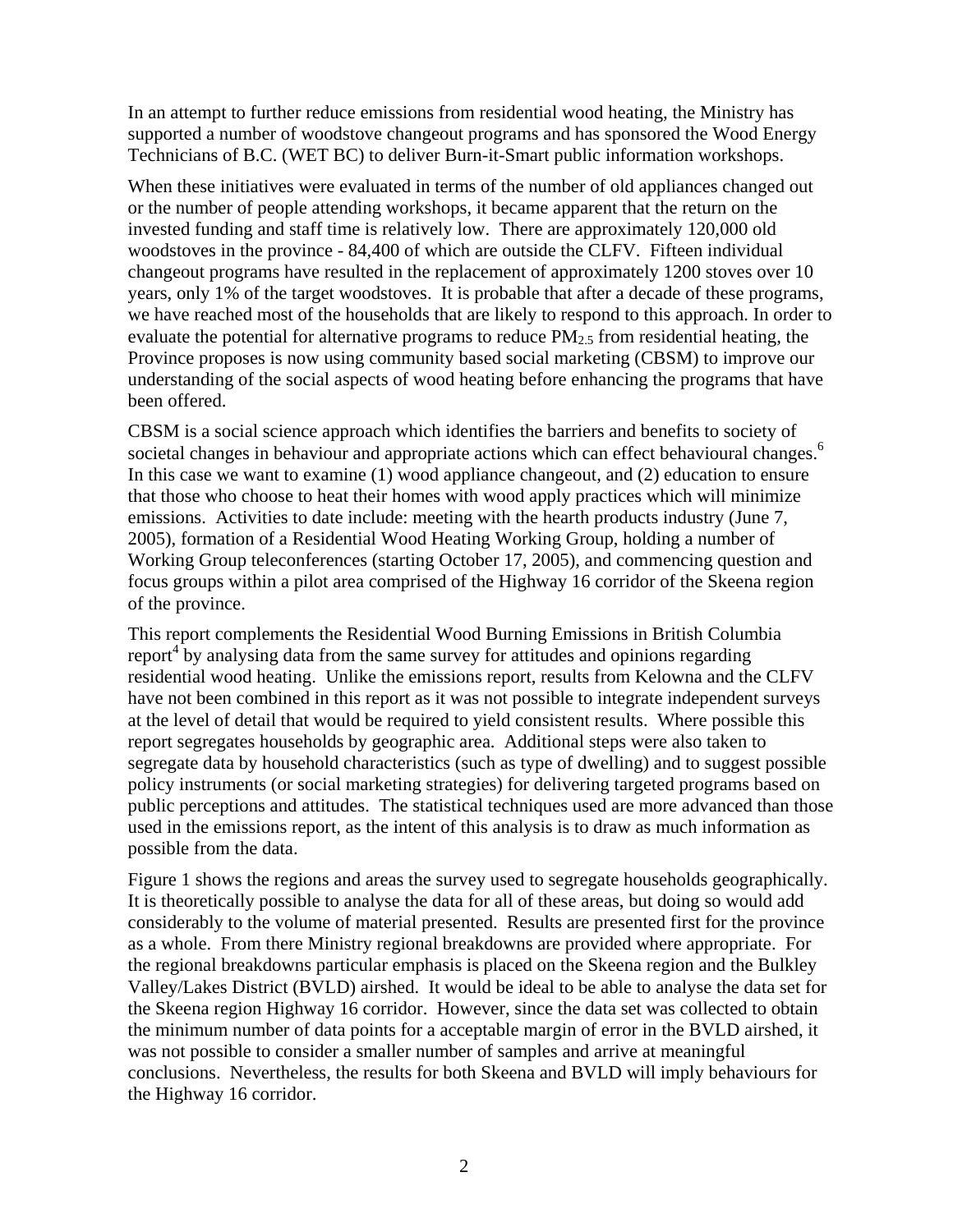In an attempt to further reduce emissions from residential wood heating, the Ministry has supported a number of woodstove changeout programs and has sponsored the Wood Energy Technicians of B.C. (WET BC) to deliver Burn-it-Smart public information workshops.

When these initiatives were evaluated in terms of the number of old appliances changed out or the number of people attending workshops, it became apparent that the return on the invested funding and staff time is relatively low. There are approximately 120,000 old woodstoves in the province - 84,400 of which are outside the CLFV. Fifteen individual changeout programs have resulted in the replacement of approximately 1200 stoves over 10 years, only 1% of the target woodstoves. It is probable that after a decade of these programs, we have reached most of the households that are likely to respond to this approach. In order to evaluate the potential for alternative programs to reduce  $PM_2$ , from residential heating, the Province proposes is now using community based social marketing (CBSM) to improve our understanding of the social aspects of wood heating before enhancing the programs that have been offered.

CBSM is a social science approach which identifies the barriers and benefits to society of societal changes in behaviour and appropriate actions which can effect behavioural changes.<sup>6</sup> In this case we want to examine (1) wood appliance changeout, and (2) education to ensure that those who choose to heat their homes with wood apply practices which will minimize emissions. Activities to date include: meeting with the hearth products industry (June 7, 2005), formation of a Residential Wood Heating Working Group, holding a number of Working Group teleconferences (starting October 17, 2005), and commencing question and focus groups within a pilot area comprised of the Highway 16 corridor of the Skeena region of the province.

This report complements the Residential Wood Burning Emissions in British Columbia report<sup>4</sup> by analysing data from the same survey for attitudes and opinions regarding residential wood heating. Unlike the emissions report, results from Kelowna and the CLFV have not been combined in this report as it was not possible to integrate independent surveys at the level of detail that would be required to yield consistent results. Where possible this report segregates households by geographic area. Additional steps were also taken to segregate data by household characteristics (such as type of dwelling) and to suggest possible policy instruments (or social marketing strategies) for delivering targeted programs based on public perceptions and attitudes. The statistical techniques used are more advanced than those used in the emissions report, as the intent of this analysis is to draw as much information as possible from the data.

Figure 1 shows the regions and areas the survey used to segregate households geographically. It is theoretically possible to analyse the data for all of these areas, but doing so would add considerably to the volume of material presented. Results are presented first for the province as a whole. From there Ministry regional breakdowns are provided where appropriate. For the regional breakdowns particular emphasis is placed on the Skeena region and the Bulkley Valley/Lakes District (BVLD) airshed. It would be ideal to be able to analyse the data set for the Skeena region Highway 16 corridor. However, since the data set was collected to obtain the minimum number of data points for a acceptable margin of error in the BVLD airshed, it was not possible to consider a smaller number of samples and arrive at meaningful conclusions. Nevertheless, the results for both Skeena and BVLD will imply behaviours for the Highway 16 corridor.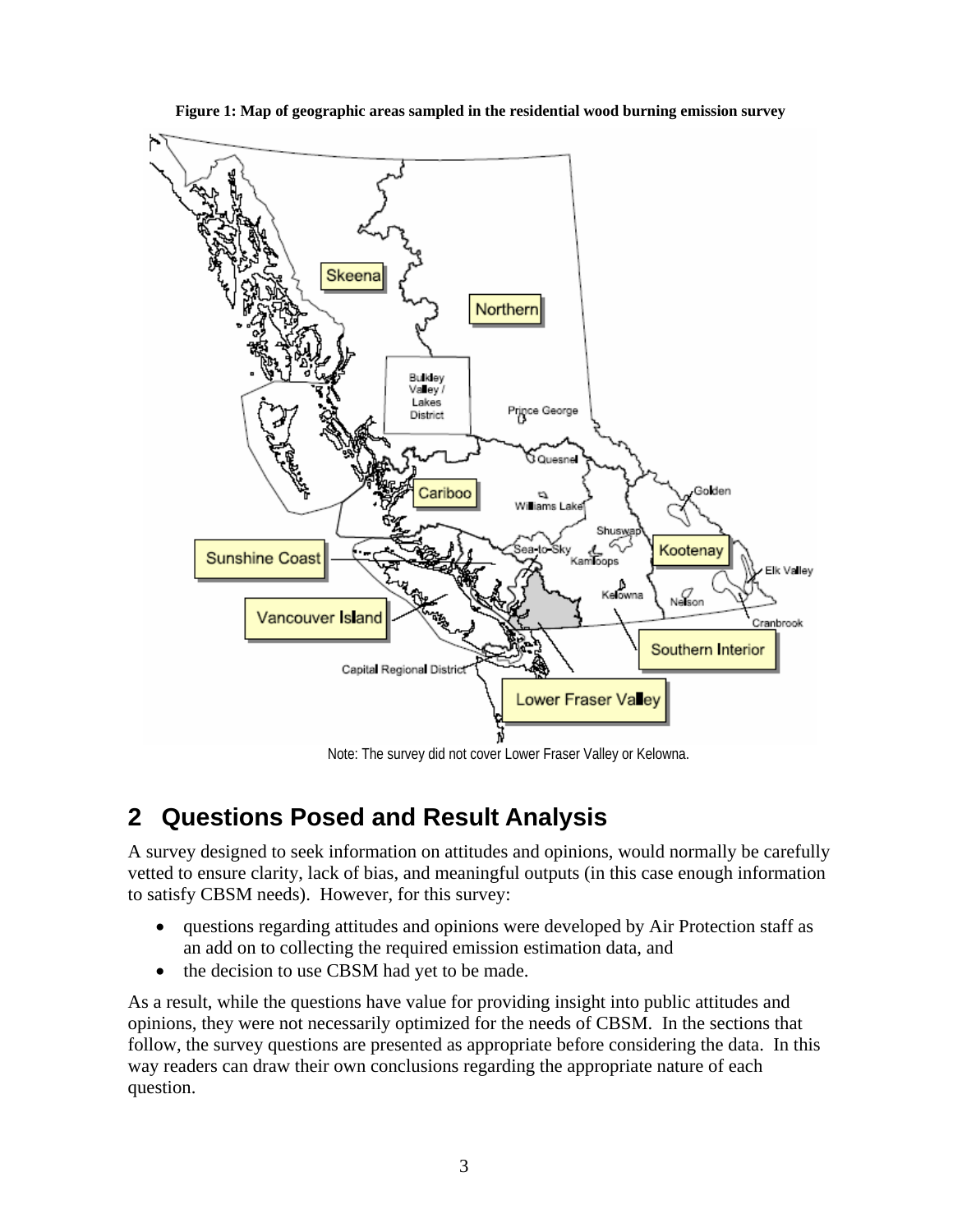

**Figure 1: Map of geographic areas sampled in the residential wood burning emission survey** 

Note: The survey did not cover Lower Fraser Valley or Kelowna.

# **2 Questions Posed and Result Analysis**

A survey designed to seek information on attitudes and opinions, would normally be carefully vetted to ensure clarity, lack of bias, and meaningful outputs (in this case enough information to satisfy CBSM needs). However, for this survey:

- questions regarding attitudes and opinions were developed by Air Protection staff as an add on to collecting the required emission estimation data, and
- the decision to use CBSM had yet to be made.

As a result, while the questions have value for providing insight into public attitudes and opinions, they were not necessarily optimized for the needs of CBSM. In the sections that follow, the survey questions are presented as appropriate before considering the data. In this way readers can draw their own conclusions regarding the appropriate nature of each question.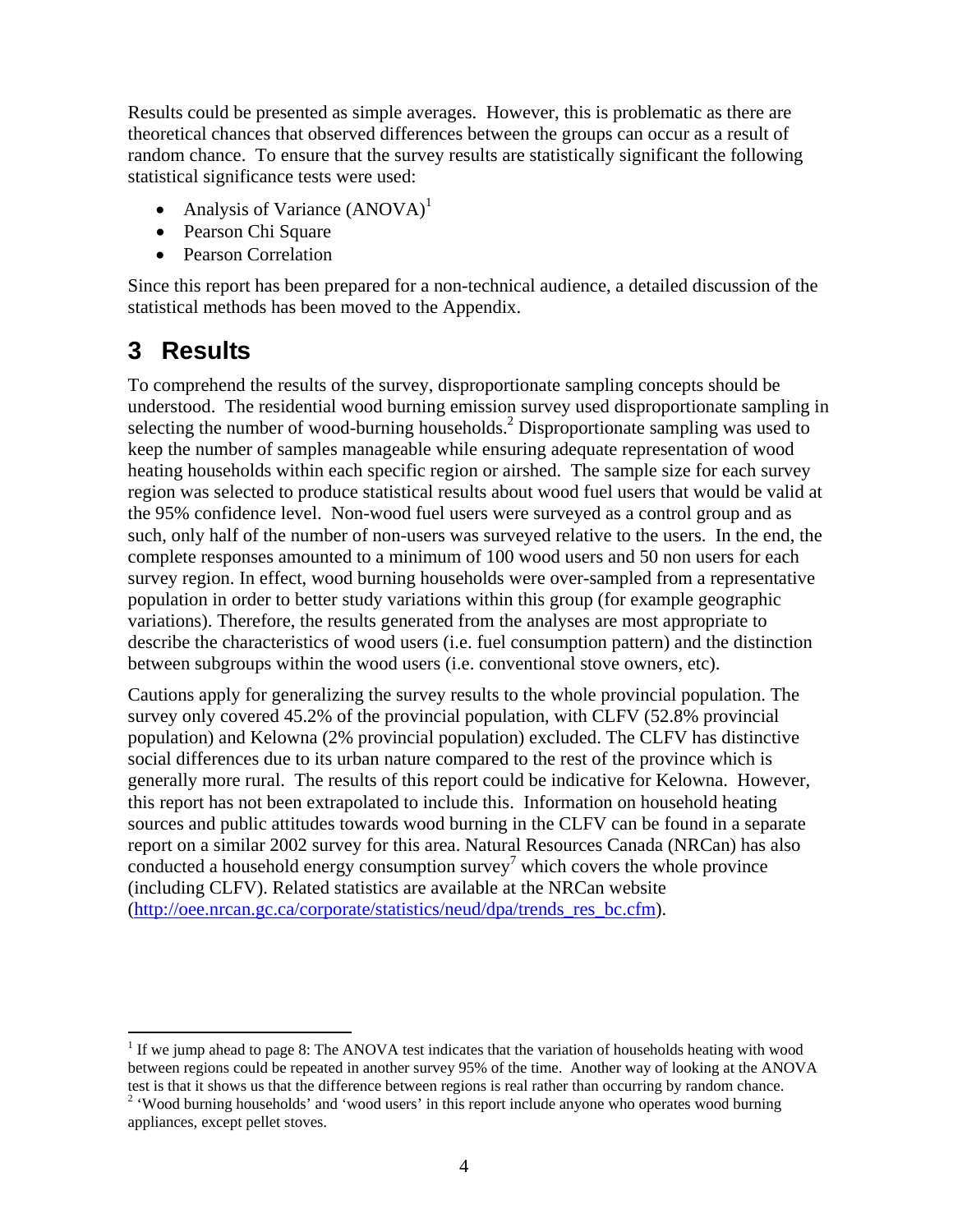Results could be presented as simple averages. However, this is problematic as there are theoretical chances that observed differences between the groups can occur as a result of random chance. To ensure that the survey results are statistically significant the following statistical significance tests were used:

- Analysis of Variance  $(ANOVA)^1$
- Pearson Chi Square
- Pearson Correlation

Since this report has been prepared for a non-technical audience, a detailed discussion of the statistical methods has been moved to the Appendix.

# **3 Results**

 $\overline{a}$ 

To comprehend the results of the survey, disproportionate sampling concepts should be understood. The residential wood burning emission survey used disproportionate sampling in selecting the number of wood-burning households. $2$  Disproportionate sampling was used to keep the number of samples manageable while ensuring adequate representation of wood heating households within each specific region or airshed. The sample size for each survey region was selected to produce statistical results about wood fuel users that would be valid at the 95% confidence level. Non-wood fuel users were surveyed as a control group and as such, only half of the number of non-users was surveyed relative to the users. In the end, the complete responses amounted to a minimum of 100 wood users and 50 non users for each survey region. In effect, wood burning households were over-sampled from a representative population in order to better study variations within this group (for example geographic variations). Therefore, the results generated from the analyses are most appropriate to describe the characteristics of wood users (i.e. fuel consumption pattern) and the distinction between subgroups within the wood users (i.e. conventional stove owners, etc).

Cautions apply for generalizing the survey results to the whole provincial population. The survey only covered 45.2% of the provincial population, with CLFV (52.8% provincial population) and Kelowna (2% provincial population) excluded. The CLFV has distinctive social differences due to its urban nature compared to the rest of the province which is generally more rural. The results of this report could be indicative for Kelowna. However, this report has not been extrapolated to include this. Information on household heating sources and public attitudes towards wood burning in the CLFV can be found in a separate report on a similar 2002 survey for this area. Natural Resources Canada (NRCan) has also conducted a household energy consumption survey<sup>7</sup> which covers the whole province (including CLFV). Related statistics are available at the NRCan website [\(http://oee.nrcan.gc.ca/corporate/statistics/neud/dpa/trends\\_res\\_bc.cfm](http://oee.nrcan.gc.ca/corporate/statistics/neud/dpa/trends_res_bc.cfm)).

 $1$  If we jump ahead to page 8: The ANOVA test indicates that the variation of households heating with wood between regions could be repeated in another survey 95% of the time. Another way of looking at the ANOVA test is that it shows us that the difference between regions is real rather than occurring by random chance. 2

<sup>&</sup>lt;sup>2</sup> 'Wood burning households' and 'wood users' in this report include anyone who operates wood burning appliances, except pellet stoves.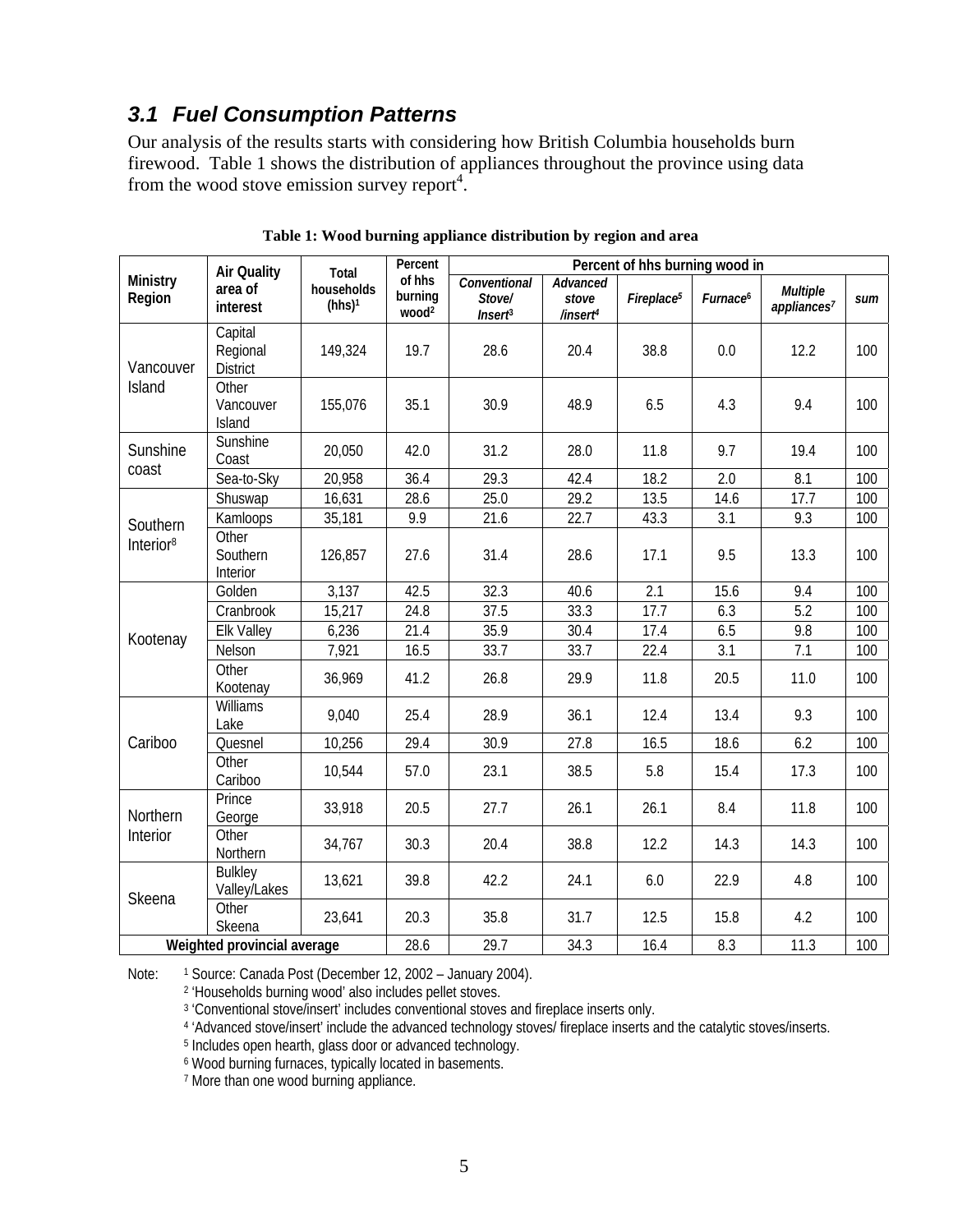# *3.1 Fuel Consumption Patterns*

Our analysis of the results starts with considering how British Columbia households burn firewood. Table 1 shows the distribution of appliances throughout the province using data from the wood stove emission survey report<sup>4</sup>.

|                                   | <b>Air Quality</b>                     | Total                   | Percent                                |                                                                 | Percent of hhs burning wood in            |                        |                      |                                            |     |  |
|-----------------------------------|----------------------------------------|-------------------------|----------------------------------------|-----------------------------------------------------------------|-------------------------------------------|------------------------|----------------------|--------------------------------------------|-----|--|
| Ministry<br>Region                | area of<br>interest                    | households<br>$(hhs)^1$ | of hhs<br>burning<br>wood <sup>2</sup> | Conventional<br>Stove/<br>$Inser$ <sup><math>\beta</math></sup> | Advanced<br>stove<br>/insert <sup>4</sup> | Fireplace <sup>5</sup> | Furnace <sup>6</sup> | <b>Multiple</b><br>appliances <sup>7</sup> | sum |  |
| Vancouver                         | Capital<br>Regional<br><b>District</b> | 149,324                 | 19.7                                   | 28.6                                                            | 20.4                                      | 38.8                   | 0.0                  | 12.2                                       | 100 |  |
| Island                            | Other<br>Vancouver<br>Island           | 155,076                 | 35.1                                   | 30.9                                                            | 48.9                                      | 6.5                    | 4.3                  | 9.4                                        | 100 |  |
| Sunshine                          | Sunshine<br>Coast                      | 20,050                  | 42.0                                   | 31.2                                                            | 28.0                                      | 11.8                   | 9.7                  | 19.4                                       | 100 |  |
| coast                             | Sea-to-Sky                             | 20,958                  | 36.4                                   | 29.3                                                            | 42.4                                      | 18.2                   | 2.0                  | 8.1                                        | 100 |  |
|                                   | Shuswap                                | 16,631                  | 28.6                                   | 25.0                                                            | 29.2                                      | 13.5                   | 14.6                 | 17.7                                       | 100 |  |
| Southern<br>Interior <sup>8</sup> | Kamloops                               | 35,181                  | 9.9                                    | 21.6                                                            | 22.7                                      | 43.3                   | 3.1                  | 9.3                                        | 100 |  |
|                                   | Other<br>Southern<br>Interior          | 126,857                 | 27.6                                   | 31.4                                                            | 28.6                                      | 17.1                   | 9.5                  | 13.3                                       | 100 |  |
|                                   | Golden                                 | 3,137                   | 42.5                                   | 32.3                                                            | 40.6                                      | 2.1                    | 15.6                 | 9.4                                        | 100 |  |
|                                   | Cranbrook                              | 15,217                  | 24.8                                   | 37.5                                                            | 33.3                                      | 17.7                   | 6.3                  | 5.2                                        | 100 |  |
| Kootenay                          | Elk Valley                             | 6,236                   | 21.4                                   | 35.9                                                            | 30.4                                      | 17.4                   | 6.5                  | 9.8                                        | 100 |  |
|                                   | Nelson                                 | 7,921                   | 16.5                                   | 33.7                                                            | 33.7                                      | 22.4                   | 3.1                  | 7.1                                        | 100 |  |
|                                   | Other<br>Kootenay                      | 36,969                  | 41.2                                   | 26.8                                                            | 29.9                                      | 11.8                   | 20.5                 | 11.0                                       | 100 |  |
|                                   | Williams<br>Lake                       | 9,040                   | 25.4                                   | 28.9                                                            | 36.1                                      | 12.4                   | 13.4                 | 9.3                                        | 100 |  |
| Cariboo                           | Quesnel                                | 10,256                  | 29.4                                   | 30.9                                                            | 27.8                                      | 16.5                   | 18.6                 | 6.2                                        | 100 |  |
|                                   | Other<br>Cariboo                       | 10,544                  | 57.0                                   | 23.1                                                            | 38.5                                      | 5.8                    | 15.4                 | 17.3                                       | 100 |  |
| Northern                          | Prince<br>George                       | 33,918                  | 20.5                                   | 27.7                                                            | 26.1                                      | 26.1                   | 8.4                  | 11.8                                       | 100 |  |
| Interior                          | Other<br>Northern                      | 34,767                  | 30.3                                   | 20.4                                                            | 38.8                                      | 12.2                   | 14.3                 | 14.3                                       | 100 |  |
| Skeena                            | <b>Bulkley</b><br>Valley/Lakes         | 13,621                  | 39.8                                   | 42.2                                                            | 24.1                                      | 6.0                    | 22.9                 | 4.8                                        | 100 |  |
|                                   | Other<br>Skeena                        | 23,641                  | 20.3                                   | 35.8                                                            | 31.7                                      | 12.5                   | 15.8                 | 4.2                                        | 100 |  |
|                                   | Weighted provincial average            |                         | 28.6                                   | 29.7                                                            | 34.3                                      | 16.4                   | 8.3                  | 11.3                                       | 100 |  |

**Table 1: Wood burning appliance distribution by region and area** 

Note: 1 Source: Canada Post (December 12, 2002 – January 2004).

2 'Households burning wood' also includes pellet stoves.

<sup>3</sup> 'Conventional stove/insert' includes conventional stoves and fireplace inserts only.

4 'Advanced stove/insert' include the advanced technology stoves/ fireplace inserts and the catalytic stoves/inserts.

5 Includes open hearth, glass door or advanced technology.

6 Wood burning furnaces, typically located in basements.

7 More than one wood burning appliance.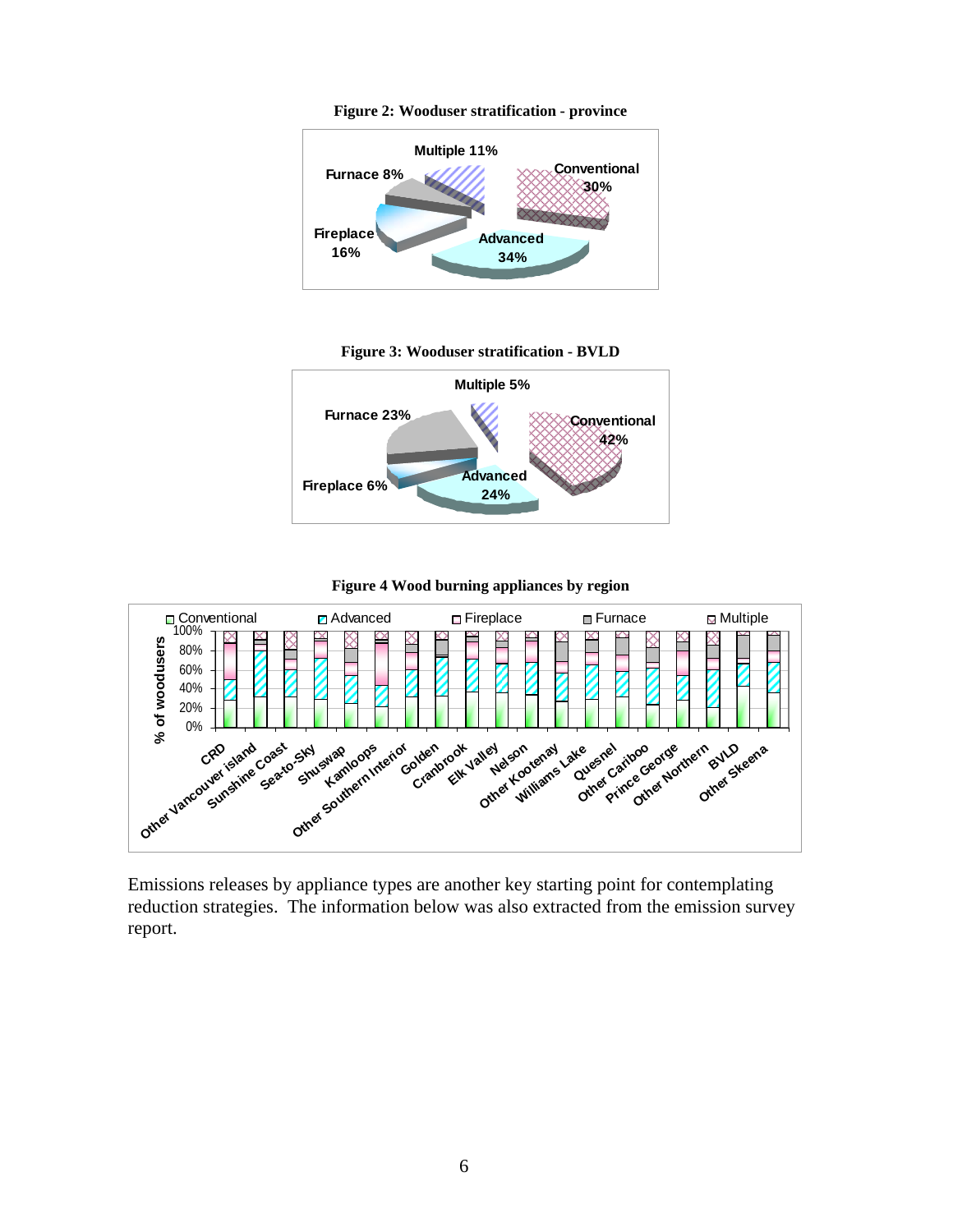

**Figure 2: Wooduser stratification - province** 





**Figure 4 Wood burning appliances by region** 



Emissions releases by appliance types are another key starting point for contemplating reduction strategies. The information below was also extracted from the emission survey report.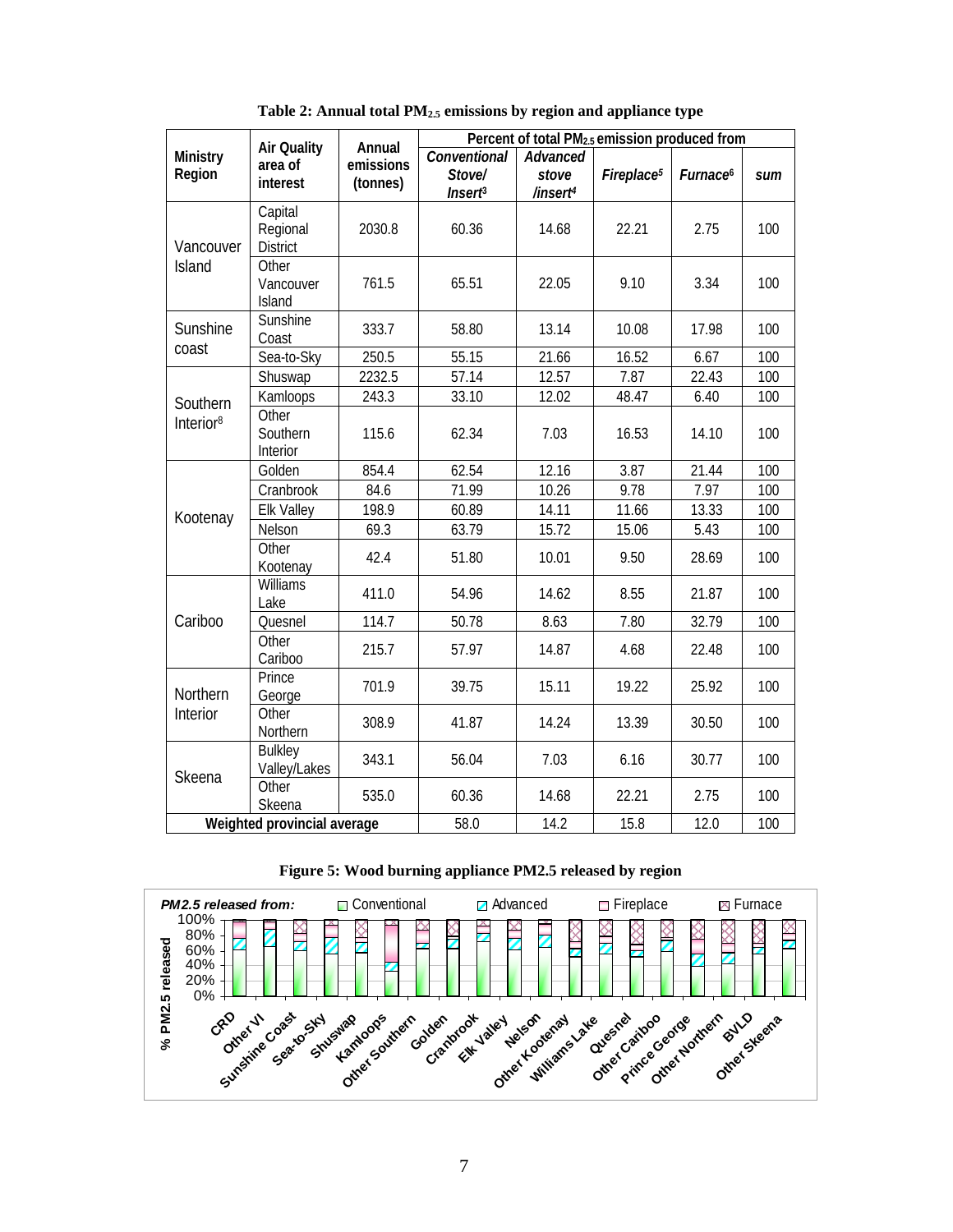|                       | <b>Air Quality</b>                     | Annual                | Percent of total PM <sub>2.5</sub> emission produced from |                                           |                        |                |     |  |
|-----------------------|----------------------------------------|-----------------------|-----------------------------------------------------------|-------------------------------------------|------------------------|----------------|-----|--|
| Ministry<br>Region    | area of<br>interest                    | emissions<br>(tonnes) | Conventional<br>Stove/<br>Insert                          | Advanced<br>stove<br>/insert <sup>4</sup> | Fireplace <sup>5</sup> | <b>Furnace</b> | sum |  |
| Vancouver             | Capital<br>Regional<br><b>District</b> | 2030.8                | 60.36                                                     | 14.68                                     | 22.21                  | 2.75           | 100 |  |
| Island                | Other<br>Vancouver<br>Island           | 761.5                 | 65.51                                                     | 22.05                                     | 9.10                   | 3.34           | 100 |  |
| Sunshine              | Sunshine<br>Coast                      | 333.7                 | 58.80                                                     | 13.14                                     | 10.08                  | 17.98          | 100 |  |
| coast                 | Sea-to-Sky                             | 250.5                 | 55.15                                                     | 21.66                                     | 16.52                  | 6.67           | 100 |  |
|                       | Shuswap                                | 2232.5                | 57.14                                                     | 12.57                                     | 7.87                   | 22.43          | 100 |  |
| Southern              | Kamloops                               | 243.3                 | 33.10                                                     | 12.02                                     | 48.47                  | 6.40           | 100 |  |
| Interior <sup>8</sup> | Other<br>Southern<br>Interior          | 115.6                 | 62.34                                                     | 7.03                                      | 16.53                  | 14.10          | 100 |  |
|                       | Golden                                 | 854.4                 | 62.54                                                     | 12.16                                     | 3.87                   | 21.44          | 100 |  |
|                       | Cranbrook                              | 84.6                  | 71.99                                                     | 10.26                                     | 9.78                   | 7.97           | 100 |  |
| Kootenay              | Elk Valley                             | 198.9                 | 60.89                                                     | 14.11                                     | 11.66                  | 13.33          | 100 |  |
|                       | Nelson                                 | 69.3                  | 63.79                                                     | 15.72                                     | 15.06                  | 5.43           | 100 |  |
|                       | Other<br>Kootenay                      | 42.4                  | 51.80                                                     | 10.01                                     | 9.50                   | 28.69          | 100 |  |
|                       | Williams<br>Lake                       | 411.0                 | 54.96                                                     | 14.62                                     | 8.55                   | 21.87          | 100 |  |
| Cariboo               | Quesnel                                | 114.7                 | 50.78                                                     | 8.63                                      | 7.80                   | 32.79          | 100 |  |
|                       | Other<br>Cariboo                       | 215.7                 | 57.97                                                     | 14.87                                     | 4.68                   | 22.48          | 100 |  |
| Northern              | Prince<br>George                       | 701.9                 | 39.75                                                     | 15.11                                     | 19.22                  | 25.92          | 100 |  |
| Interior              | Other<br>Northern                      | 308.9                 | 41.87                                                     | 14.24                                     | 13.39                  | 30.50          | 100 |  |
| Skeena                | <b>Bulkley</b><br>Valley/Lakes         | 343.1                 | 56.04                                                     | 7.03                                      | 6.16                   | 30.77          | 100 |  |
|                       | Other<br>Skeena                        | 535.0                 | 60.36                                                     | 14.68                                     | 22.21                  | 2.75           | 100 |  |
|                       | Weighted provincial average            |                       | 58.0                                                      | 14.2                                      | 15.8                   | 12.0           | 100 |  |

Table 2: Annual total PM<sub>2.5</sub> emissions by region and appliance type

#### **Figure 5: Wood burning appliance PM2.5 released by region**

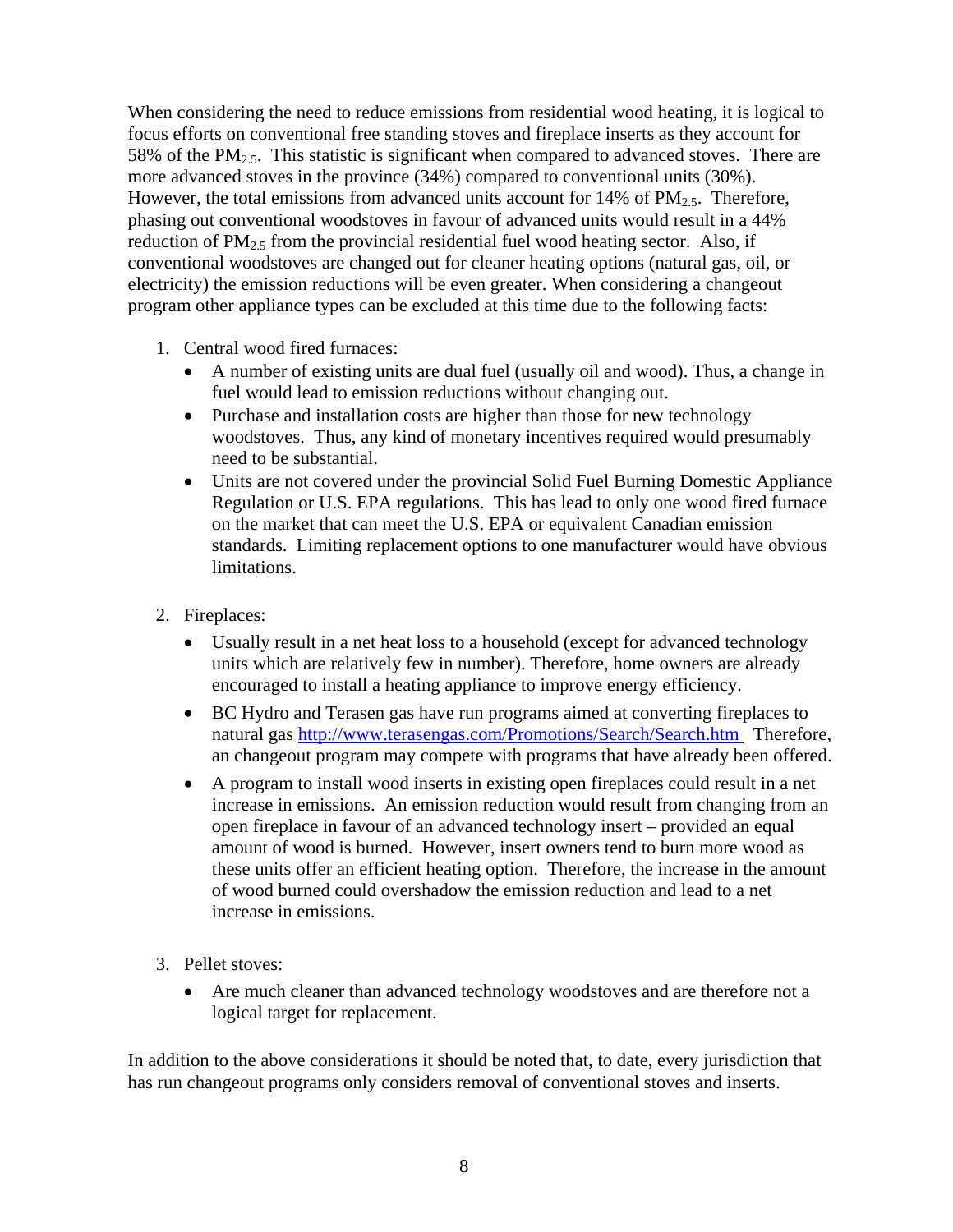When considering the need to reduce emissions from residential wood heating, it is logical to focus efforts on conventional free standing stoves and fireplace inserts as they account for 58% of the PM<sub>2.5</sub>. This statistic is significant when compared to advanced stoves. There are more advanced stoves in the province (34%) compared to conventional units (30%). However, the total emissions from advanced units account for  $14\%$  of PM<sub>2.5</sub>. Therefore, phasing out conventional woodstoves in favour of advanced units would result in a 44% reduction of  $PM<sub>2.5</sub>$  from the provincial residential fuel wood heating sector. Also, if conventional woodstoves are changed out for cleaner heating options (natural gas, oil, or electricity) the emission reductions will be even greater. When considering a changeout program other appliance types can be excluded at this time due to the following facts:

- 1. Central wood fired furnaces:
	- A number of existing units are dual fuel (usually oil and wood). Thus, a change in fuel would lead to emission reductions without changing out.
	- Purchase and installation costs are higher than those for new technology woodstoves. Thus, any kind of monetary incentives required would presumably need to be substantial.
	- Units are not covered under the provincial Solid Fuel Burning Domestic Appliance Regulation or U.S. EPA regulations. This has lead to only one wood fired furnace on the market that can meet the U.S. EPA or equivalent Canadian emission standards. Limiting replacement options to one manufacturer would have obvious limitations.
- 2. Fireplaces:
	- Usually result in a net heat loss to a household (except for advanced technology units which are relatively few in number). Therefore, home owners are already encouraged to install a heating appliance to improve energy efficiency.
	- BC Hydro and Terasen gas have run programs aimed at converting fireplaces to natural gas [http://www.terasengas.com/Promotions/Search/Search.htm T](http://www.terasengas.com/Promotions/Search/Search.htm)herefore, an changeout program may compete with programs that have already been offered.
	- A program to install wood inserts in existing open fireplaces could result in a net increase in emissions. An emission reduction would result from changing from an open fireplace in favour of an advanced technology insert – provided an equal amount of wood is burned. However, insert owners tend to burn more wood as these units offer an efficient heating option. Therefore, the increase in the amount of wood burned could overshadow the emission reduction and lead to a net increase in emissions.
- 3. Pellet stoves:
	- Are much cleaner than advanced technology woodstoves and are therefore not a logical target for replacement.

In addition to the above considerations it should be noted that, to date, every jurisdiction that has run changeout programs only considers removal of conventional stoves and inserts.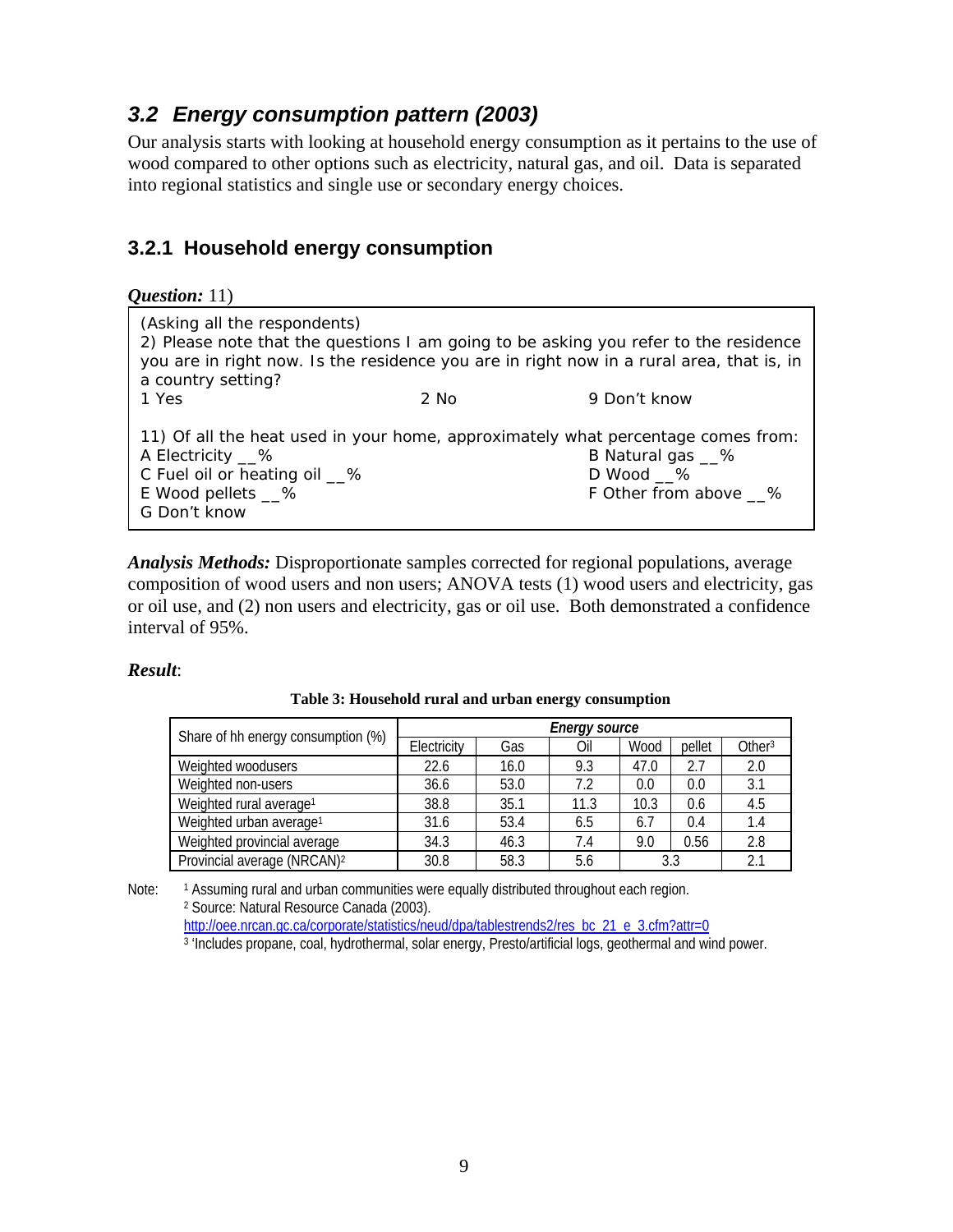### *3.2 Energy consumption pattern (2003)*

Our analysis starts with looking at household energy consumption as it pertains to the use of wood compared to other options such as electricity, natural gas, and oil. Data is separated into regional statistics and single use or secondary energy choices.

### **3.2.1 Household energy consumption**

| <i>Question:</i> $11)$                                                                 |        |                                                                                                                                                                                  |
|----------------------------------------------------------------------------------------|--------|----------------------------------------------------------------------------------------------------------------------------------------------------------------------------------|
| (Asking all the respondents)<br>a country setting?                                     |        | 2) Please note that the questions I am going to be asking you refer to the residence<br>you are in right now. Is the residence you are in right now in a rural area, that is, in |
| 1 Yes                                                                                  | $2$ No | 9 Don't know                                                                                                                                                                     |
| A Electricity 2%<br>C Fuel oil or heating oil __%<br>E Wood pellets 2%<br>G Don't know |        | 11) Of all the heat used in your home, approximately what percentage comes from:<br>B Natural gas 2%<br>D Wood __%<br>F Other from above 6                                       |

*Analysis Methods:* Disproportionate samples corrected for regional populations, average composition of wood users and non users; ANOVA tests (1) wood users and electricity, gas or oil use, and (2) non users and electricity, gas or oil use. Both demonstrated a confidence interval of 95%.

#### *Result*:

| Share of hh energy consumption (%)      | <b>Energy source</b> |      |      |      |        |           |  |  |
|-----------------------------------------|----------------------|------|------|------|--------|-----------|--|--|
|                                         | Electricity          | Gas  | Oil  | Wood | pellet | Other $3$ |  |  |
| Weighted woodusers                      | 22.6                 | 16.0 | 9.3  | 47.0 | 2.7    | 2.0       |  |  |
| Weighted non-users                      | 36.6                 | 53.0 | 7.2  | 0.0  | 0.0    | 3.1       |  |  |
| Weighted rural average <sup>1</sup>     | 38.8                 | 35.1 | 11.3 | 10.3 | 0.6    | 4.5       |  |  |
| Weighted urban average <sup>1</sup>     | 31.6                 | 53.4 | 6.5  | 6.7  | 0.4    | 1.4       |  |  |
| Weighted provincial average             | 34.3                 | 46.3 | 7.4  | 9.0  | 0.56   | 2.8       |  |  |
| Provincial average (NRCAN) <sup>2</sup> | 30.8                 | 58.3 | 5.6  | 3.3  |        | 2.1       |  |  |

**Table 3: Household rural and urban energy consumption** 

Note: 1 Assuming rural and urban communities were equally distributed throughout each region. 2 Source: Natural Resource Canada (2003).

[http://oee.nrcan.gc.ca/corporate/statistics/neud/dpa/tablestrends2/res\\_bc\\_21\\_e\\_3.cfm?attr=0](http://oee.nrcan.gc.ca/corporate/statistics/neud/dpa/tablestrends2/res_bc_21_e_3.cfm?attr=0)

3 'Includes propane, coal, hydrothermal, solar energy, Presto/artificial logs, geothermal and wind power.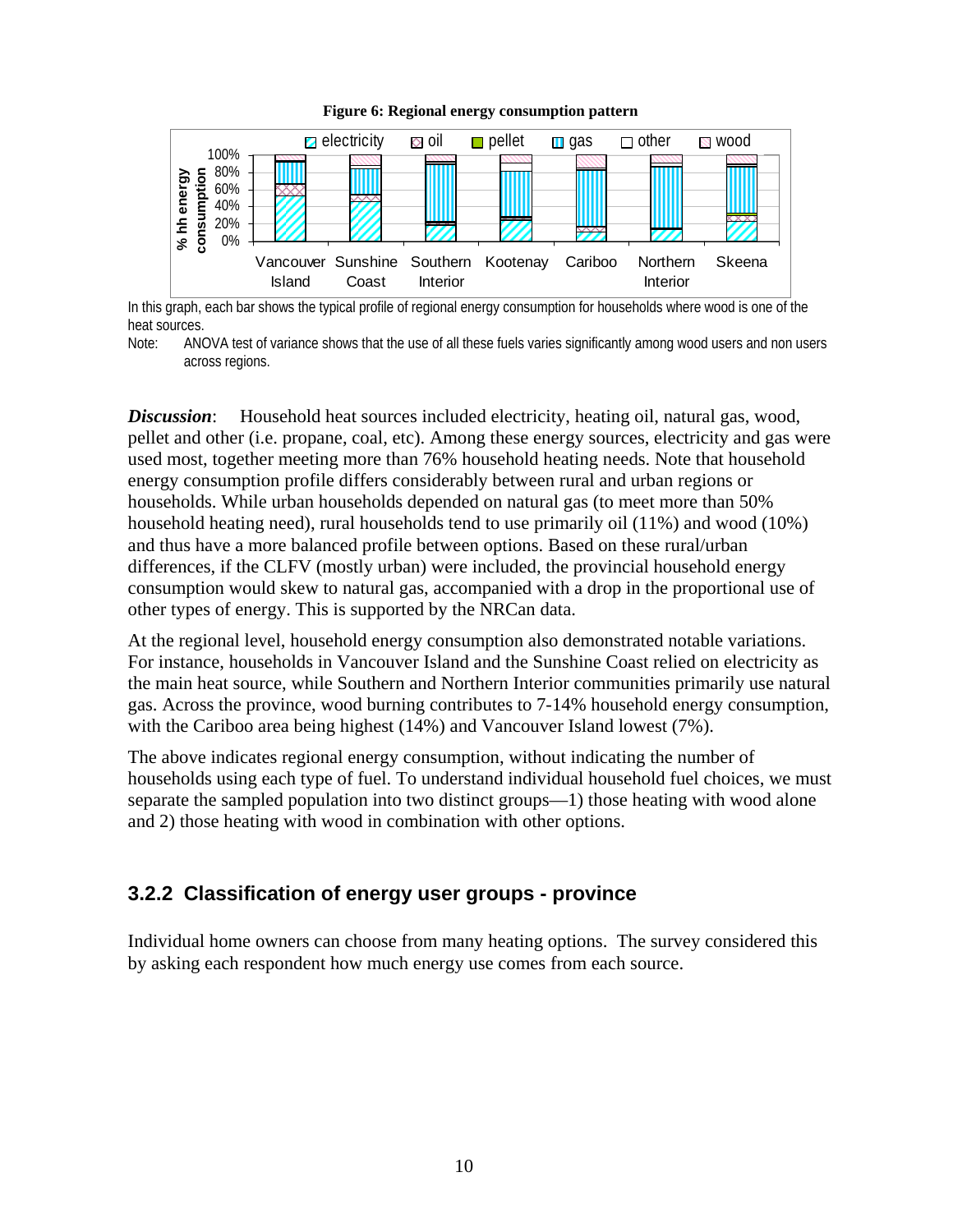

**Figure 6: Regional energy consumption pattern** 

 In this graph, each bar shows the typical profile of regional energy consumption for households where wood is one of the heat sources.

Note: ANOVA test of variance shows that the use of all these fuels varies significantly among wood users and non users across regions.

*Discussion*: Household heat sources included electricity, heating oil, natural gas, wood, pellet and other (i.e. propane, coal, etc). Among these energy sources, electricity and gas were used most, together meeting more than 76% household heating needs. Note that household energy consumption profile differs considerably between rural and urban regions or households. While urban households depended on natural gas (to meet more than 50% household heating need), rural households tend to use primarily oil (11%) and wood (10%) and thus have a more balanced profile between options. Based on these rural/urban differences, if the CLFV (mostly urban) were included, the provincial household energy consumption would skew to natural gas, accompanied with a drop in the proportional use of other types of energy. This is supported by the NRCan data.

At the regional level, household energy consumption also demonstrated notable variations. For instance, households in Vancouver Island and the Sunshine Coast relied on electricity as the main heat source, while Southern and Northern Interior communities primarily use natural gas. Across the province, wood burning contributes to 7-14% household energy consumption, with the Cariboo area being highest (14%) and Vancouver Island lowest (7%).

The above indicates regional energy consumption, without indicating the number of households using each type of fuel. To understand individual household fuel choices, we must separate the sampled population into two distinct groups—1) those heating with wood alone and 2) those heating with wood in combination with other options.

### **3.2.2 Classification of energy user groups - province**

Individual home owners can choose from many heating options. The survey considered this by asking each respondent how much energy use comes from each source.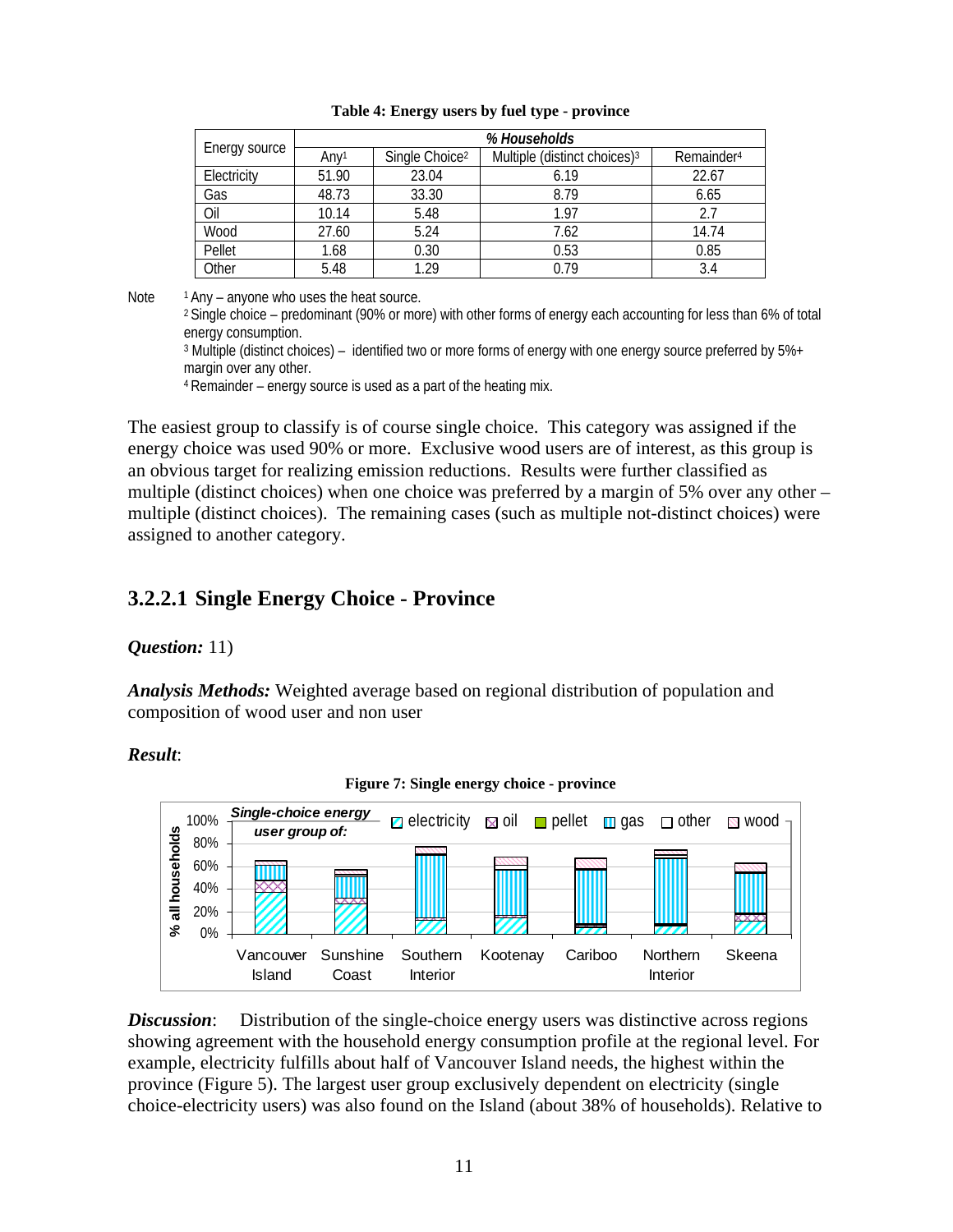|               | % Households     |                            |                                          |                        |  |  |  |
|---------------|------------------|----------------------------|------------------------------------------|------------------------|--|--|--|
| Energy source | Anv <sup>1</sup> | Single Choice <sup>2</sup> | Multiple (distinct choices) <sup>3</sup> | Remainder <sup>4</sup> |  |  |  |
| Electricity   | 51.90            | 23.04                      | 6.19                                     | 22.67                  |  |  |  |
| Gas           | 48.73            | 33.30                      | 8.79                                     | 6.65                   |  |  |  |
| Oil           | 10.14            | 5.48                       | 1.97                                     | 2.7                    |  |  |  |
| Wood          | 27.60            | 5.24                       | 7.62                                     | 14.74                  |  |  |  |
| Pellet        | 1.68             | 0.30                       | 0.53                                     | 0.85                   |  |  |  |
| Other         | 5.48             | 1.29                       | 0.79                                     | 3.4                    |  |  |  |

#### **Table 4: Energy users by fuel type - province**

Note  $1$  Any – anyone who uses the heat source.

2 Single choice – predominant (90% or more) with other forms of energy each accounting for less than 6% of total energy consumption.

3 Multiple (distinct choices) – identified two or more forms of energy with one energy source preferred by 5%+ margin over any other.

4 Remainder – energy source is used as a part of the heating mix.

The easiest group to classify is of course single choice. This category was assigned if the energy choice was used 90% or more. Exclusive wood users are of interest, as this group is an obvious target for realizing emission reductions. Results were further classified as multiple (distinct choices) when one choice was preferred by a margin of 5% over any other – multiple (distinct choices). The remaining cases (such as multiple not-distinct choices) were assigned to another category.

### **3.2.2.1 Single Energy Choice - Province**

#### *Question:* 11)

*Analysis Methods:* Weighted average based on regional distribution of population and composition of wood user and non user

#### *Result*:



**Figure 7: Single energy choice - province** 

*Discussion*: Distribution of the single-choice energy users was distinctive across regions showing agreement with the household energy consumption profile at the regional level. For example, electricity fulfills about half of Vancouver Island needs, the highest within the province (Figure 5). The largest user group exclusively dependent on electricity (single choice-electricity users) was also found on the Island (about 38% of households). Relative to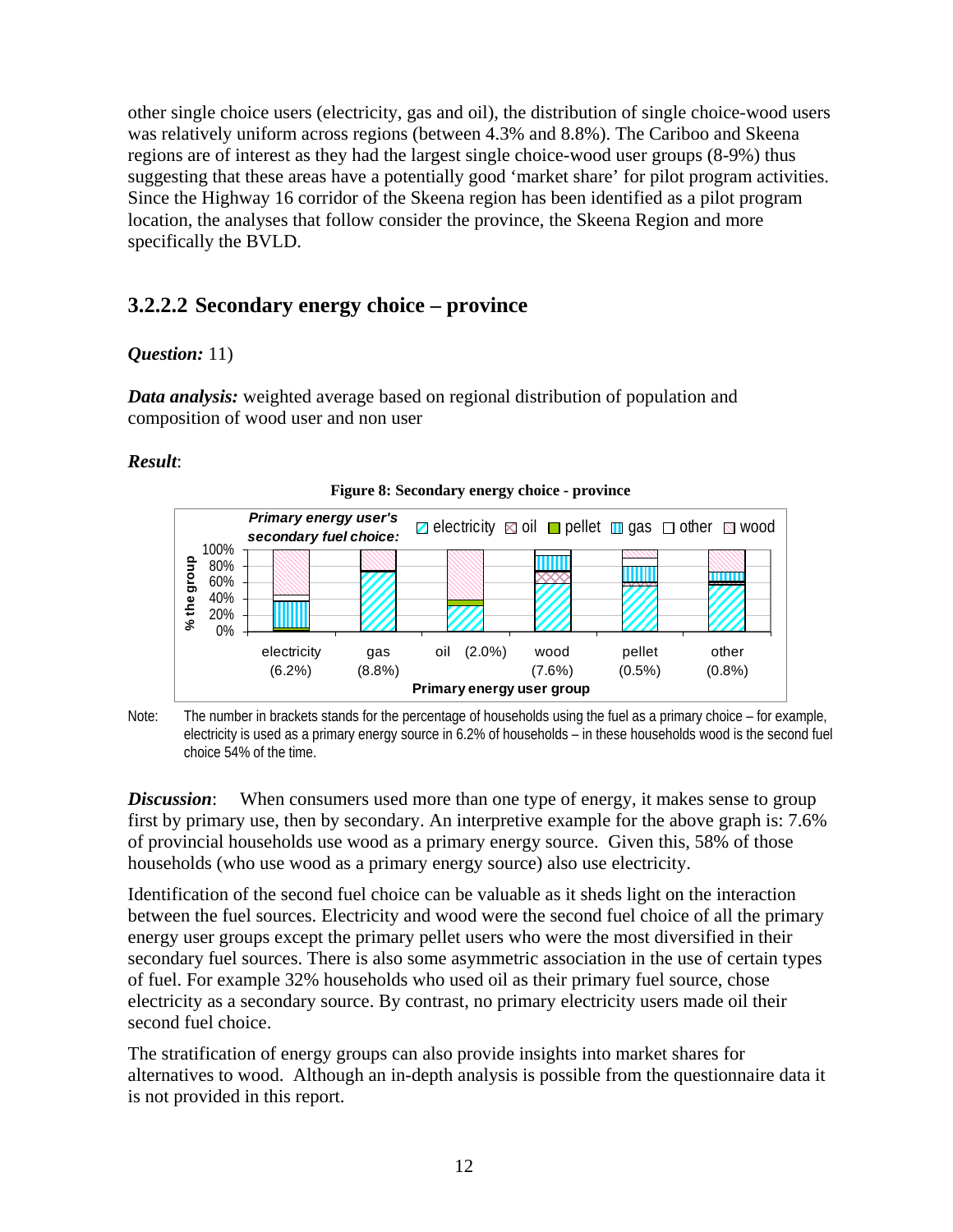other single choice users (electricity, gas and oil), the distribution of single choice-wood users was relatively uniform across regions (between 4.3% and 8.8%). The Cariboo and Skeena regions are of interest as they had the largest single choice-wood user groups (8-9%) thus suggesting that these areas have a potentially good 'market share' for pilot program activities. Since the Highway 16 corridor of the Skeena region has been identified as a pilot program location, the analyses that follow consider the province, the Skeena Region and more specifically the BVLD.

### **3.2.2.2 Secondary energy choice – province**

#### *Question:* 11)

*Data analysis:* weighted average based on regional distribution of population and composition of wood user and non user

#### *Result*:

**Primary energy user's a** electricity **⊠** oil **pellet m** gas **other ⊠** wood *secondary fuel choice:*  100% % the group **% the group** 80% ШШ ШШ 60% 40% 20% 0% oil (2.0%) wood electricity gas pellet other (8.8%) (6.2%) (7.6%) (0.5%) (0.8%) **Primary energy user group**

**Figure 8: Secondary energy choice - province** 

Note: The number in brackets stands for the percentage of households using the fuel as a primary choice – for example, electricity is used as a primary energy source in 6.2% of households – in these households wood is the second fuel choice 54% of the time.

*Discussion*: When consumers used more than one type of energy, it makes sense to group first by primary use, then by secondary. An interpretive example for the above graph is: 7.6% of provincial households use wood as a primary energy source. Given this, 58% of those households (who use wood as a primary energy source) also use electricity.

Identification of the second fuel choice can be valuable as it sheds light on the interaction between the fuel sources. Electricity and wood were the second fuel choice of all the primary energy user groups except the primary pellet users who were the most diversified in their secondary fuel sources. There is also some asymmetric association in the use of certain types of fuel. For example 32% households who used oil as their primary fuel source, chose electricity as a secondary source. By contrast, no primary electricity users made oil their second fuel choice.

The stratification of energy groups can also provide insights into market shares for alternatives to wood. Although an in-depth analysis is possible from the questionnaire data it is not provided in this report.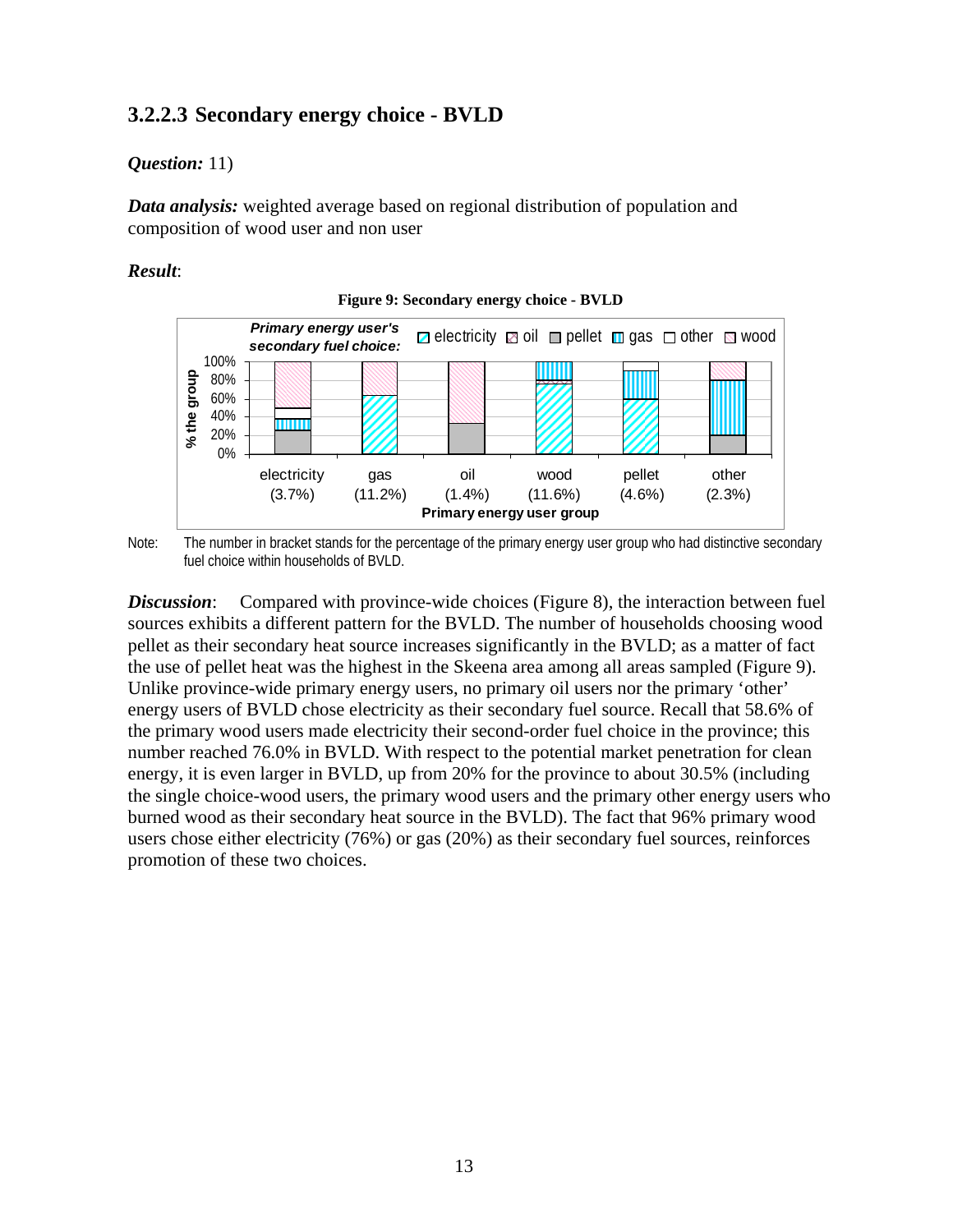### **3.2.2.3 Secondary energy choice - BVLD**

#### *Question:* 11)

*Data analysis:* weighted average based on regional distribution of population and composition of wood user and non user

#### *Result*:



**Figure 9: Secondary energy choice - BVLD** 

Note: The number in bracket stands for the percentage of the primary energy user group who had distinctive secondary fuel choice within households of BVLD.

*Discussion*: Compared with province-wide choices (Figure 8), the interaction between fuel sources exhibits a different pattern for the BVLD. The number of households choosing wood pellet as their secondary heat source increases significantly in the BVLD; as a matter of fact the use of pellet heat was the highest in the Skeena area among all areas sampled (Figure 9). Unlike province-wide primary energy users, no primary oil users nor the primary 'other' energy users of BVLD chose electricity as their secondary fuel source. Recall that 58.6% of the primary wood users made electricity their second-order fuel choice in the province; this number reached 76.0% in BVLD. With respect to the potential market penetration for clean energy, it is even larger in BVLD, up from 20% for the province to about 30.5% (including the single choice-wood users, the primary wood users and the primary other energy users who burned wood as their secondary heat source in the BVLD). The fact that 96% primary wood users chose either electricity (76%) or gas (20%) as their secondary fuel sources, reinforces promotion of these two choices.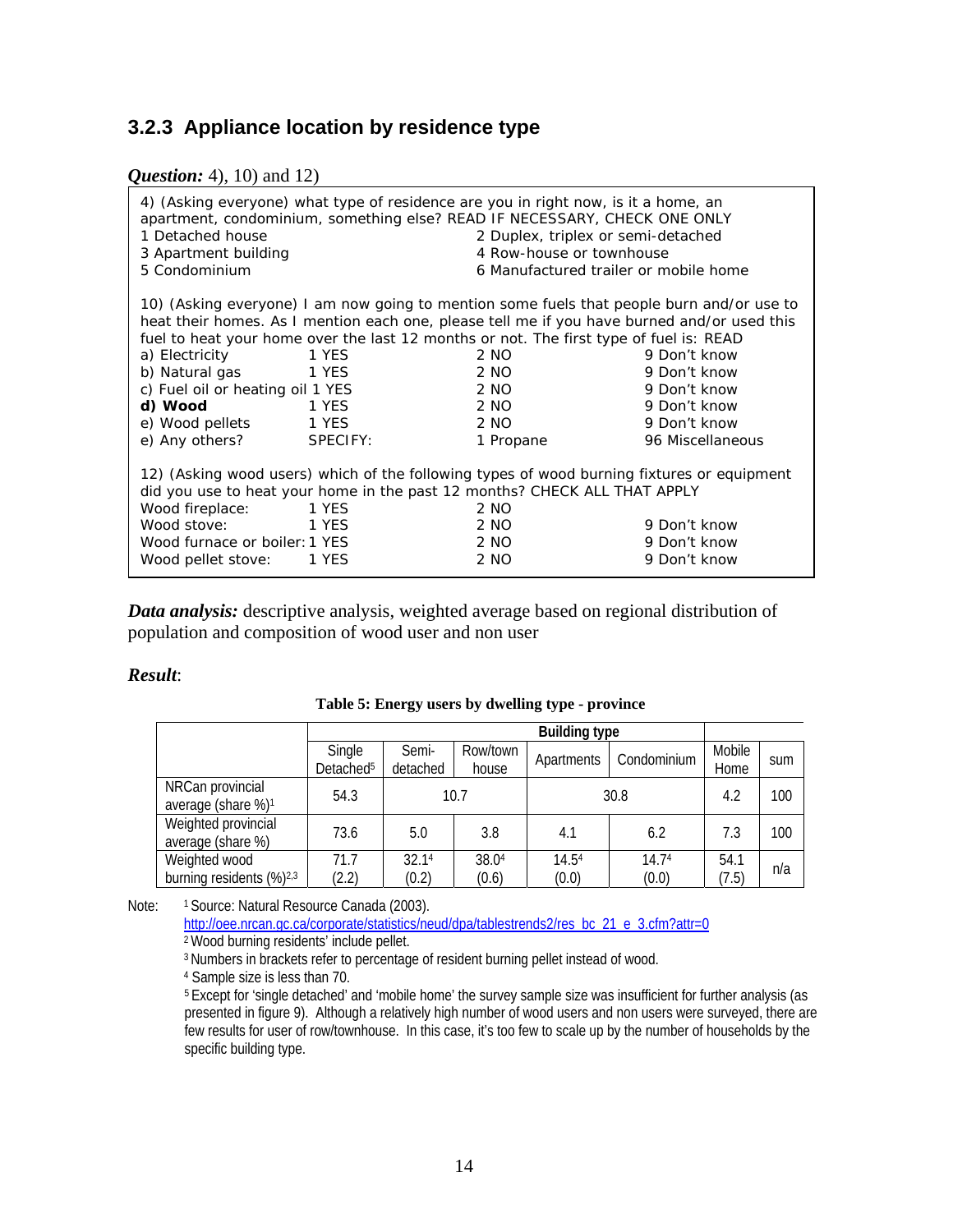### **3.2.3 Appliance location by residence type**

*Question:* 4), 10) and 12)

| 1 Detached house<br>3 Apartment building<br>5 Condominium                                                                                                                                                                                                                                                                                                                   |                                                                                                                                                                                          | 4) (Asking everyone) what type of residence are you in right now, is it a home, an<br>apartment, condominium, something else? READ IF NECESSARY, CHECK ONE ONLY<br>2 Duplex, triplex or semi-detached<br>4 Row-house or townhouse<br>6 Manufactured trailer or mobile home |                  |  |
|-----------------------------------------------------------------------------------------------------------------------------------------------------------------------------------------------------------------------------------------------------------------------------------------------------------------------------------------------------------------------------|------------------------------------------------------------------------------------------------------------------------------------------------------------------------------------------|----------------------------------------------------------------------------------------------------------------------------------------------------------------------------------------------------------------------------------------------------------------------------|------------------|--|
|                                                                                                                                                                                                                                                                                                                                                                             | 10) (Asking everyone) I am now going to mention some fuels that people burn and/or use to<br>heat their homes. As I mention each one, please tell me if you have burned and/or used this |                                                                                                                                                                                                                                                                            |                  |  |
|                                                                                                                                                                                                                                                                                                                                                                             | fuel to heat your home over the last 12 months or not. The first type of fuel is: READ                                                                                                   |                                                                                                                                                                                                                                                                            |                  |  |
| a) Electricity                                                                                                                                                                                                                                                                                                                                                              | 1 YES                                                                                                                                                                                    | 2 NO                                                                                                                                                                                                                                                                       | 9 Don't know     |  |
| b) Natural gas                                                                                                                                                                                                                                                                                                                                                              | 1 YES                                                                                                                                                                                    | 2 NO                                                                                                                                                                                                                                                                       | 9 Don't know     |  |
| c) Fuel oil or heating oil 1 YES                                                                                                                                                                                                                                                                                                                                            |                                                                                                                                                                                          | 2 NO                                                                                                                                                                                                                                                                       | 9 Don't know     |  |
| d) Wood                                                                                                                                                                                                                                                                                                                                                                     | 1 YES                                                                                                                                                                                    | 2 NO                                                                                                                                                                                                                                                                       | 9 Don't know     |  |
| e) Wood pellets                                                                                                                                                                                                                                                                                                                                                             | 1 YES                                                                                                                                                                                    | 2 NO                                                                                                                                                                                                                                                                       | 9 Don't know     |  |
| e) Any others?                                                                                                                                                                                                                                                                                                                                                              | SPECIFY:                                                                                                                                                                                 | 1 Propane                                                                                                                                                                                                                                                                  | 96 Miscellaneous |  |
| 12) (Asking wood users) which of the following types of wood burning fixtures or equipment<br>did you use to heat your home in the past 12 months? CHECK ALL THAT APPLY<br>Wood fireplace:<br>2 NO<br>1 YES<br>Wood stove:<br>1 YES<br>2 NO<br>9 Don't know<br>Wood furnace or boiler: 1 YES<br>2 NO<br>9 Don't know<br>9 Don't know<br>Wood pellet stove:<br>2 NO<br>1 YES |                                                                                                                                                                                          |                                                                                                                                                                                                                                                                            |                  |  |

*Data analysis:* descriptive analysis, weighted average based on regional distribution of population and composition of wood user and non user

#### *Result*:

|                                      |                       | <b>Building type</b> |          |            |             |        |     |  |
|--------------------------------------|-----------------------|----------------------|----------|------------|-------------|--------|-----|--|
|                                      | Single                | Semi-                | Row/town |            | Condominium | Mobile |     |  |
|                                      | Detached <sup>5</sup> | detached             | house    | Apartments |             | Home   | sum |  |
| NRCan provincial                     | 54.3                  |                      |          |            | 30.8        | 4.2    | 100 |  |
| average (share %) <sup>1</sup>       | 10.7                  |                      |          |            |             |        |     |  |
| Weighted provincial                  | 73.6                  | 5.0                  | 3.8      | 4.1        | 6.2         | 7.3    | 100 |  |
| average (share %)                    |                       |                      |          |            |             |        |     |  |
| Weighted wood                        | 71.7                  | 32.14                | 38.04    | 14.54      | 14.74       | 54.1   | n/a |  |
| burning residents (%) <sup>2,3</sup> | (2.2)                 | (0.2)                | (0.6)    | (0.0)      | (0.0)       | (7.5)  |     |  |

#### **Table 5: Energy users by dwelling type - province**

Note: <sup>1</sup> Source: Natural Resource Canada (2003).

[http://oee.nrcan.gc.ca/corporate/statistics/neud/dpa/tablestrends2/res\\_bc\\_21\\_e\\_3.cfm?attr=0](http://oee.nrcan.gc.ca/corporate/statistics/neud/dpa/tablestrends2/res_bc_21_e_3.cfm?attr=0) 2 Wood burning residents' include pellet.

3 Numbers in brackets refer to percentage of resident burning pellet instead of wood.

4 Sample size is less than 70.

<sup>5</sup> Except for 'single detached' and 'mobile home' the survey sample size was insufficient for further analysis (as presented in figure 9). Although a relatively high number of wood users and non users were surveyed, there are few results for user of row/townhouse. In this case, it's too few to scale up by the number of households by the specific building type.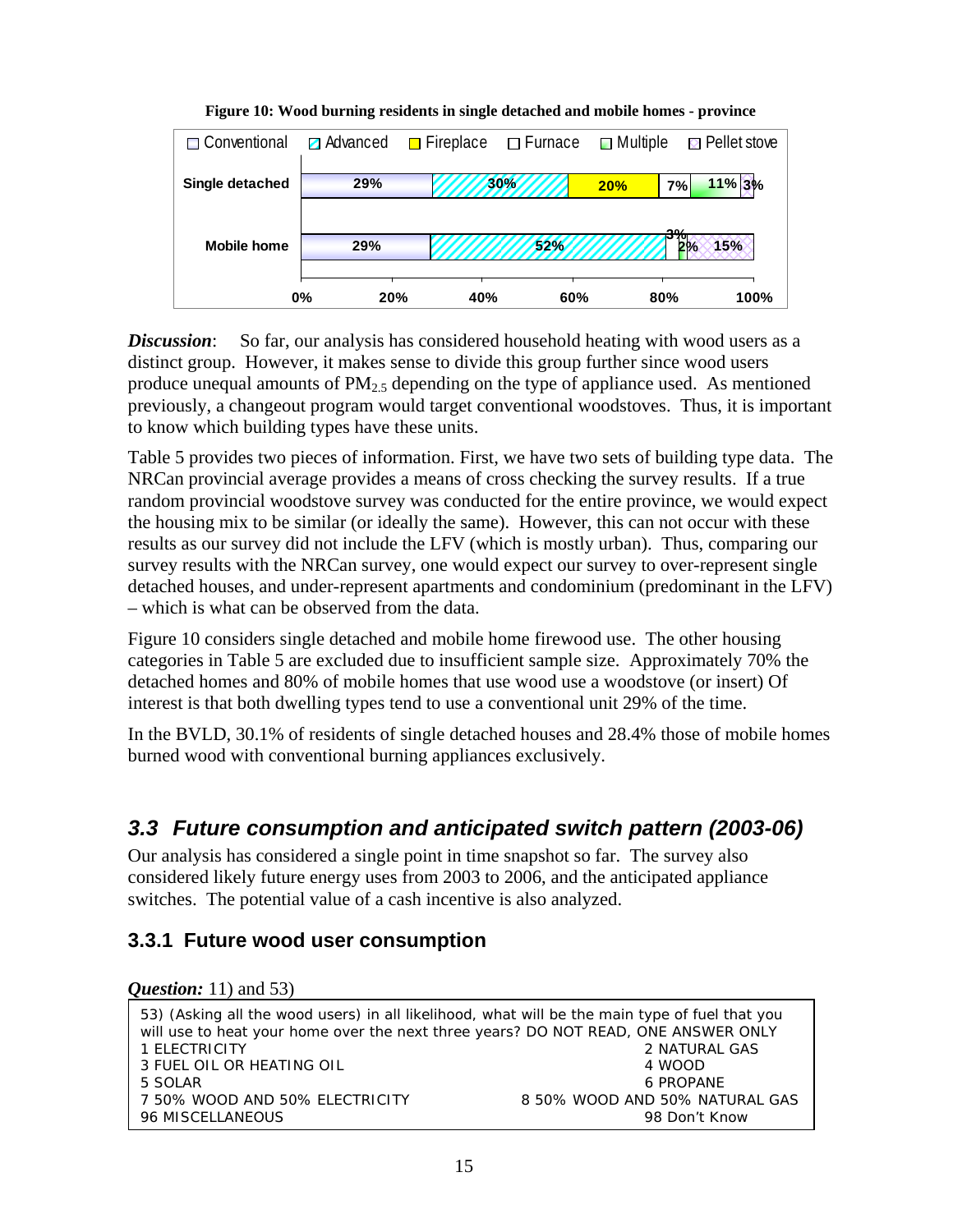| $\Box$ Conventional |           | $\Box$ Advanced $\Box$ Fireplace $\Box$ Furnace $\Box$ Multiple |            |     | <b>R</b> Pellet stove |
|---------------------|-----------|-----------------------------------------------------------------|------------|-----|-----------------------|
| Single detached     | 29%       |                                                                 | <b>30%</b> | 20% | $11\%$ 3%<br>7%l      |
|                     |           |                                                                 |            | 201 |                       |
| <b>Mobile home</b>  | 29%       |                                                                 | /52%       |     | $2\%$<br>45%          |
|                     | 0%<br>20% | 40%                                                             | 60%        | 80% | 100%                  |

**Figure 10: Wood burning residents in single detached and mobile homes - province** 

**Discussion:** So far, our analysis has considered household heating with wood users as a distinct group. However, it makes sense to divide this group further since wood users produce unequal amounts of  $PM_{2.5}$  depending on the type of appliance used. As mentioned previously, a changeout program would target conventional woodstoves. Thus, it is important to know which building types have these units.

Table 5 provides two pieces of information. First, we have two sets of building type data. The NRCan provincial average provides a means of cross checking the survey results. If a true random provincial woodstove survey was conducted for the entire province, we would expect the housing mix to be similar (or ideally the same). However, this can not occur with these results as our survey did not include the LFV (which is mostly urban). Thus, comparing our survey results with the NRCan survey, one would expect our survey to over-represent single detached houses, and under-represent apartments and condominium (predominant in the LFV) – which is what can be observed from the data.

Figure 10 considers single detached and mobile home firewood use. The other housing categories in Table 5 are excluded due to insufficient sample size. Approximately 70% the detached homes and 80% of mobile homes that use wood use a woodstove (or insert) Of interest is that both dwelling types tend to use a conventional unit 29% of the time.

In the BVLD, 30.1% of residents of single detached houses and 28.4% those of mobile homes burned wood with conventional burning appliances exclusively.

# *3.3 Future consumption and anticipated switch pattern (2003-06)*

Our analysis has considered a single point in time snapshot so far. The survey also considered likely future energy uses from 2003 to 2006, and the anticipated appliance switches. The potential value of a cash incentive is also analyzed.

### **3.3.1 Future wood user consumption**

### *Question:* 11) and 53)

53) (*Asking all the wood users*) in all likelihood, what will be the main type of fuel that you will use to heat your home over the next three years? DO NOT READ, ONE ANSWER ONLY 1 ELECTRICITY 2 NATURAL GAS 3 FUEL OIL OR HEATING OIL 4 WOOD 5 SOLAR 6 PROPANE 7 50% WOOD AND 50% ELECTRICITY 8 50% WOOD AND 50% NATURAL GAS 96 MISCELLANEOUS 98 Don't Know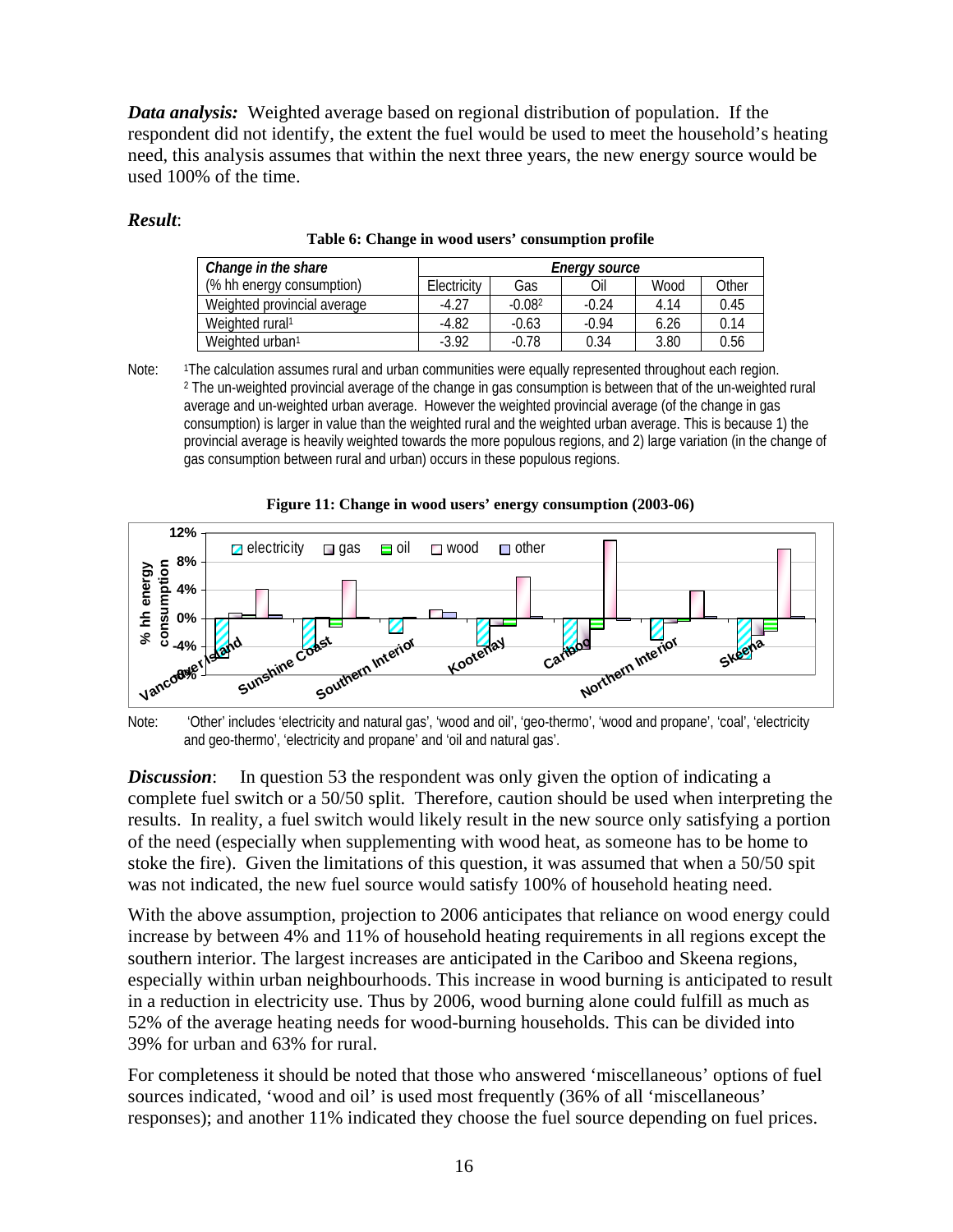*Data analysis:* Weighted average based on regional distribution of population. If the respondent did not identify, the extent the fuel would be used to meet the household's heating need, this analysis assumes that within the next three years, the new energy source would be used 100% of the time.

#### *Result*:

| Change in the share         | Energy source |          |         |      |       |  |  |
|-----------------------------|---------------|----------|---------|------|-------|--|--|
| (% hh energy consumption)   | Electricity   | Gas      | Oil     | Wood | Other |  |  |
| Weighted provincial average | $-4.27$       | $-0.082$ | $-0.24$ | 4.14 | 0.45  |  |  |
| Weighted rural <sup>1</sup> | $-4.82$       | $-0.63$  | $-0.94$ | 6.26 | 0.14  |  |  |
| Weighted urban <sup>1</sup> | $-3.92$       | -0.78    | 0.34    | 3.80 | 0.56  |  |  |

**Table 6: Change in wood users' consumption profile**

Note: <sup>1</sup>The calculation assumes rural and urban communities were equally represented throughout each region. 2 The un-weighted provincial average of the change in gas consumption is between that of the un-weighted rural average and un-weighted urban average. However the weighted provincial average (of the change in gas consumption) is larger in value than the weighted rural and the weighted urban average. This is because 1) the provincial average is heavily weighted towards the more populous regions, and 2) large variation (in the change of gas consumption between rural and urban) occurs in these populous regions.







*Discussion*: In question 53 the respondent was only given the option of indicating a complete fuel switch or a 50/50 split. Therefore, caution should be used when interpreting the results. In reality, a fuel switch would likely result in the new source only satisfying a portion of the need (especially when supplementing with wood heat, as someone has to be home to stoke the fire). Given the limitations of this question, it was assumed that when a 50/50 spit was not indicated, the new fuel source would satisfy 100% of household heating need.

With the above assumption, projection to 2006 anticipates that reliance on wood energy could increase by between 4% and 11% of household heating requirements in all regions except the southern interior. The largest increases are anticipated in the Cariboo and Skeena regions, especially within urban neighbourhoods. This increase in wood burning is anticipated to result in a reduction in electricity use. Thus by 2006, wood burning alone could fulfill as much as 52% of the average heating needs for wood-burning households. This can be divided into 39% for urban and 63% for rural.

For completeness it should be noted that those who answered 'miscellaneous' options of fuel sources indicated, 'wood and oil' is used most frequently (36% of all 'miscellaneous' responses); and another 11% indicated they choose the fuel source depending on fuel prices.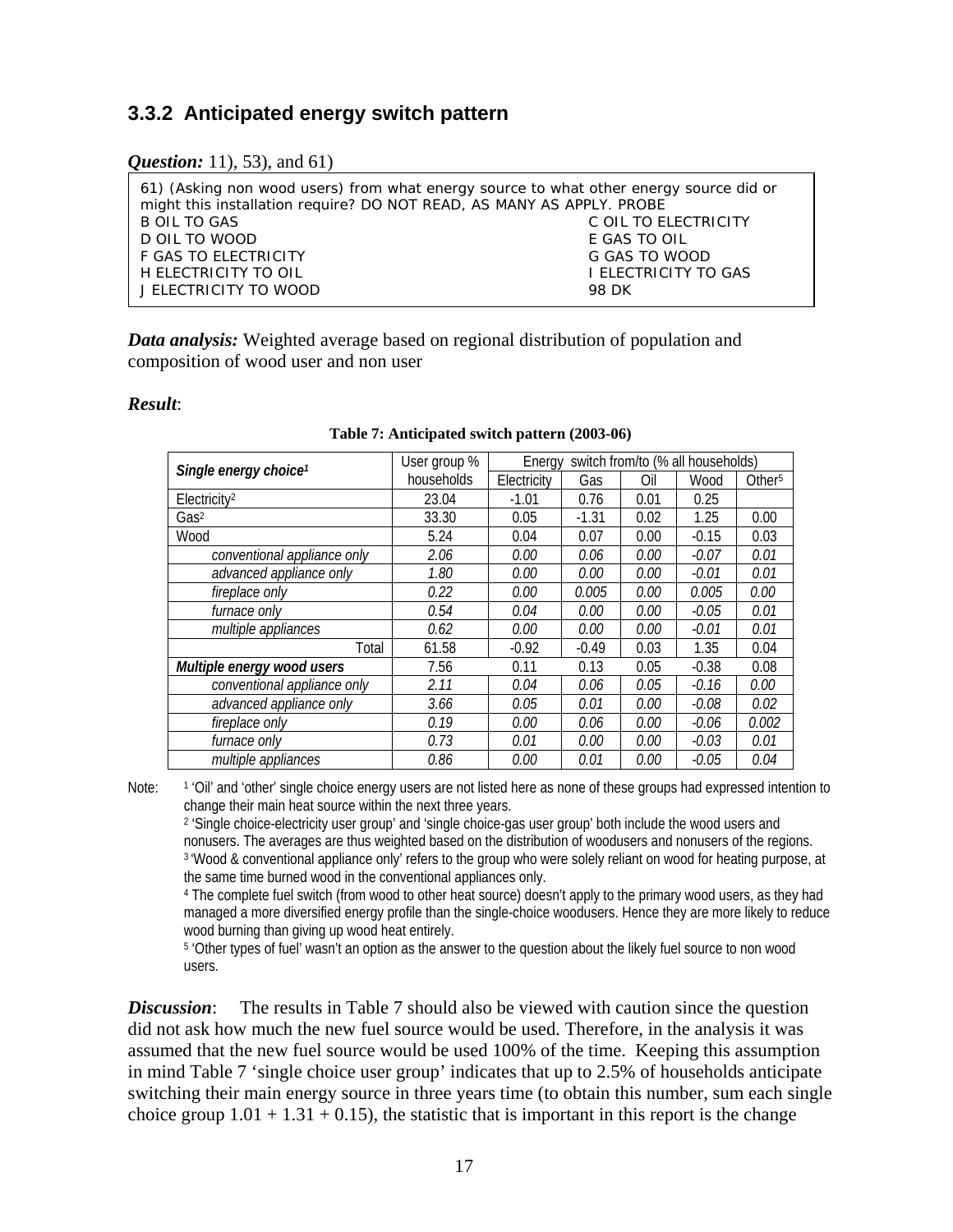### **3.3.2 Anticipated energy switch pattern**

#### *Question:* 11), 53), and 61)

| 61) (Asking non wood users) from what energy source to what other energy source did or<br>might this installation require? DO NOT READ, AS MANY AS APPLY. PROBE |                             |  |  |  |
|-----------------------------------------------------------------------------------------------------------------------------------------------------------------|-----------------------------|--|--|--|
| <b>B OIL TO GAS</b>                                                                                                                                             | C OIL TO ELECTRICITY        |  |  |  |
| D OIL TO WOOD                                                                                                                                                   | E GAS TO OIL                |  |  |  |
| <b>F GAS TO ELECTRICITY</b>                                                                                                                                     | G GAS TO WOOD               |  |  |  |
| H ELECTRICITY TO OIL                                                                                                                                            | <b>I ELECTRICITY TO GAS</b> |  |  |  |
| J ELECTRICITY TO WOOD                                                                                                                                           | 98 DK                       |  |  |  |
|                                                                                                                                                                 |                             |  |  |  |

*Data analysis:* Weighted average based on regional distribution of population and composition of wood user and non user

#### *Result*:

|                                   | User group % |             | switch from/to (% all households)<br>Energy |      |         |                    |  |
|-----------------------------------|--------------|-------------|---------------------------------------------|------|---------|--------------------|--|
| Single energy choice <sup>1</sup> | households   | Electricity | Gas                                         | Oil  | Wood    | Other <sup>5</sup> |  |
| Electricity <sup>2</sup>          | 23.04        | $-1.01$     | 0.76                                        | 0.01 | 0.25    |                    |  |
| Gas <sup>2</sup>                  | 33.30        | 0.05        | $-1.31$                                     | 0.02 | 1.25    | 0.00               |  |
| Wood                              | 5.24         | 0.04        | 0.07                                        | 0.00 | $-0.15$ | 0.03               |  |
| conventional appliance only       | 2.06         | 0.00        | 0.06                                        | 0.00 | $-0.07$ | 0.01               |  |
| advanced appliance only           | 1.80         | 0.00        | 0.00                                        | 0.00 | $-0.01$ | 0.01               |  |
| fireplace only                    | 0.22         | 0.00        | 0.005                                       | 0.00 | 0.005   | 0.00               |  |
| furnace only                      | 0.54         | 0.04        | 0.00                                        | 0.00 | $-0.05$ | 0.01               |  |
| multiple appliances               | 0.62         | 0.00        | 0.00                                        | 0.00 | $-0.01$ | 0.01               |  |
| Total                             | 61.58        | $-0.92$     | $-0.49$                                     | 0.03 | 1.35    | 0.04               |  |
| Multiple energy wood users        | 7.56         | 0.11        | 0.13                                        | 0.05 | $-0.38$ | 0.08               |  |
| conventional appliance only       | 2.11         | 0.04        | 0.06                                        | 0.05 | $-0.16$ | 0.00               |  |
| advanced appliance only           | 3.66         | 0.05        | 0.01                                        | 0.00 | $-0.08$ | 0.02               |  |
| fireplace only                    | 0.19         | 0.00        | 0.06                                        | 0.00 | $-0.06$ | 0.002              |  |
| furnace only                      | 0.73         | 0.01        | 0.00                                        | 0.00 | $-0.03$ | 0.01               |  |
| multiple appliances               | 0.86         | 0.00        | 0.01                                        | 0.00 | $-0.05$ | 0.04               |  |

#### **Table 7: Anticipated switch pattern (2003-06)**

Note: <sup>1</sup> 'Oil' and 'other' single choice energy users are not listed here as none of these groups had expressed intention to change their main heat source within the next three years.

<sup>2</sup> 'Single choice-electricity user group' and 'single choice-gas user group' both include the wood users and nonusers. The averages are thus weighted based on the distribution of woodusers and nonusers of the regions. 3 'Wood & conventional appliance only' refers to the group who were solely reliant on wood for heating purpose, at the same time burned wood in the conventional appliances only.

4 The complete fuel switch (from wood to other heat source) doesn't apply to the primary wood users, as they had managed a more diversified energy profile than the single-choice woodusers. Hence they are more likely to reduce wood burning than giving up wood heat entirely.

5 'Other types of fuel' wasn't an option as the answer to the question about the likely fuel source to non wood users.

*Discussion*: The results in Table 7 should also be viewed with caution since the question did not ask how much the new fuel source would be used. Therefore, in the analysis it was assumed that the new fuel source would be used 100% of the time. Keeping this assumption in mind Table 7 'single choice user group' indicates that up to 2.5% of households anticipate switching their main energy source in three years time (to obtain this number, sum each single choice group  $1.01 + 1.31 + 0.15$ , the statistic that is important in this report is the change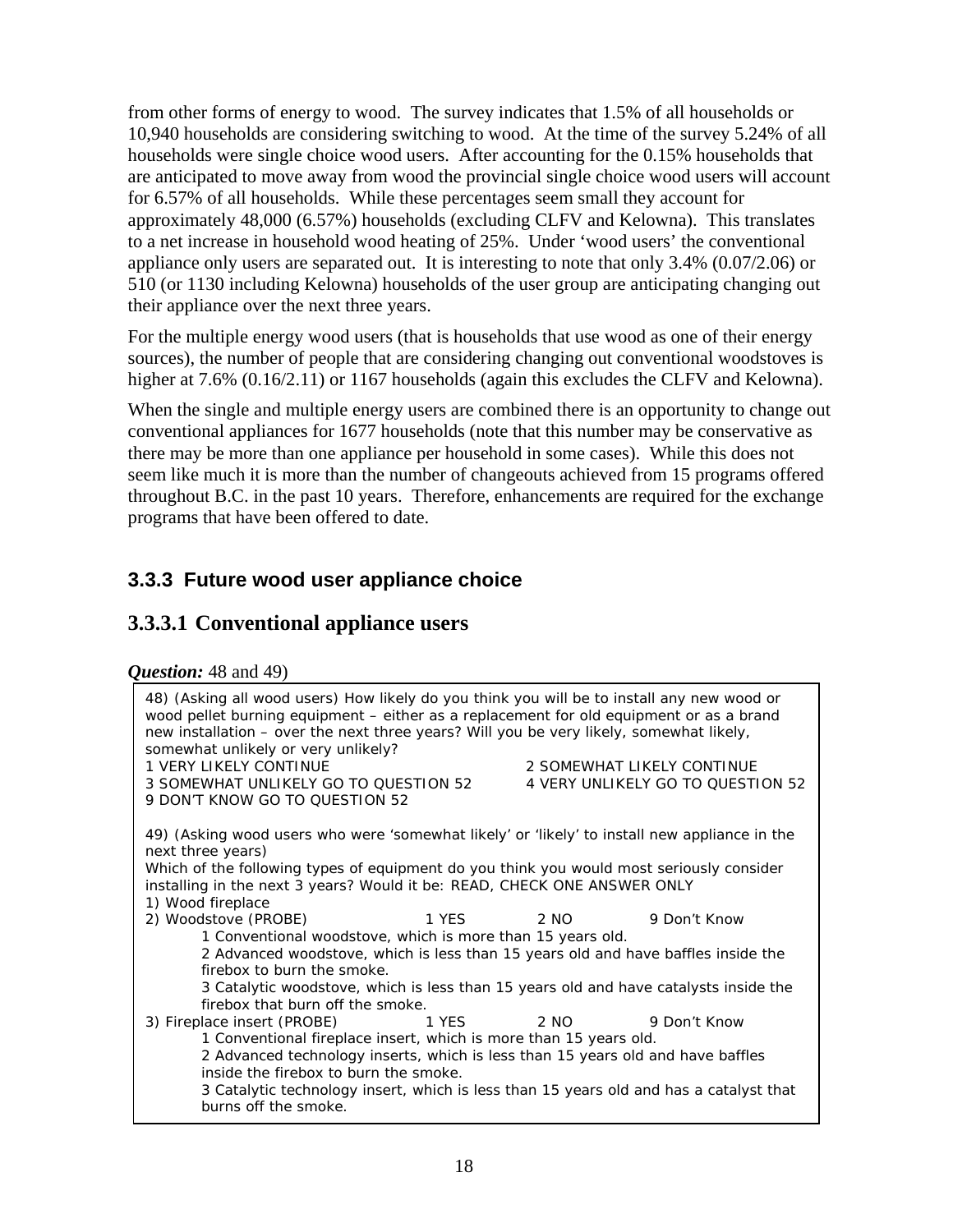from other forms of energy to wood. The survey indicates that 1.5% of all households or 10,940 households are considering switching to wood. At the time of the survey 5.24% of all households were single choice wood users. After accounting for the 0.15% households that are anticipated to move away from wood the provincial single choice wood users will account for 6.57% of all households. While these percentages seem small they account for approximately 48,000 (6.57%) households (excluding CLFV and Kelowna). This translates to a net increase in household wood heating of 25%. Under 'wood users' the conventional appliance only users are separated out. It is interesting to note that only 3.4% (0.07/2.06) or 510 (or 1130 including Kelowna) households of the user group are anticipating changing out their appliance over the next three years.

For the multiple energy wood users (that is households that use wood as one of their energy sources), the number of people that are considering changing out conventional woodstoves is higher at 7.6% (0.16/2.11) or 1167 households (again this excludes the CLFV and Kelowna).

When the single and multiple energy users are combined there is an opportunity to change out conventional appliances for 1677 households (note that this number may be conservative as there may be more than one appliance per household in some cases). While this does not seem like much it is more than the number of changeouts achieved from 15 programs offered throughout B.C. in the past 10 years. Therefore, enhancements are required for the exchange programs that have been offered to date.

### **3.3.3 Future wood user appliance choice**

### **3.3.3.1 Conventional appliance users**

#### *Question:* 48 and 49)

| 48) (Asking all wood users) How likely do you think you will be to install any new wood or<br>wood pellet burning equipment - either as a replacement for old equipment or as a brand<br>new installation - over the next three years? Will you be very likely, somewhat likely,<br>somewhat unlikely or very unlikely?<br>1 VERY LIKELY CONTINUE<br>3 SOMEWHAT UNLIKELY GO TO QUESTION 52<br>9 DON'T KNOW GO TO OUESTION 52 |       |                   | 2 SOMEWHAT LIKELY CONTINUE<br>4 VERY UNLIKELY GO TO QUESTION 52 |
|------------------------------------------------------------------------------------------------------------------------------------------------------------------------------------------------------------------------------------------------------------------------------------------------------------------------------------------------------------------------------------------------------------------------------|-------|-------------------|-----------------------------------------------------------------|
| 49) (Asking wood users who were 'somewhat likely' or 'likely' to install new appliance in the<br>next three years)<br>Which of the following types of equipment do you think you would most seriously consider                                                                                                                                                                                                               |       |                   |                                                                 |
| installing in the next 3 years? Would it be: READ, CHECK ONE ANSWER ONLY                                                                                                                                                                                                                                                                                                                                                     |       |                   |                                                                 |
| 1) Wood fireplace<br>2) Woodstove (PROBE)                                                                                                                                                                                                                                                                                                                                                                                    | 1 YES | 2 NO 9 Don't Know |                                                                 |
| 1 Conventional woodstove, which is more than 15 years old.                                                                                                                                                                                                                                                                                                                                                                   |       |                   |                                                                 |
| 2 Advanced woodstove, which is less than 15 years old and have baffles inside the                                                                                                                                                                                                                                                                                                                                            |       |                   |                                                                 |
| firebox to burn the smoke.                                                                                                                                                                                                                                                                                                                                                                                                   |       |                   |                                                                 |
| 3 Catalytic woodstove, which is less than 15 years old and have catalysts inside the                                                                                                                                                                                                                                                                                                                                         |       |                   |                                                                 |
| firebox that burn off the smoke.                                                                                                                                                                                                                                                                                                                                                                                             |       |                   |                                                                 |
| 3) Fireplace insert (PROBE)                                                                                                                                                                                                                                                                                                                                                                                                  | 1 YES | 2 NQ              | 9 Don't Know                                                    |
| 1 Conventional fireplace insert, which is more than 15 years old.                                                                                                                                                                                                                                                                                                                                                            |       |                   |                                                                 |
| 2 Advanced technology inserts, which is less than 15 years old and have baffles                                                                                                                                                                                                                                                                                                                                              |       |                   |                                                                 |
| inside the firebox to burn the smoke.                                                                                                                                                                                                                                                                                                                                                                                        |       |                   |                                                                 |
| 3 Catalytic technology insert, which is less than 15 years old and has a catalyst that                                                                                                                                                                                                                                                                                                                                       |       |                   |                                                                 |
| burns off the smoke.                                                                                                                                                                                                                                                                                                                                                                                                         |       |                   |                                                                 |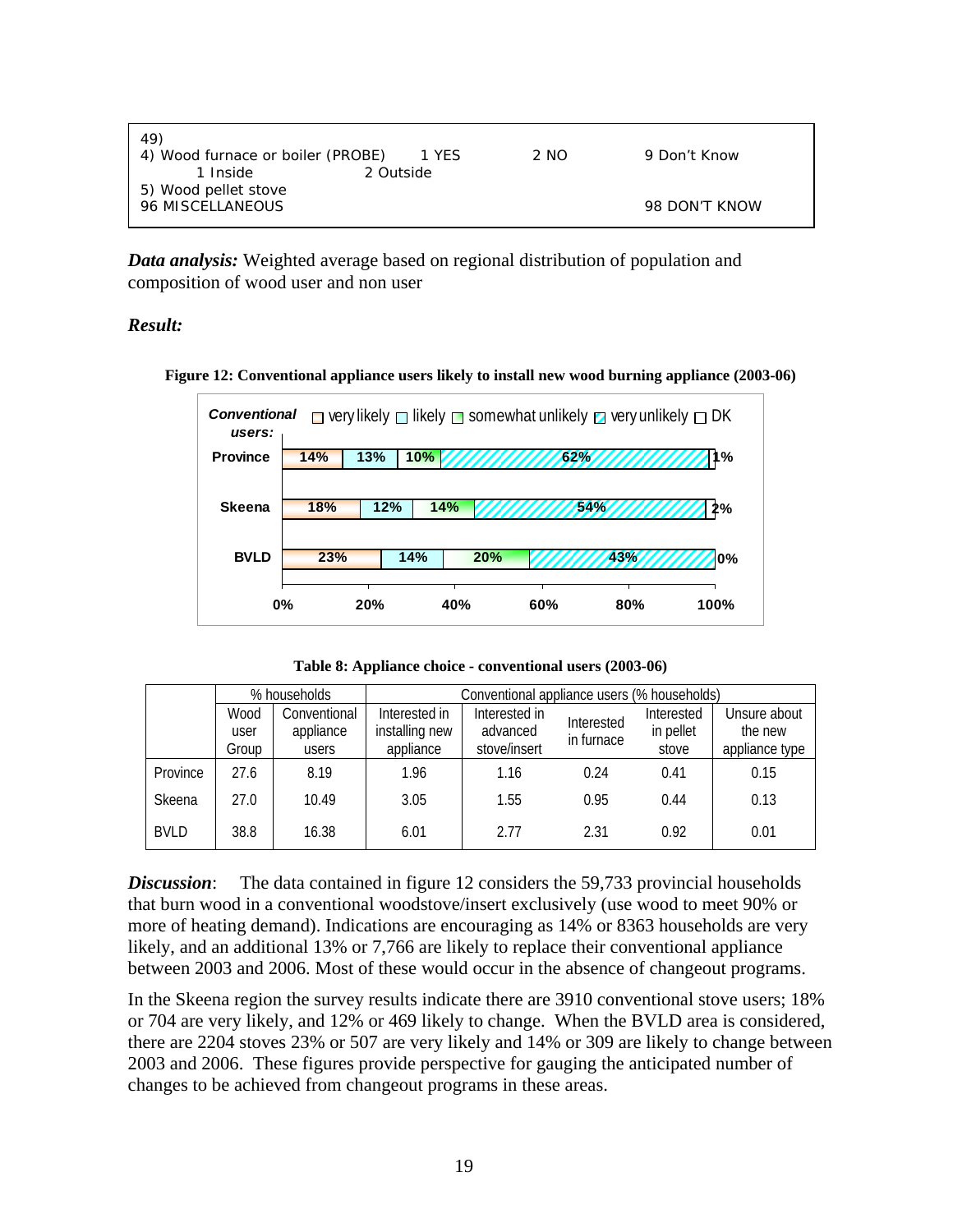| 49)                               |       |      |               |
|-----------------------------------|-------|------|---------------|
| 4) Wood furnace or boiler (PROBE) | 1 YES | 2 NO | 9 Don't Know  |
| 2 Outside<br>1 Inside             |       |      |               |
| 5) Wood pellet stove              |       |      |               |
| 96 MISCELLANEOUS                  |       |      | 98 DON'T KNOW |
|                                   |       |      |               |

*Data analysis:* Weighted average based on regional distribution of population and composition of wood user and non user

#### *Result:*





| Table 8: Appliance choice - conventional users (2003-06) |  |  |
|----------------------------------------------------------|--|--|
|----------------------------------------------------------|--|--|

|             |       | % households | Conventional appliance users (% households) |               |            |            |                |
|-------------|-------|--------------|---------------------------------------------|---------------|------------|------------|----------------|
|             | Wood  | Conventional | Interested in                               | Interested in | Interested | Interested | Unsure about   |
|             | user  | appliance    | installing new                              | advanced      | in furnace | in pellet  | the new        |
|             | Group | users        | appliance                                   | stove/insert  |            | stove      | appliance type |
| Province    | 27.6  | 8.19         | 1.96                                        | 1.16          | 0.24       | 0.41       | 0.15           |
| Skeena      | 27.0  | 10.49        | 3.05                                        | 1.55          | 0.95       | 0.44       | 0.13           |
| <b>BVLD</b> | 38.8  | 16.38        | 6.01                                        | 2.77          | 2.31       | 0.92       | 0.01           |

**Discussion:** The data contained in figure 12 considers the 59,733 provincial households that burn wood in a conventional woodstove/insert exclusively (use wood to meet 90% or more of heating demand). Indications are encouraging as 14% or 8363 households are very likely, and an additional 13% or 7,766 are likely to replace their conventional appliance between 2003 and 2006. Most of these would occur in the absence of changeout programs.

In the Skeena region the survey results indicate there are 3910 conventional stove users; 18% or 704 are very likely, and 12% or 469 likely to change. When the BVLD area is considered, there are 2204 stoves 23% or 507 are very likely and 14% or 309 are likely to change between 2003 and 2006. These figures provide perspective for gauging the anticipated number of changes to be achieved from changeout programs in these areas.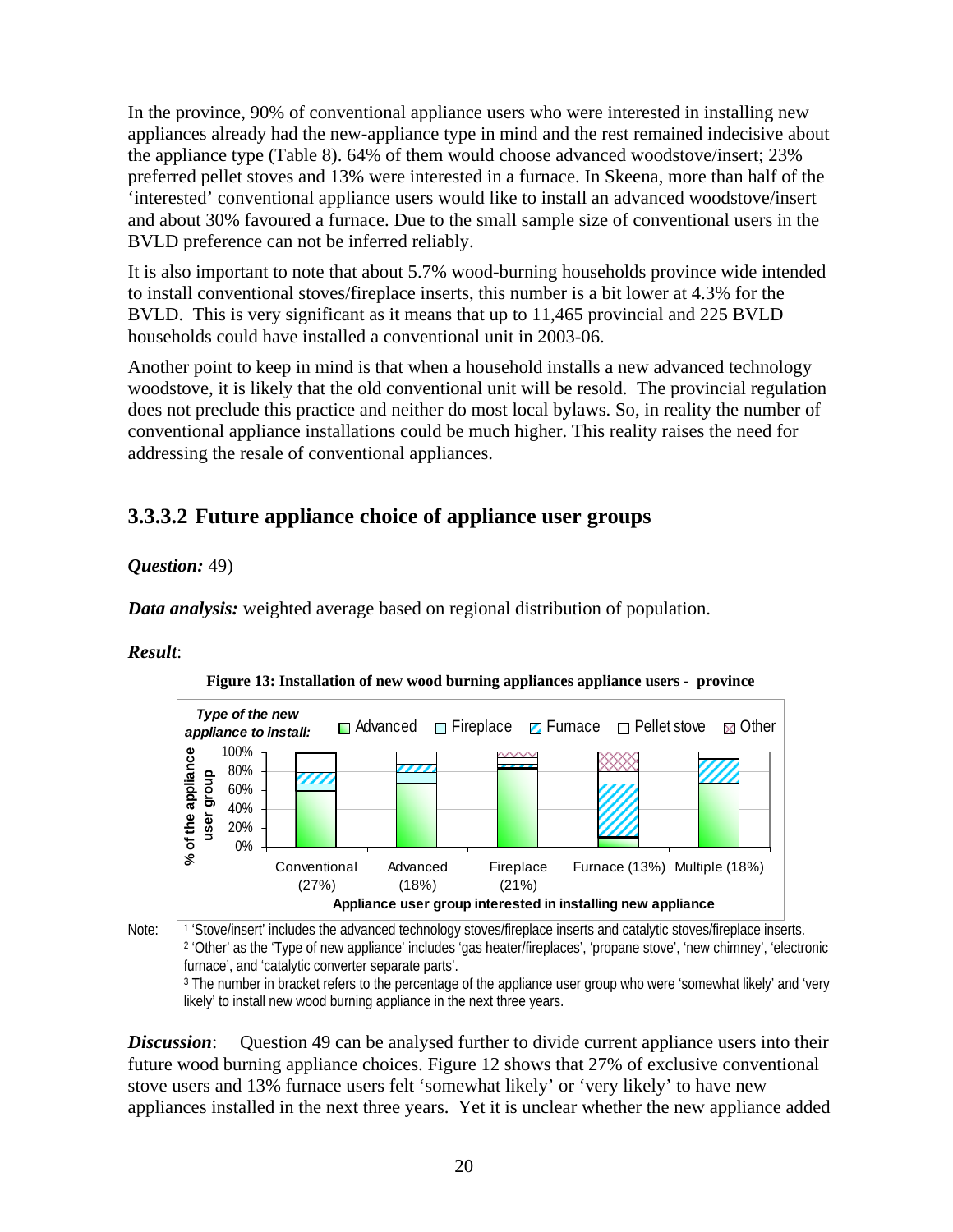In the province, 90% of conventional appliance users who were interested in installing new appliances already had the new-appliance type in mind and the rest remained indecisive about the appliance type (Table 8). 64% of them would choose advanced woodstove/insert; 23% preferred pellet stoves and 13% were interested in a furnace. In Skeena, more than half of the 'interested' conventional appliance users would like to install an advanced woodstove/insert and about 30% favoured a furnace. Due to the small sample size of conventional users in the BVLD preference can not be inferred reliably.

It is also important to note that about 5.7% wood-burning households province wide intended to install conventional stoves/fireplace inserts, this number is a bit lower at 4.3% for the BVLD. This is very significant as it means that up to 11,465 provincial and 225 BVLD households could have installed a conventional unit in 2003-06.

Another point to keep in mind is that when a household installs a new advanced technology woodstove, it is likely that the old conventional unit will be resold. The provincial regulation does not preclude this practice and neither do most local bylaws. So, in reality the number of conventional appliance installations could be much higher. This reality raises the need for addressing the resale of conventional appliances.

### **3.3.3.2 Future appliance choice of appliance user groups**

#### *Question:* 49)

*Data analysis:* weighted average based on regional distribution of population.

#### *Result*:



**Figure 13: Installation of new wood burning appliances appliance users - province** 

 Note: 1 'Stove/insert' includes the advanced technology stoves/fireplace inserts and catalytic stoves/fireplace inserts. 2 'Other' as the 'Type of new appliance' includes 'gas heater/fireplaces', 'propane stove', 'new chimney', 'electronic furnace', and 'catalytic converter separate parts'.

<sup>3</sup> The number in bracket refers to the percentage of the appliance user group who were 'somewhat likely' and 'very likely' to install new wood burning appliance in the next three years.

**Discussion:** Question 49 can be analysed further to divide current appliance users into their future wood burning appliance choices. Figure 12 shows that 27% of exclusive conventional stove users and 13% furnace users felt 'somewhat likely' or 'very likely' to have new appliances installed in the next three years. Yet it is unclear whether the new appliance added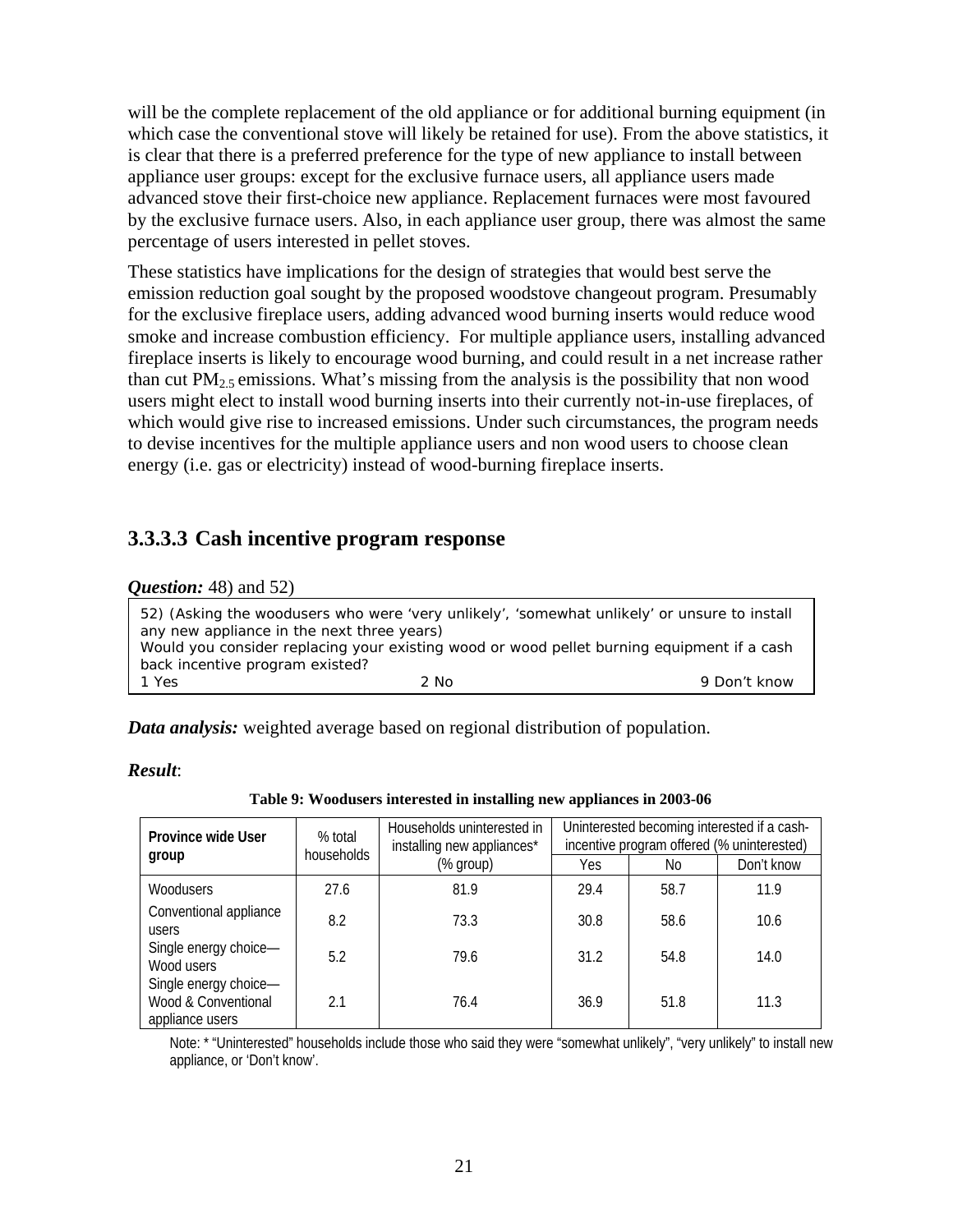will be the complete replacement of the old appliance or for additional burning equipment (in which case the conventional stove will likely be retained for use). From the above statistics, it is clear that there is a preferred preference for the type of new appliance to install between appliance user groups: except for the exclusive furnace users, all appliance users made advanced stove their first-choice new appliance. Replacement furnaces were most favoured by the exclusive furnace users. Also, in each appliance user group, there was almost the same percentage of users interested in pellet stoves.

These statistics have implications for the design of strategies that would best serve the emission reduction goal sought by the proposed woodstove changeout program. Presumably for the exclusive fireplace users, adding advanced wood burning inserts would reduce wood smoke and increase combustion efficiency. For multiple appliance users, installing advanced fireplace inserts is likely to encourage wood burning, and could result in a net increase rather than cut  $PM_{2.5}$  emissions. What's missing from the analysis is the possibility that non wood users might elect to install wood burning inserts into their currently not-in-use fireplaces, of which would give rise to increased emissions. Under such circumstances, the program needs to devise incentives for the multiple appliance users and non wood users to choose clean energy (i.e. gas or electricity) instead of wood-burning fireplace inserts.

### **3.3.3.3 Cash incentive program response**

*Question:* 48) and 52)

| any new appliance in the next three years)                                                 |      | 52) (Asking the woodusers who were 'very unlikely', 'somewhat unlikely' or unsure to install |  |  |
|--------------------------------------------------------------------------------------------|------|----------------------------------------------------------------------------------------------|--|--|
| Would you consider replacing your existing wood or wood pellet burning equipment if a cash |      |                                                                                              |  |  |
| back incentive program existed?                                                            |      |                                                                                              |  |  |
| 1 Yes                                                                                      | 2 No | 9 Don't know                                                                                 |  |  |

*Data analysis:* weighted average based on regional distribution of population.

**Table 9: Woodusers interested in installing new appliances in 2003-06** 

| Province wide User                                              | Households uninterested in<br>% total<br>installing new appliances* |           | Uninterested becoming interested if a cash-<br>incentive program offered (% uninterested) |      |            |
|-----------------------------------------------------------------|---------------------------------------------------------------------|-----------|-------------------------------------------------------------------------------------------|------|------------|
| group                                                           | households                                                          | (% group) | Yes                                                                                       | No   | Don't know |
| <b>Woodusers</b>                                                | 27.6                                                                | 81.9      | 29.4                                                                                      | 58.7 | 11.9       |
| Conventional appliance<br>users                                 | 8.2                                                                 | 73.3      | 30.8                                                                                      | 58.6 | 10.6       |
| Single energy choice-<br>Wood users                             | 5.2                                                                 | 79.6      | 31.2                                                                                      | 54.8 | 14.0       |
| Single energy choice-<br>Wood & Conventional<br>appliance users | 2.1                                                                 | 76.4      | 36.9                                                                                      | 51.8 | 11.3       |

Note: \* "Uninterested" households include those who said they were "somewhat unlikely", "very unlikely" to install new appliance, or 'Don't know'.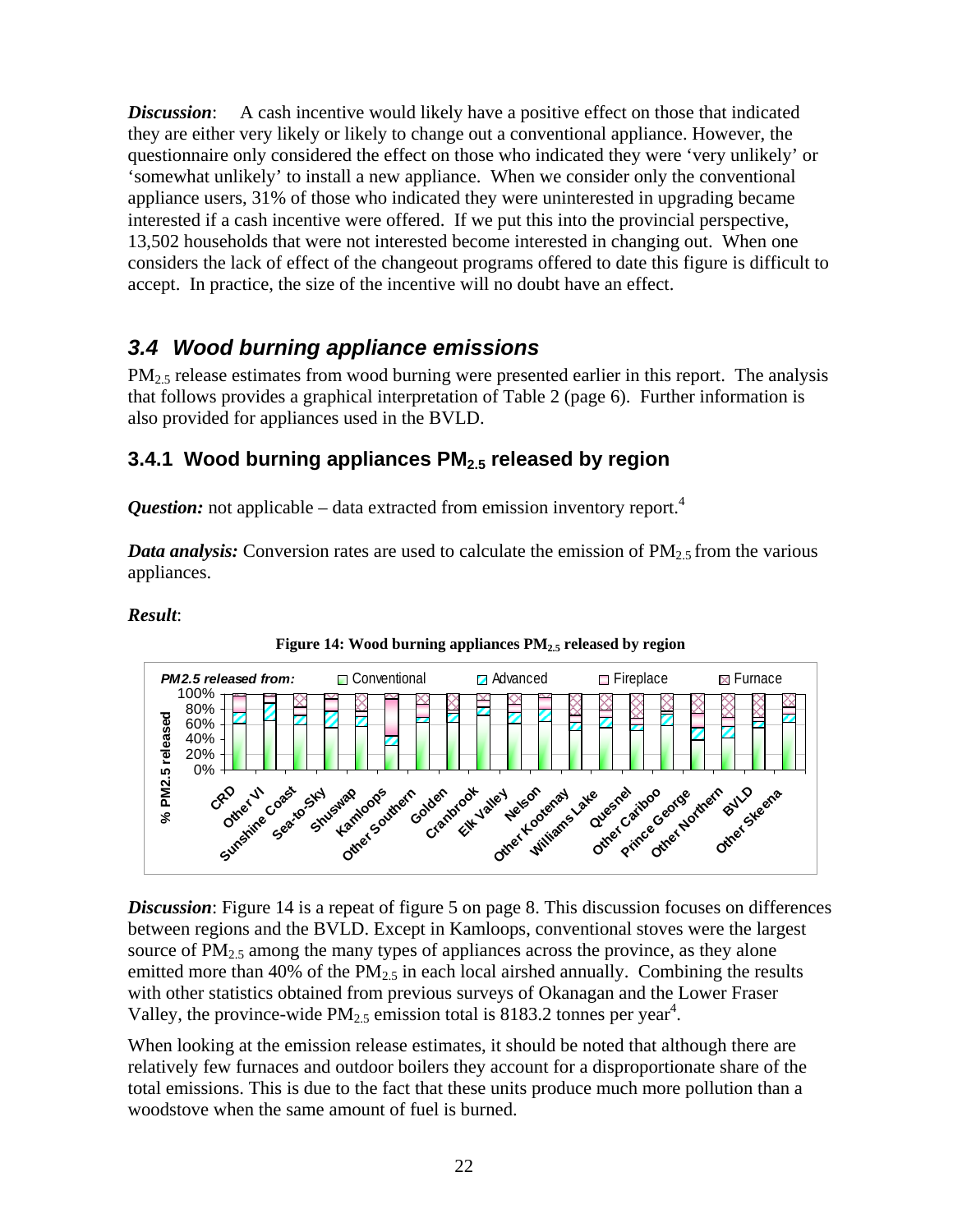**Discussion:** A cash incentive would likely have a positive effect on those that indicated they are either very likely or likely to change out a conventional appliance. However, the questionnaire only considered the effect on those who indicated they were 'very unlikely' or 'somewhat unlikely' to install a new appliance. When we consider only the conventional appliance users, 31% of those who indicated they were uninterested in upgrading became interested if a cash incentive were offered. If we put this into the provincial perspective, 13,502 households that were not interested become interested in changing out. When one considers the lack of effect of the changeout programs offered to date this figure is difficult to accept. In practice, the size of the incentive will no doubt have an effect.

### *3.4 Wood burning appliance emissions*

 $PM<sub>2.5</sub>$  release estimates from wood burning were presented earlier in this report. The analysis that follows provides a graphical interpretation of Table 2 (page 6). Further information is also provided for appliances used in the BVLD.

### **3.4.1 Wood burning appliances PM2.5 released by region**

*Question:* not applicable – data extracted from emission inventory report.<sup>4</sup>

*Data analysis:* Conversion rates are used to calculate the emission of  $PM_{2.5}$  from the various appliances.

#### *Result*:



Figure 14: Wood burning appliances PM<sub>2.5</sub> released by region

*Discussion*: Figure 14 is a repeat of figure 5 on page 8. This discussion focuses on differences between regions and the BVLD. Except in Kamloops, conventional stoves were the largest source of  $PM_{2.5}$  among the many types of appliances across the province, as they alone emitted more than 40% of the  $PM<sub>2.5</sub>$  in each local airshed annually. Combining the results with other statistics obtained from previous surveys of Okanagan and the Lower Fraser Valley, the province-wide  $PM_{2.5}$  emission total is 8183.2 tonnes per year<sup>4</sup>.

When looking at the emission release estimates, it should be noted that although there are relatively few furnaces and outdoor boilers they account for a disproportionate share of the total emissions. This is due to the fact that these units produce much more pollution than a woodstove when the same amount of fuel is burned.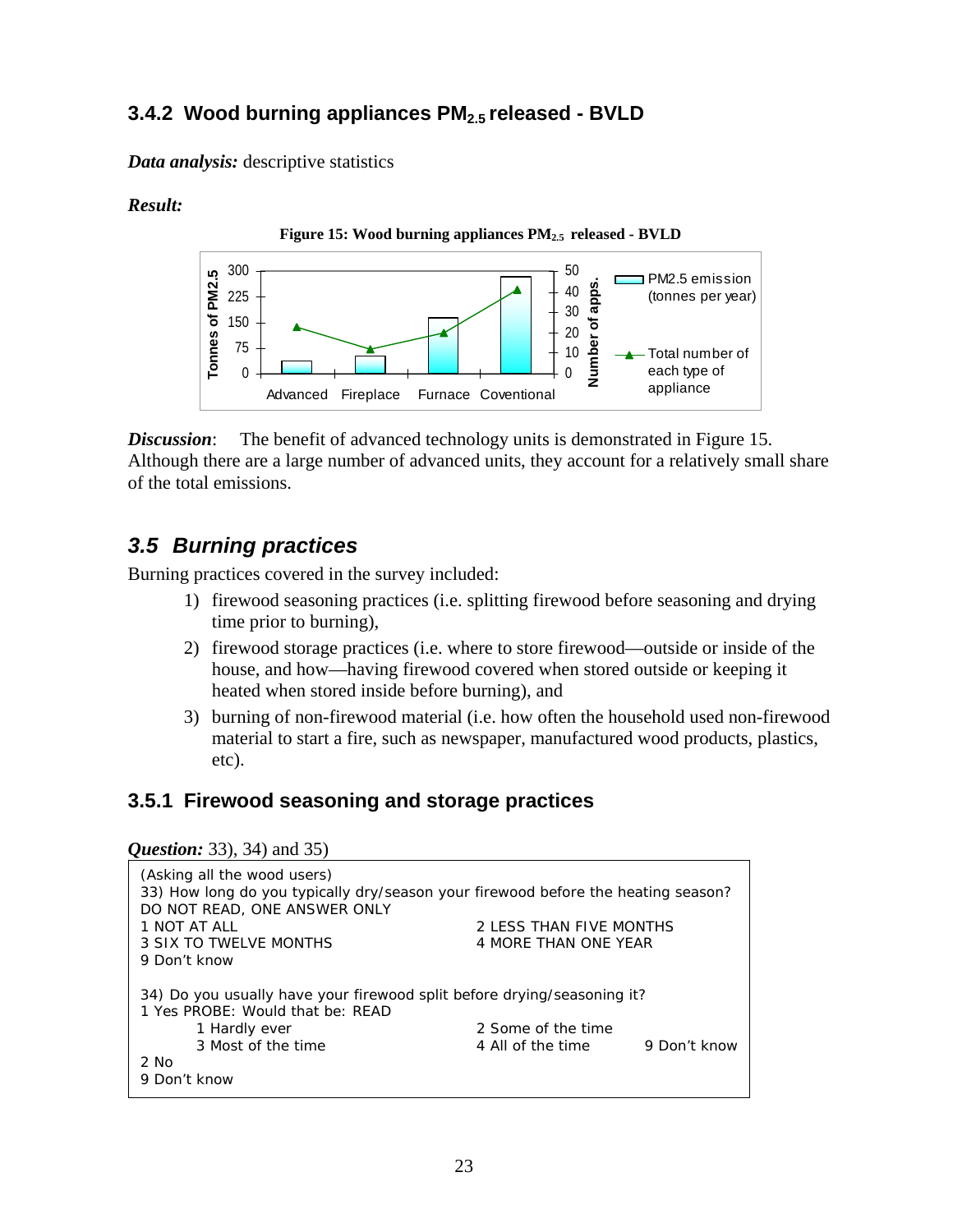### **3.4.2 Wood burning appliances PM2.5 released - BVLD**

*Data analysis:* descriptive statistics

#### *Result:*





**Discussion:** The benefit of advanced technology units is demonstrated in Figure 15. Although there are a large number of advanced units, they account for a relatively small share of the total emissions.

### *3.5 Burning practices*

*Question:* 33), 34) and 35)

Burning practices covered in the survey included:

23

- 1) firewood seasoning practices (i.e. splitting firewood before seasoning and drying time prior to burning),
- 2) firewood storage practices (i.e. where to store firewood—outside or inside of the house, and how—having firewood covered when stored outside or keeping it heated when stored inside before burning), and
- 3) burning of non-firewood material (i.e. how often the household used non-firewood material to start a fire, such as newspaper, manufactured wood products, plastics, etc).

### **3.5.1 Firewood seasoning and storage practices**

```
(Asking all the wood users) 
33) How long do you typically dry/season your firewood before the heating season? 
DO NOT READ, ONE ANSWER ONLY 
1 NOT AT ALL 2 LESS THAN FIVE MONTHS
3 SIX TO TWELVE MONTHS 4 MORE THAN ONE YEAR
9 Don't know 
34) Do you usually have your firewood split before drying/seasoning it? 
1 Yes PROBE: Would that be: READ 
      1 Hardly ever 2 Some of the time
      3 Most of the time 4 All of the time 9 Don't know 
2 No 
9 Don't know
```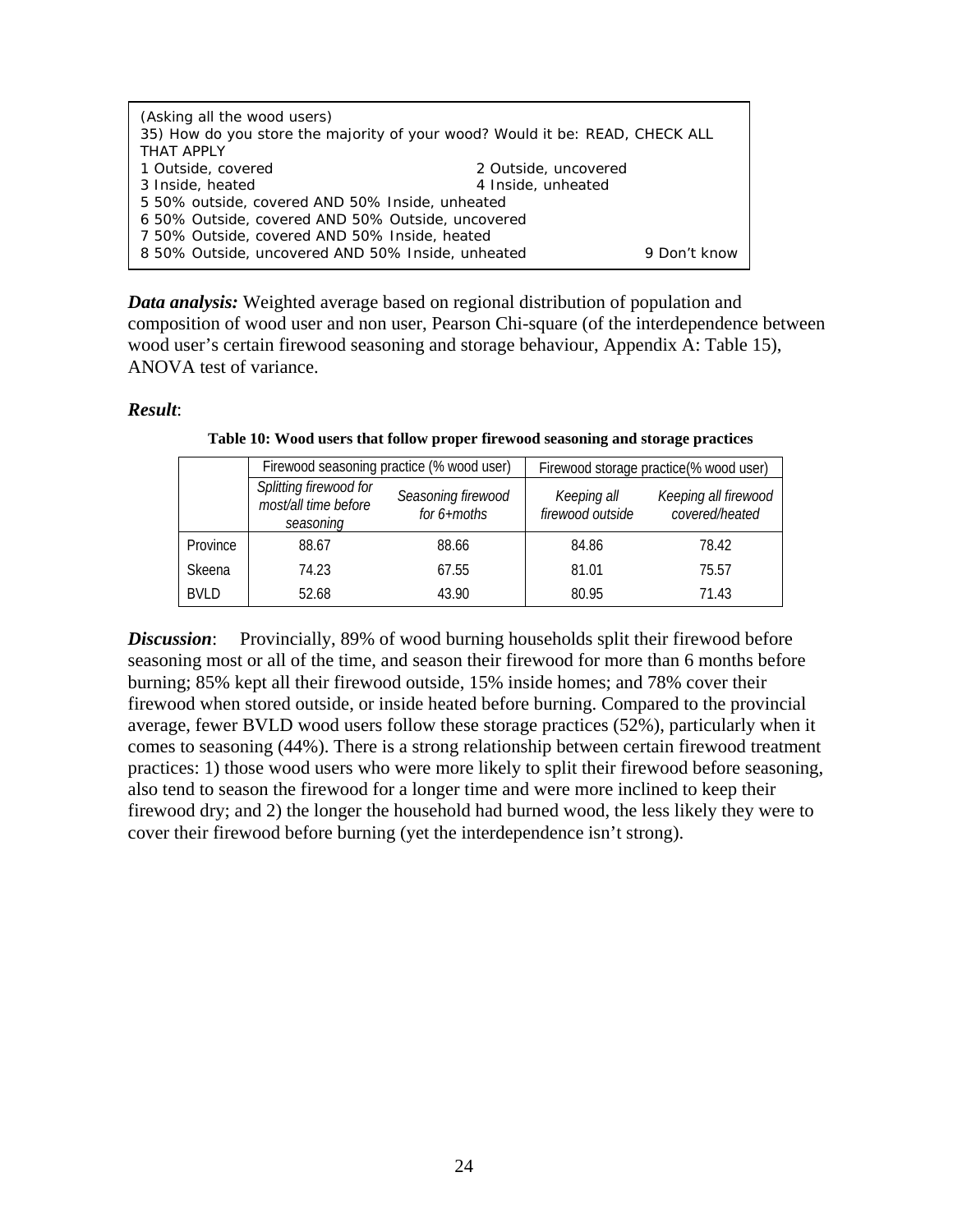| (Asking all the wood users)<br>35) How do you store the majority of your wood? Would it be: READ, CHECK ALL<br>THAT APPI Y |                                                 |              |  |  |  |
|----------------------------------------------------------------------------------------------------------------------------|-------------------------------------------------|--------------|--|--|--|
| 1 Outside, covered                                                                                                         | 2 Outside, uncovered                            |              |  |  |  |
| 3 Inside, heated                                                                                                           | 4 Inside, unheated                              |              |  |  |  |
|                                                                                                                            | 5 50% outside, covered AND 50% Inside, unheated |              |  |  |  |
| 6 50% Outside, covered AND 50% Outside, uncovered                                                                          |                                                 |              |  |  |  |
| 7 50% Outside, covered AND 50% Inside, heated                                                                              |                                                 |              |  |  |  |
| 8 50% Outside, uncovered AND 50% Inside, unheated                                                                          |                                                 | 9 Don't know |  |  |  |

*Data analysis:* Weighted average based on regional distribution of population and composition of wood user and non user, Pearson Chi-square (of the interdependence between wood user's certain firewood seasoning and storage behaviour, Appendix A: Table 15), ANOVA test of variance.

#### *Result*:

|             | Firewood seasoning practice (% wood user)                   |                                      | Firewood storage practice(% wood user) |                                        |  |
|-------------|-------------------------------------------------------------|--------------------------------------|----------------------------------------|----------------------------------------|--|
|             | Splitting firewood for<br>most/all time before<br>seasoning | Seasoning firewood<br>for $6+$ moths | Keeping all<br>firewood outside        | Keeping all firewood<br>covered/heated |  |
| Province    | 88.67                                                       | 88.66                                | 84.86                                  | 78.42                                  |  |
| Skeena      | 74.23                                                       | 67.55                                | 81.01                                  | 75.57                                  |  |
| <b>BVLD</b> | 52.68                                                       | 43.90                                | 80.95                                  | 71.43                                  |  |

**Table 10: Wood users that follow proper firewood seasoning and storage practices** 

**Discussion:** Provincially, 89% of wood burning households split their firewood before seasoning most or all of the time, and season their firewood for more than 6 months before burning; 85% kept all their firewood outside, 15% inside homes; and 78% cover their firewood when stored outside, or inside heated before burning. Compared to the provincial average, fewer BVLD wood users follow these storage practices (52%), particularly when it comes to seasoning (44%). There is a strong relationship between certain firewood treatment practices: 1) those wood users who were more likely to split their firewood before seasoning, also tend to season the firewood for a longer time and were more inclined to keep their firewood dry; and 2) the longer the household had burned wood, the less likely they were to cover their firewood before burning (yet the interdependence isn't strong).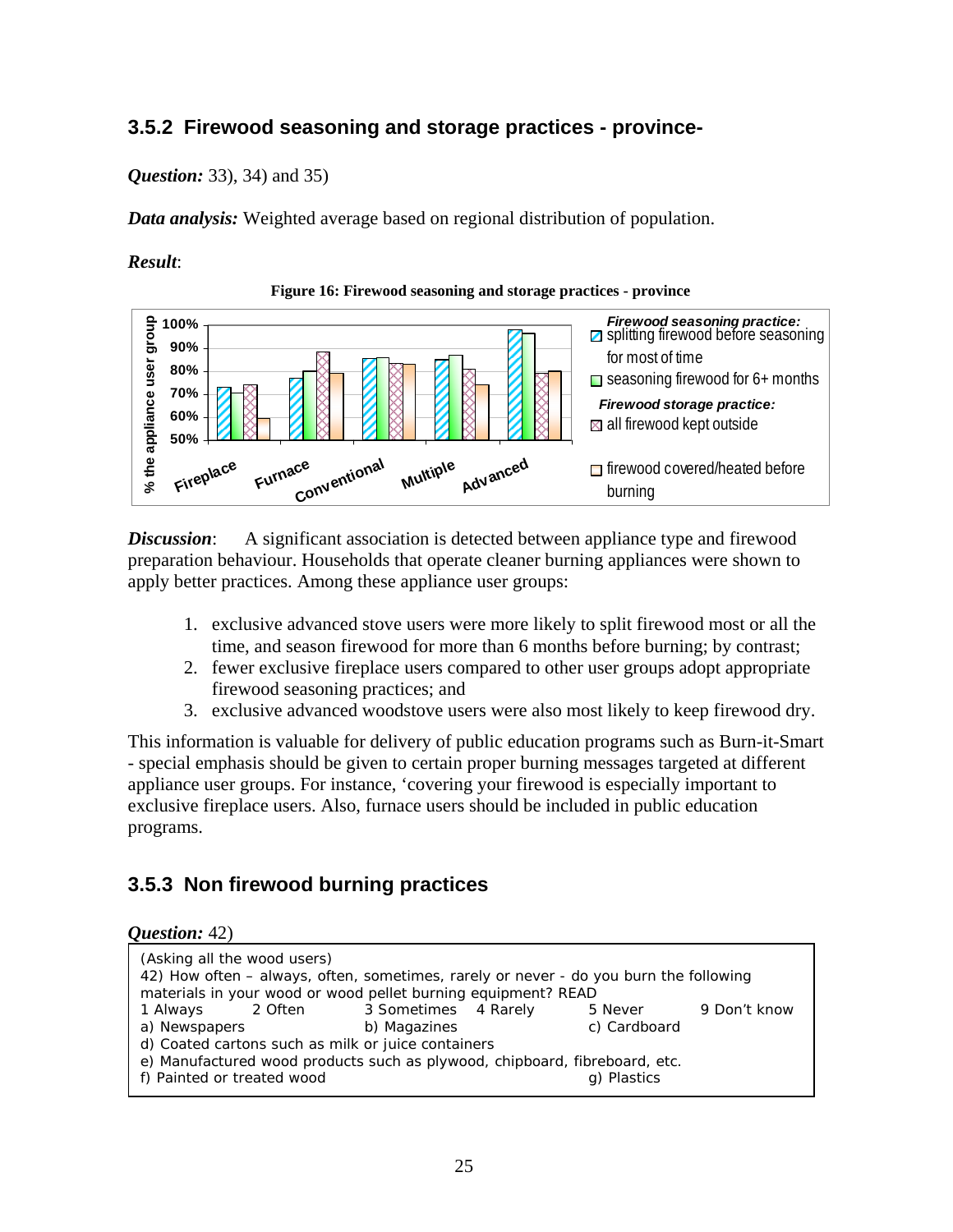### **3.5.2 Firewood seasoning and storage practices - province-**

#### *Question:* 33), 34) and 35)

*Data analysis:* Weighted average based on regional distribution of population.

#### *Result*:



**Discussion:** A significant association is detected between appliance type and firewood preparation behaviour. Households that operate cleaner burning appliances were shown to apply better practices. Among these appliance user groups:

- 1. exclusive advanced stove users were more likely to split firewood most or all the time, and season firewood for more than 6 months before burning; by contrast;
- 2. fewer exclusive fireplace users compared to other user groups adopt appropriate firewood seasoning practices; and
- 3. exclusive advanced woodstove users were also most likely to keep firewood dry.

This information is valuable for delivery of public education programs such as Burn-it-Smart - special emphasis should be given to certain proper burning messages targeted at different appliance user groups. For instance, 'covering your firewood is especially important to exclusive fireplace users. Also, furnace users should be included in public education programs.

### **3.5.3 Non firewood burning practices**

#### *Question:* 42)

|              |                                                                      | 5 Never                                                                    | 9 Don't know                                                                                                                                                                                                                         |
|--------------|----------------------------------------------------------------------|----------------------------------------------------------------------------|--------------------------------------------------------------------------------------------------------------------------------------------------------------------------------------------------------------------------------------|
| b) Magazines |                                                                      | c) Cardboard                                                               |                                                                                                                                                                                                                                      |
|              |                                                                      |                                                                            |                                                                                                                                                                                                                                      |
|              |                                                                      | g) Plastics                                                                |                                                                                                                                                                                                                                      |
|              | (Asking all the wood users)<br>2 Often<br>f) Painted or treated wood | 3 Sometimes 4 Rarely<br>d) Coated cartons such as milk or juice containers | 42) How often - always, often, sometimes, rarely or never - do you burn the following<br>materials in your wood or wood pellet burning equipment? READ<br>e) Manufactured wood products such as plywood, chipboard, fibreboard, etc. |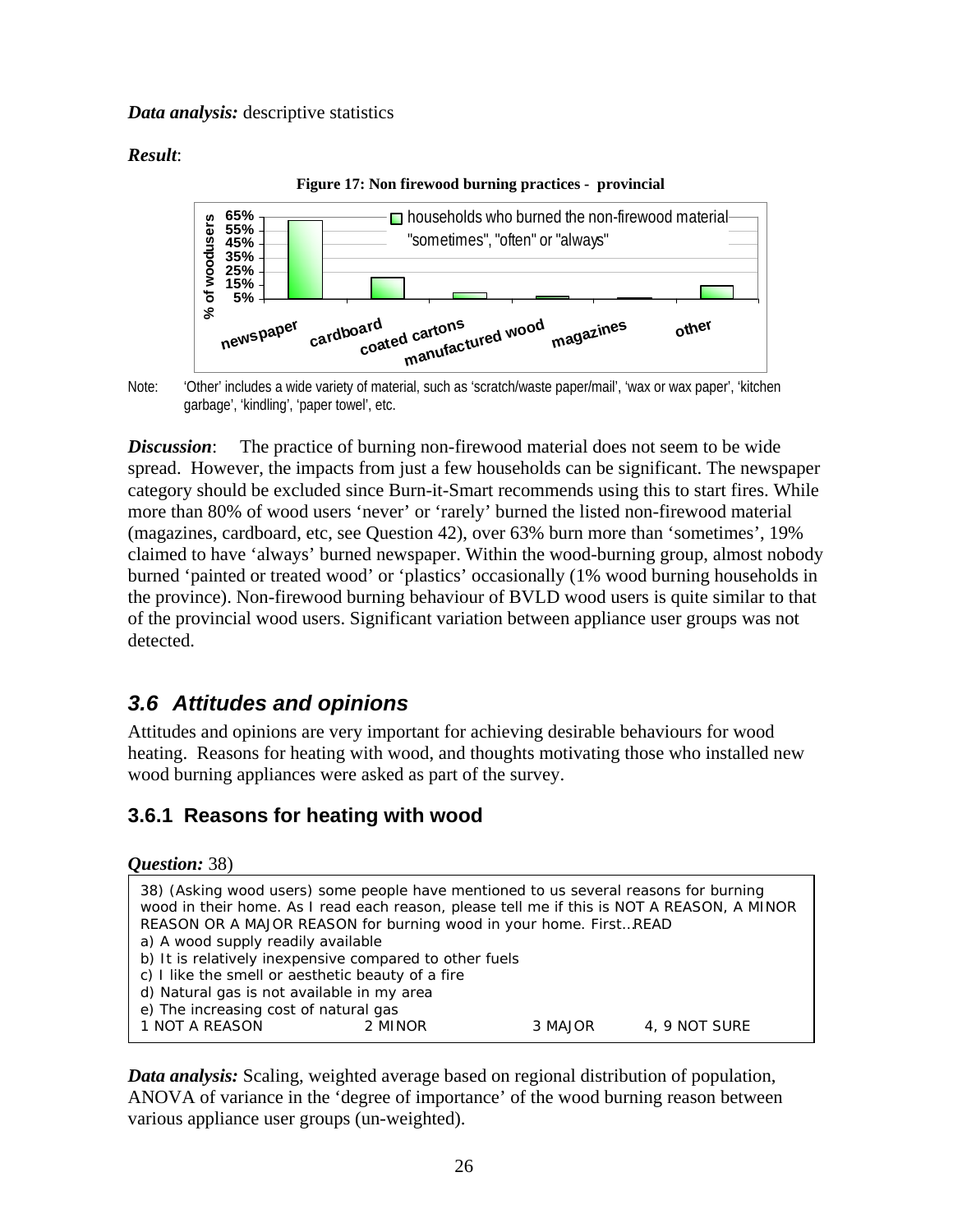### *Result*:





Note: 'Other' includes a wide variety of material, such as 'scratch/waste paper/mail', 'wax or wax paper', 'kitchen garbage', 'kindling', 'paper towel', etc.

*Discussion*: The practice of burning non-firewood material does not seem to be wide spread. However, the impacts from just a few households can be significant. The newspaper category should be excluded since Burn-it-Smart recommends using this to start fires. While more than 80% of wood users 'never' or 'rarely' burned the listed non-firewood material (magazines, cardboard, etc, see Question 42), over 63% burn more than 'sometimes', 19% claimed to have 'always' burned newspaper. Within the wood-burning group, almost nobody burned 'painted or treated wood' or 'plastics' occasionally (1% wood burning households in the province). Non-firewood burning behaviour of BVLD wood users is quite similar to that of the provincial wood users. Significant variation between appliance user groups was not detected.

### *3.6 Attitudes and opinions*

Attitudes and opinions are very important for achieving desirable behaviours for wood heating. Reasons for heating with wood, and thoughts motivating those who installed new wood burning appliances were asked as part of the survey.

### **3.6.1 Reasons for heating with wood**

#### *Question:* 38)

| a) A wood supply readily available                | 38) (Asking wood users) some people have mentioned to us several reasons for burning<br>wood in their home. As I read each reason, please tell me if this is NOT A REASON, A MINOR<br>REASON OR A MAJOR REASON for burning wood in your home. FirstREAD<br>b) It is relatively inexpensive compared to other fuels |              |  |  |  |
|---------------------------------------------------|--------------------------------------------------------------------------------------------------------------------------------------------------------------------------------------------------------------------------------------------------------------------------------------------------------------------|--------------|--|--|--|
| c) I like the smell or aesthetic beauty of a fire |                                                                                                                                                                                                                                                                                                                    |              |  |  |  |
| d) Natural gas is not available in my area        |                                                                                                                                                                                                                                                                                                                    |              |  |  |  |
| e) The increasing cost of natural gas             |                                                                                                                                                                                                                                                                                                                    |              |  |  |  |
| 1 NOT A REASON<br>2 MINOR                         | 3 MAJOR                                                                                                                                                                                                                                                                                                            | 4.9 NOT SURE |  |  |  |

*Data analysis:* Scaling, weighted average based on regional distribution of population, ANOVA of variance in the 'degree of importance' of the wood burning reason between various appliance user groups (un-weighted).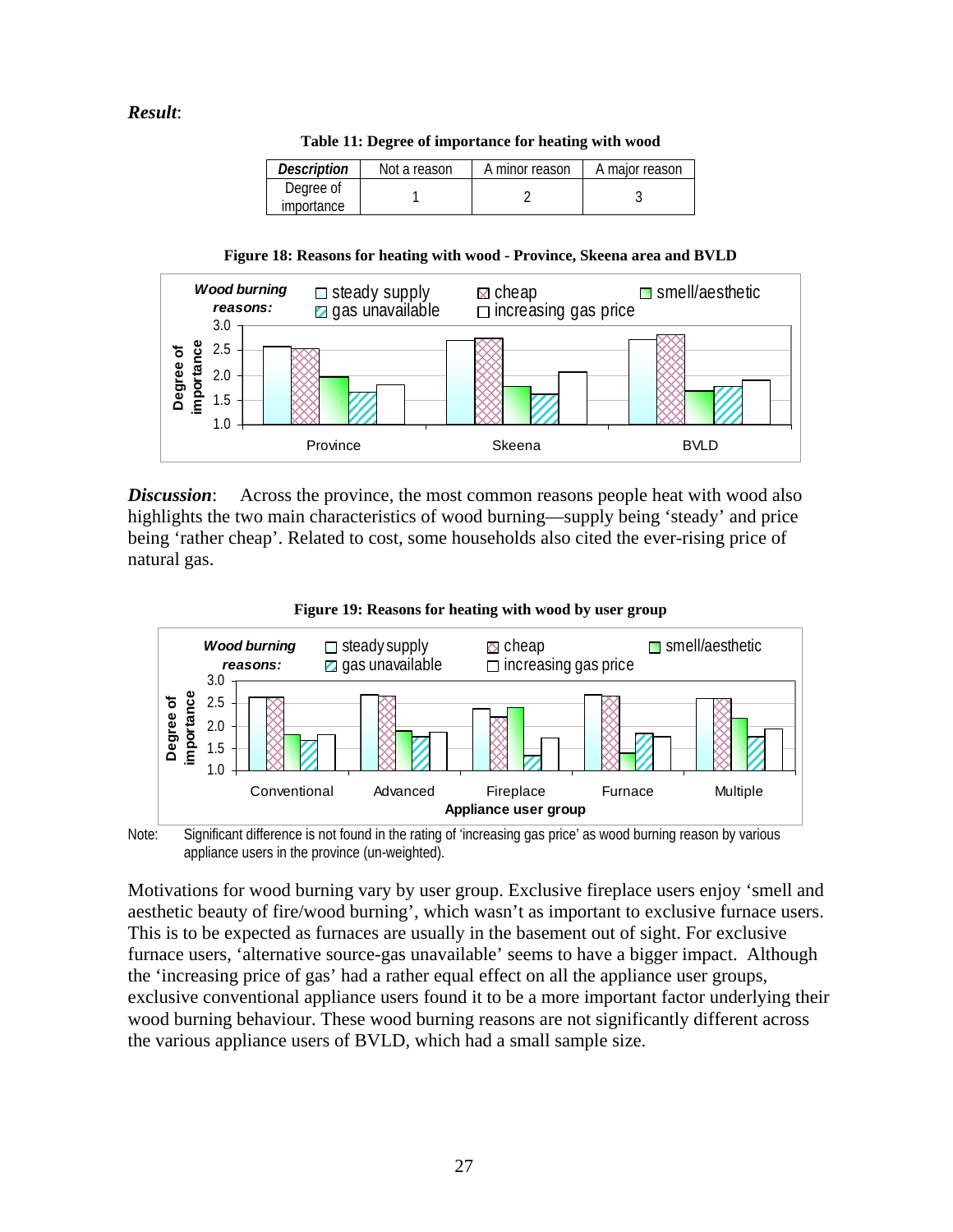#### *Result*:

**Table 11: Degree of importance for heating with wood** 

| <b>Description</b> | Not a reason | A minor reason | A maior reason |
|--------------------|--------------|----------------|----------------|
| Degree of          |              |                |                |
| importance         |              |                |                |

#### **Figure 18: Reasons for heating with wood - Province, Skeena area and BVLD**



*Discussion*: Across the province, the most common reasons people heat with wood also highlights the two main characteristics of wood burning—supply being 'steady' and price being 'rather cheap'. Related to cost, some households also cited the ever-rising price of natural gas.



**Figure 19: Reasons for heating with wood by user group** 

Note: Significant difference is not found in the rating of 'increasing gas price' as wood burning reason by various appliance users in the province (un-weighted).

Motivations for wood burning vary by user group. Exclusive fireplace users enjoy 'smell and aesthetic beauty of fire/wood burning', which wasn't as important to exclusive furnace users. This is to be expected as furnaces are usually in the basement out of sight. For exclusive furnace users, 'alternative source-gas unavailable' seems to have a bigger impact. Although the 'increasing price of gas' had a rather equal effect on all the appliance user groups, exclusive conventional appliance users found it to be a more important factor underlying their wood burning behaviour. These wood burning reasons are not significantly different across the various appliance users of BVLD, which had a small sample size.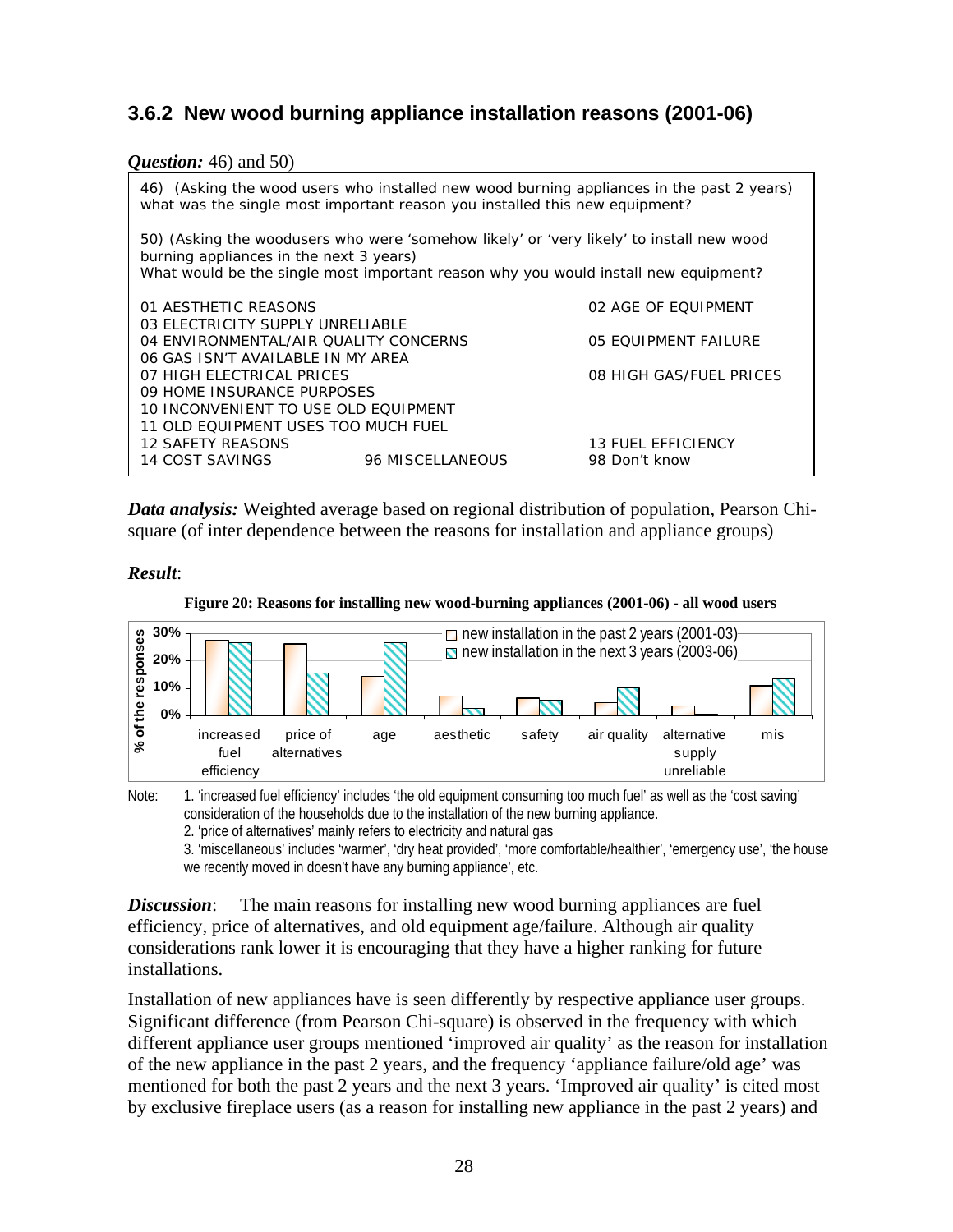### **3.6.2 New wood burning appliance installation reasons (2001-06)**

#### *Question:* 46) and 50)

| 46) (Asking the wood users who installed new wood burning appliances in the past 2 years)<br>what was the single most important reason you installed this new equipment?                                                   |                  |                                            |  |  |  |
|----------------------------------------------------------------------------------------------------------------------------------------------------------------------------------------------------------------------------|------------------|--------------------------------------------|--|--|--|
| 50) (Asking the woodusers who were 'somehow likely' or 'very likely' to install new wood<br>burning appliances in the next 3 years)<br>What would be the single most important reason why you would install new equipment? |                  |                                            |  |  |  |
| 01 AESTHETIC REASONS                                                                                                                                                                                                       |                  | 02 AGE OF EQUIPMENT                        |  |  |  |
| 03 ELECTRICITY SUPPLY UNRELIABLE<br>04 ENVIRONMENTAL/AIR OUALITY CONCERNS<br>06 GAS ISN'T AVAILABLE IN MY AREA                                                                                                             |                  | 05 EQUIPMENT FAILURE                       |  |  |  |
| 07 HIGH FLECTRICAL PRICES<br>09 HOME INSURANCE PURPOSES<br>10 INCONVENIENT TO USE OLD EQUIPMENT                                                                                                                            |                  | 08 HIGH GAS/FUEL PRICES                    |  |  |  |
| 11 OLD EQUIPMENT USES TOO MUCH FUEL                                                                                                                                                                                        |                  |                                            |  |  |  |
| 12 SAFETY REASONS<br>14 COST SAVINGS                                                                                                                                                                                       | 96 MISCELLANEOUS | <b>13 FUEL EFFICIENCY</b><br>98 Don't know |  |  |  |

*Data analysis:* Weighted average based on regional distribution of population, Pearson Chisquare (of inter dependence between the reasons for installation and appliance groups)

#### *Result*:





Note: 1. 'increased fuel efficiency' includes 'the old equipment consuming too much fuel' as well as the 'cost saving' consideration of the households due to the installation of the new burning appliance.

2. 'price of alternatives' mainly refers to electricity and natural gas

 3. 'miscellaneous' includes 'warmer', 'dry heat provided', 'more comfortable/healthier', 'emergency use', 'the house we recently moved in doesn't have any burning appliance', etc.

*Discussion*: The main reasons for installing new wood burning appliances are fuel efficiency, price of alternatives, and old equipment age/failure. Although air quality considerations rank lower it is encouraging that they have a higher ranking for future installations.

Installation of new appliances have is seen differently by respective appliance user groups. Significant difference (from Pearson Chi-square) is observed in the frequency with which different appliance user groups mentioned 'improved air quality' as the reason for installation of the new appliance in the past 2 years, and the frequency 'appliance failure/old age' was mentioned for both the past 2 years and the next 3 years. 'Improved air quality' is cited most by exclusive fireplace users (as a reason for installing new appliance in the past 2 years) and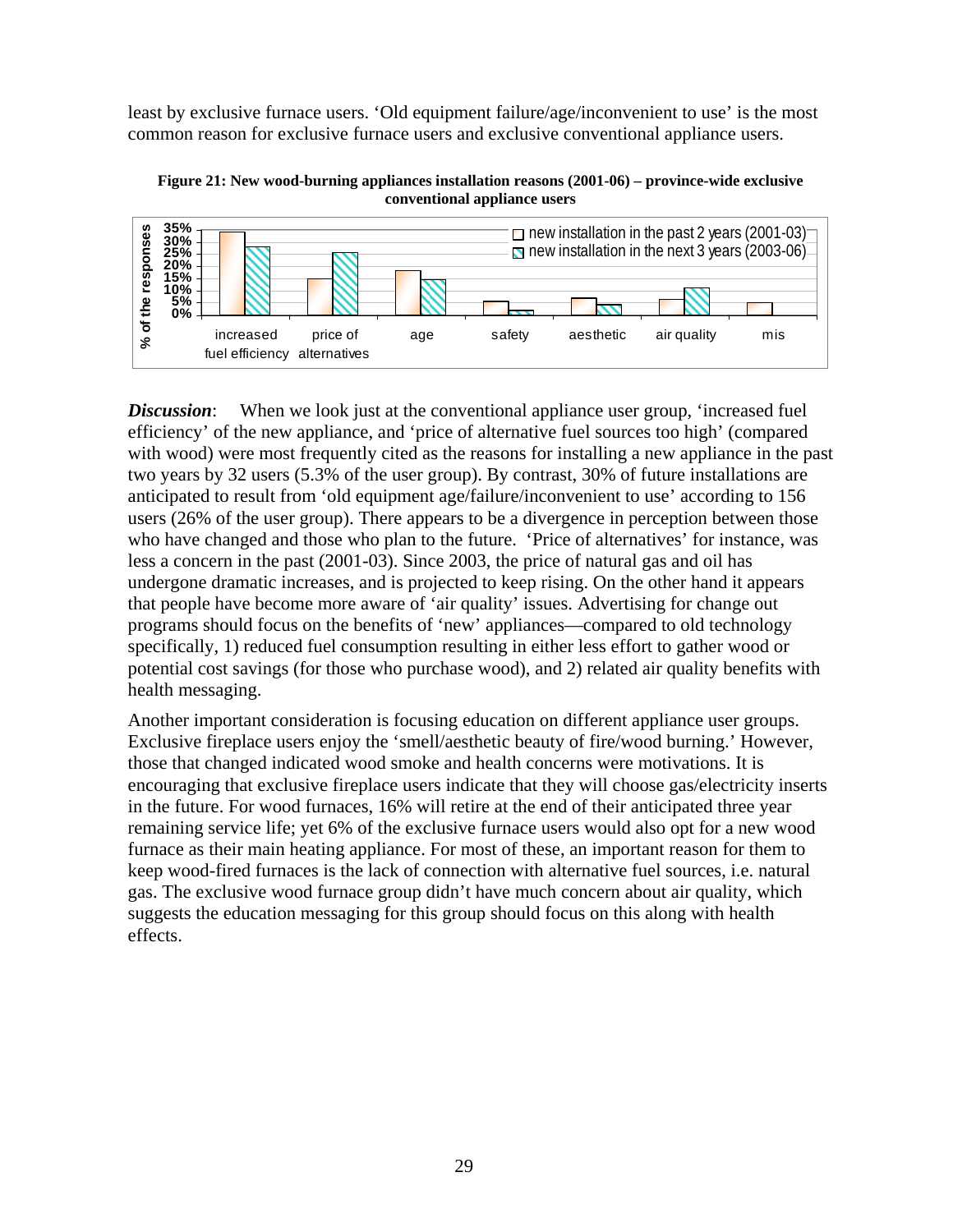least by exclusive furnace users. 'Old equipment failure/age/inconvenient to use' is the most common reason for exclusive furnace users and exclusive conventional appliance users.



**Figure 21: New wood-burning appliances installation reasons (2001-06) – province-wide exclusive conventional appliance users** 

**Discussion:** When we look just at the conventional appliance user group, 'increased fuel efficiency' of the new appliance, and 'price of alternative fuel sources too high' (compared with wood) were most frequently cited as the reasons for installing a new appliance in the past two years by 32 users (5.3% of the user group). By contrast, 30% of future installations are anticipated to result from 'old equipment age/failure/inconvenient to use' according to 156 users (26% of the user group). There appears to be a divergence in perception between those who have changed and those who plan to the future. 'Price of alternatives' for instance, was less a concern in the past (2001-03). Since 2003, the price of natural gas and oil has undergone dramatic increases, and is projected to keep rising. On the other hand it appears that people have become more aware of 'air quality' issues. Advertising for change out programs should focus on the benefits of 'new' appliances—compared to old technology specifically, 1) reduced fuel consumption resulting in either less effort to gather wood or potential cost savings (for those who purchase wood), and 2) related air quality benefits with health messaging.

Another important consideration is focusing education on different appliance user groups. Exclusive fireplace users enjoy the 'smell/aesthetic beauty of fire/wood burning.' However, those that changed indicated wood smoke and health concerns were motivations. It is encouraging that exclusive fireplace users indicate that they will choose gas/electricity inserts in the future. For wood furnaces, 16% will retire at the end of their anticipated three year remaining service life; yet 6% of the exclusive furnace users would also opt for a new wood furnace as their main heating appliance. For most of these, an important reason for them to keep wood-fired furnaces is the lack of connection with alternative fuel sources, i.e. natural gas. The exclusive wood furnace group didn't have much concern about air quality, which suggests the education messaging for this group should focus on this along with health effects.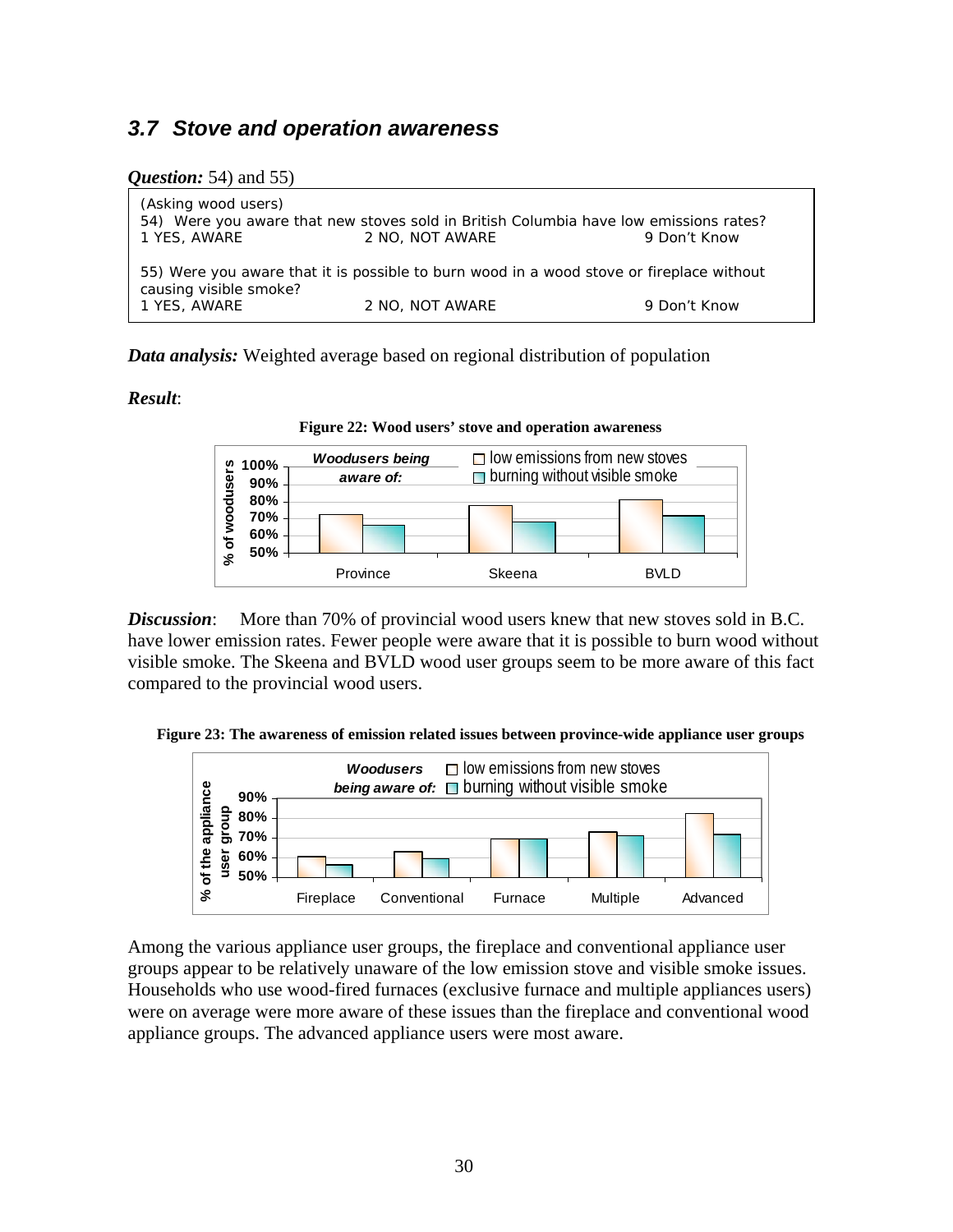### *3.7 Stove and operation awareness*

*<i>Question:* 54) and 55)

| (Asking wood users)<br>1 YES, AWARE | 54) Were you aware that new stoves sold in British Columbia have low emissions rates?<br>2 NO, NOT AWARE | 9 Don't Know |
|-------------------------------------|----------------------------------------------------------------------------------------------------------|--------------|
| causing visible smoke?              | 55) Were you aware that it is possible to burn wood in a wood stove or fireplace without                 |              |
| 1 YES, AWARE                        | 2 NO, NOT AWARE                                                                                          | 9 Don't Know |

*Data analysis:* Weighted average based on regional distribution of population

#### *Result*:



*Discussion*: More than 70% of provincial wood users knew that new stoves sold in B.C. have lower emission rates. Fewer people were aware that it is possible to burn wood without visible smoke. The Skeena and BVLD wood user groups seem to be more aware of this fact compared to the provincial wood users.





Among the various appliance user groups, the fireplace and conventional appliance user groups appear to be relatively unaware of the low emission stove and visible smoke issues. Households who use wood-fired furnaces (exclusive furnace and multiple appliances users) were on average were more aware of these issues than the fireplace and conventional wood appliance groups. The advanced appliance users were most aware.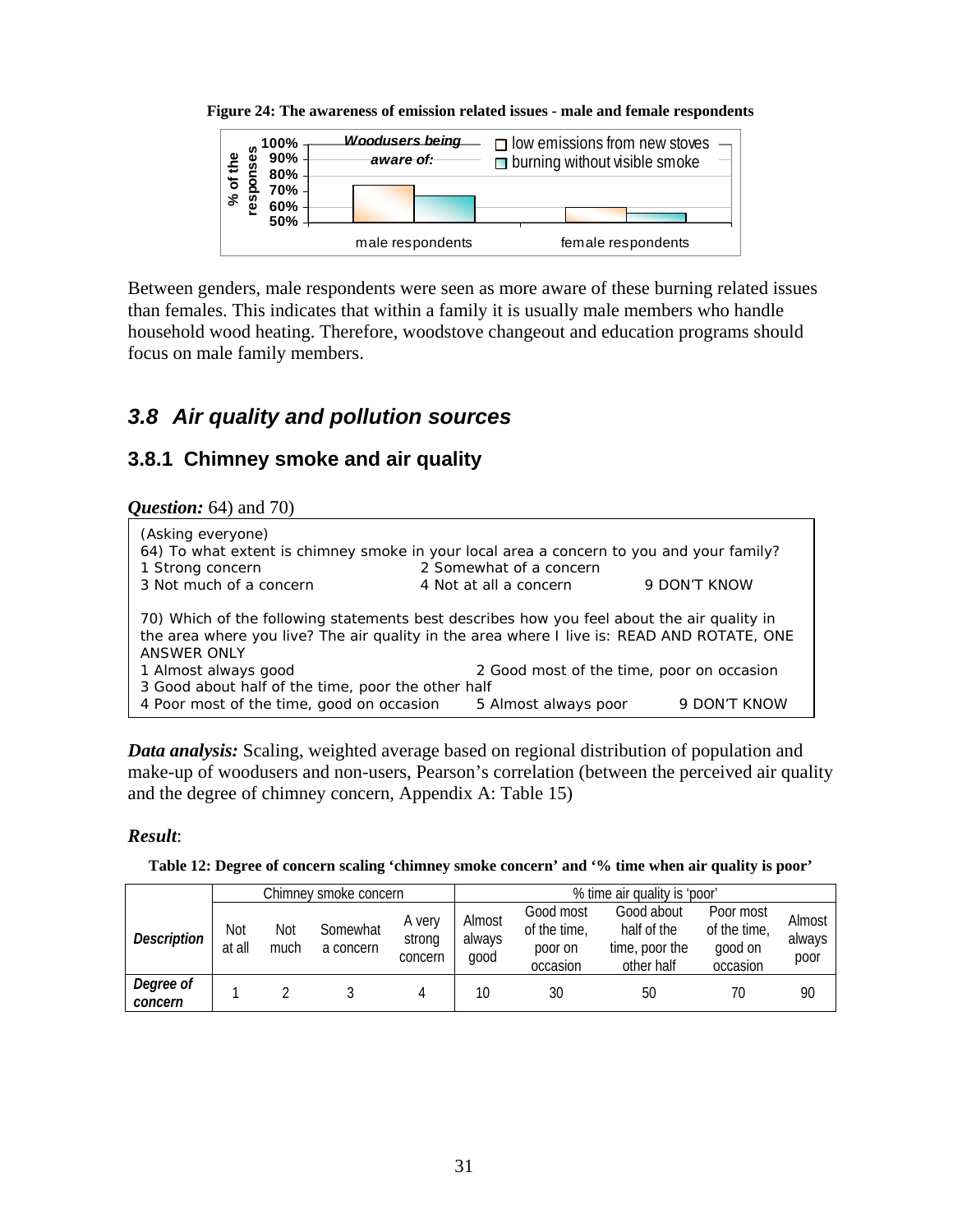

**Figure 24: The awareness of emission related issues - male and female respondents** 

Between genders, male respondents were seen as more aware of these burning related issues than females. This indicates that within a family it is usually male members who handle household wood heating. Therefore, woodstove changeout and education programs should focus on male family members.

# *3.8 Air quality and pollution sources*

### **3.8.1 Chimney smoke and air quality**

| <i>Question:</i> 64) and 70) |  |  |
|------------------------------|--|--|
|                              |  |  |

| (Asking everyone)<br>64) To what extent is chimney smoke in your local area a concern to you and your family?<br>1 Strong concern<br>3 Not much of a concern                                                   | 2 Somewhat of a concern<br>4 Not at all a concern | 9 DON'T KNOW |
|----------------------------------------------------------------------------------------------------------------------------------------------------------------------------------------------------------------|---------------------------------------------------|--------------|
| 70) Which of the following statements best describes how you feel about the air quality in<br>the area where you live? The air quality in the area where I live is: READ AND ROTATE, ONE<br><b>ANSWER ONLY</b> |                                                   |              |
| 1 Almost always good                                                                                                                                                                                           | 2 Good most of the time, poor on occasion         |              |
| 3 Good about half of the time, poor the other half                                                                                                                                                             |                                                   |              |
| 4 Poor most of the time, good on occasion                                                                                                                                                                      | 5 Almost always poor                              | 9 DON'T KNOW |

*Data analysis:* Scaling, weighted average based on regional distribution of population and make-up of woodusers and non-users, Pearson's correlation (between the perceived air quality and the degree of chimney concern, Appendix A: Table 15)

#### *Result*:

**Table 12: Degree of concern scaling 'chimney smoke concern' and '% time when air quality is poor'** 

|                      |               |             | Chimnev smoke concern |                             | % time air quality is 'poor' |                                                  |                                                           |                                                  |                          |
|----------------------|---------------|-------------|-----------------------|-----------------------------|------------------------------|--------------------------------------------------|-----------------------------------------------------------|--------------------------------------------------|--------------------------|
| <b>Description</b>   | Not<br>at all | Not<br>much | Somewhat<br>a concern | A very<br>strong<br>concern | Almost<br>always<br>good     | Good most<br>of the time.<br>poor on<br>occasion | Good about<br>half of the<br>time, poor the<br>other half | Poor most<br>of the time,<br>good on<br>occasion | Almost<br>always<br>poor |
| Degree of<br>concern |               |             |                       |                             | 10                           | 30                                               | 50                                                        | 70                                               | 90                       |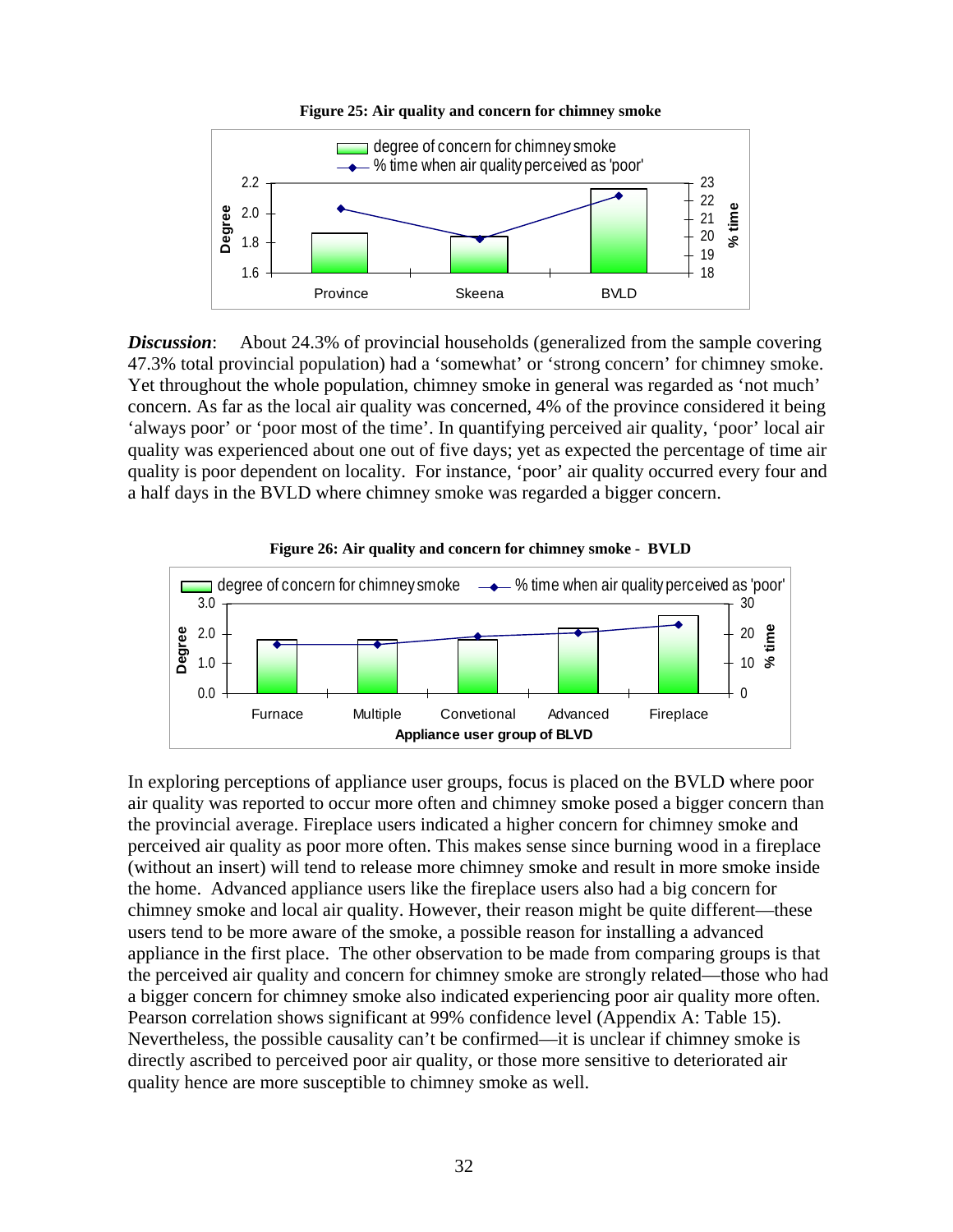

*Discussion*: About 24.3% of provincial households (generalized from the sample covering 47.3% total provincial population) had a 'somewhat' or 'strong concern' for chimney smoke. Yet throughout the whole population, chimney smoke in general was regarded as 'not much' concern. As far as the local air quality was concerned, 4% of the province considered it being 'always poor' or 'poor most of the time'. In quantifying perceived air quality, 'poor' local air quality was experienced about one out of five days; yet as expected the percentage of time air quality is poor dependent on locality. For instance, 'poor' air quality occurred every four and a half days in the BVLD where chimney smoke was regarded a bigger concern.





In exploring perceptions of appliance user groups, focus is placed on the BVLD where poor air quality was reported to occur more often and chimney smoke posed a bigger concern than the provincial average. Fireplace users indicated a higher concern for chimney smoke and perceived air quality as poor more often. This makes sense since burning wood in a fireplace (without an insert) will tend to release more chimney smoke and result in more smoke inside the home. Advanced appliance users like the fireplace users also had a big concern for chimney smoke and local air quality. However, their reason might be quite different—these users tend to be more aware of the smoke, a possible reason for installing a advanced appliance in the first place. The other observation to be made from comparing groups is that the perceived air quality and concern for chimney smoke are strongly related—those who had a bigger concern for chimney smoke also indicated experiencing poor air quality more often. Pearson correlation shows significant at 99% confidence level (Appendix A: Table 15). Nevertheless, the possible causality can't be confirmed—it is unclear if chimney smoke is directly ascribed to perceived poor air quality, or those more sensitive to deteriorated air quality hence are more susceptible to chimney smoke as well.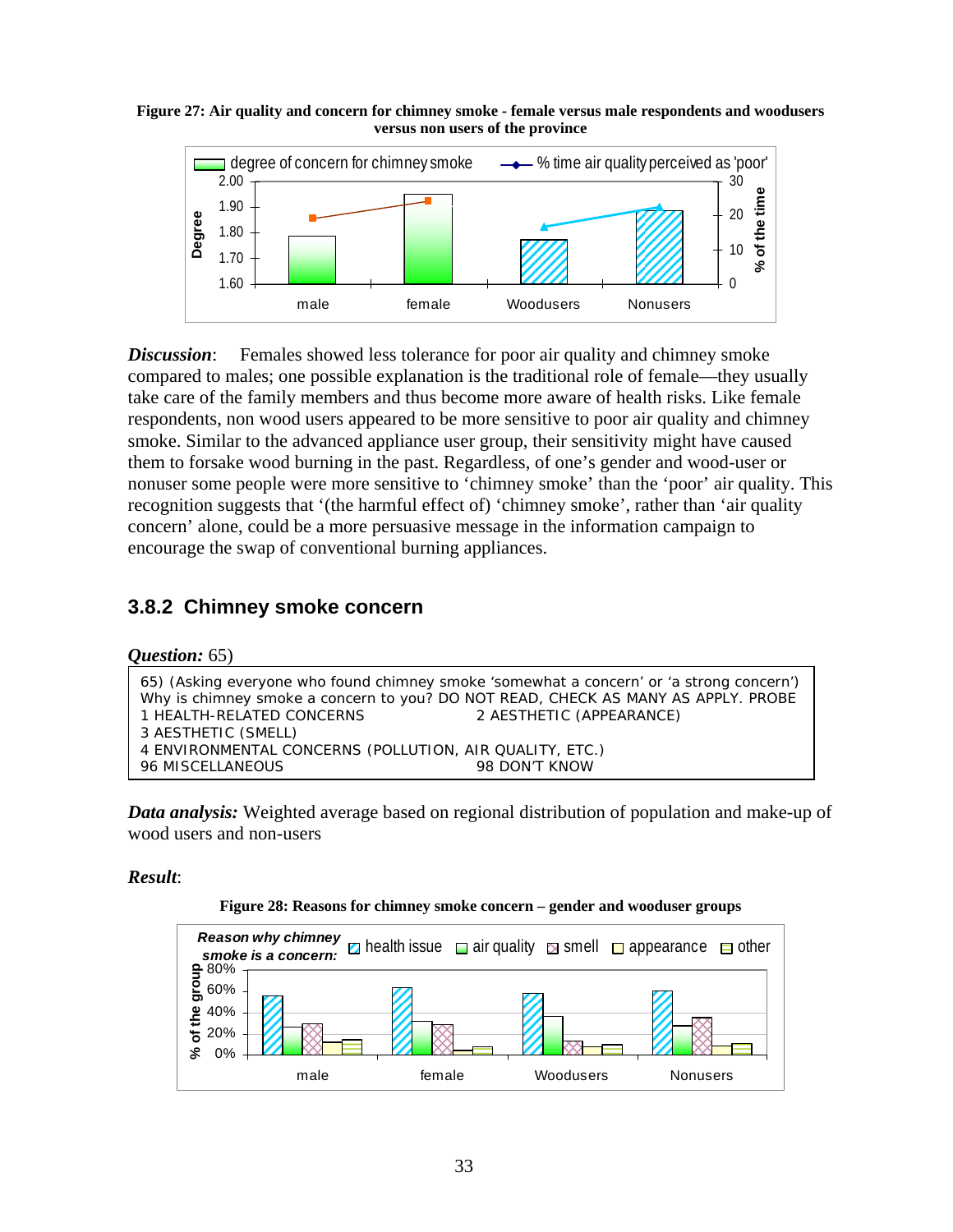#### **Figure 27: Air quality and concern for chimney smoke - female versus male respondents and woodusers versus non users of the province**



*Discussion*: Females showed less tolerance for poor air quality and chimney smoke compared to males; one possible explanation is the traditional role of female—they usually take care of the family members and thus become more aware of health risks. Like female respondents, non wood users appeared to be more sensitive to poor air quality and chimney smoke. Similar to the advanced appliance user group, their sensitivity might have caused them to forsake wood burning in the past. Regardless, of one's gender and wood-user or nonuser some people were more sensitive to 'chimney smoke' than the 'poor' air quality. This recognition suggests that '(the harmful effect of) 'chimney smoke', rather than 'air quality concern' alone, could be a more persuasive message in the information campaign to encourage the swap of conventional burning appliances.

### **3.8.2 Chimney smoke concern**

#### *Question:* 65)

65) *(Asking everyone who found chimney smoke 'somewhat a concern' or 'a strong concern')*  Why is chimney smoke a concern to you? DO NOT READ, CHECK AS MANY AS APPLY. PROBE 1 HEALTH-RELATED CONCERNS 2 AESTHETIC (APPEARANCE) 3 AESTHETIC (SMELL) 4 ENVIRONMENTAL CONCERNS (POLLUTION, AIR QUALITY, ETC.) 96 MISCELLANEOUS 98 DON'T KNOW

*Data analysis:* Weighted average based on regional distribution of population and make-up of wood users and non-users

#### *Result*:



#### **Figure 28: Reasons for chimney smoke concern – gender and wooduser groups**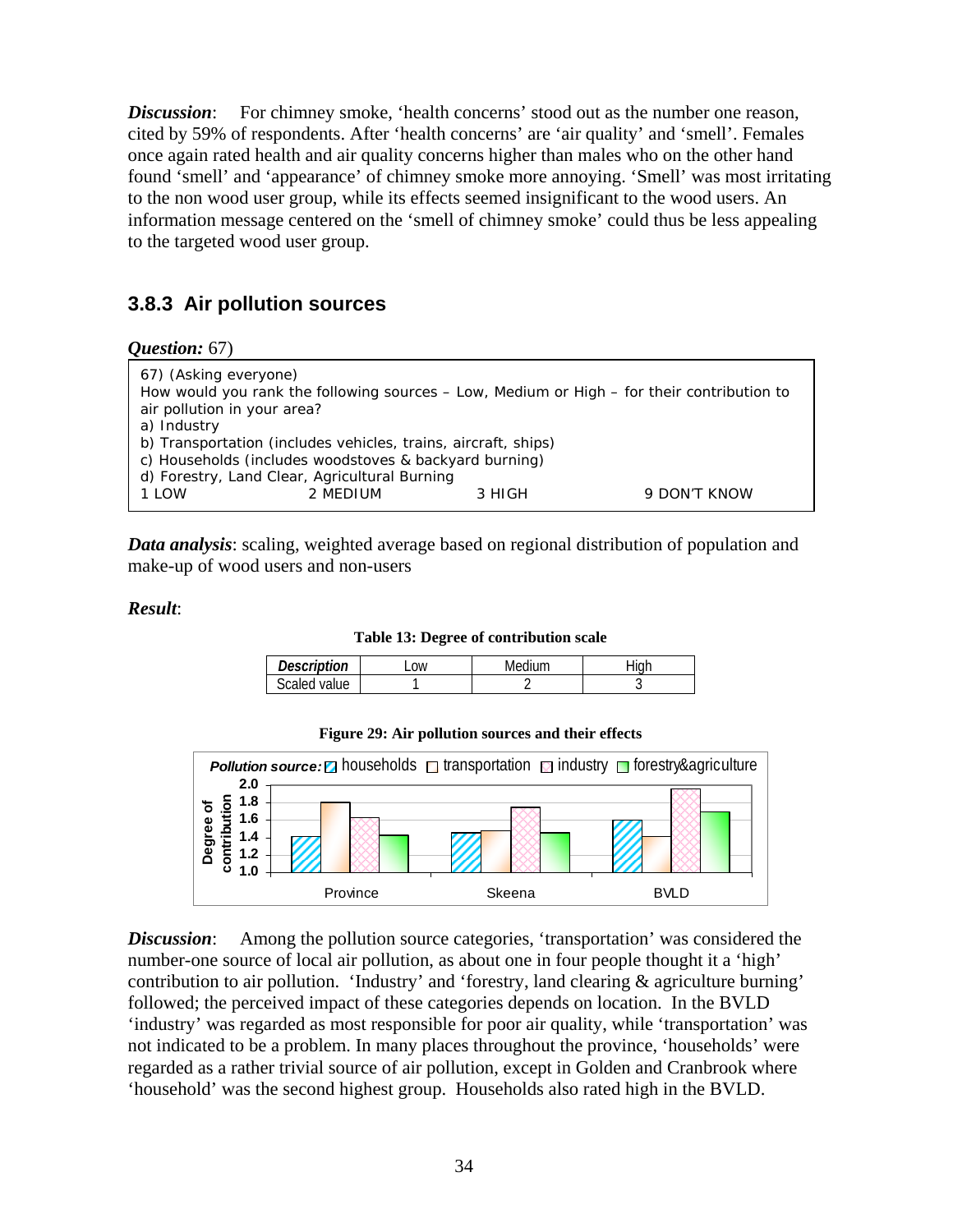*Discussion*: For chimney smoke, 'health concerns' stood out as the number one reason, cited by 59% of respondents. After 'health concerns' are 'air quality' and 'smell'. Females once again rated health and air quality concerns higher than males who on the other hand found 'smell' and 'appearance' of chimney smoke more annoying. 'Smell' was most irritating to the non wood user group, while its effects seemed insignificant to the wood users. An information message centered on the 'smell of chimney smoke' could thus be less appealing to the targeted wood user group.

### **3.8.3 Air pollution sources**

#### *Question:* 67)

| 67) (Asking everyone)       |                                                                |        |                                                                                                |
|-----------------------------|----------------------------------------------------------------|--------|------------------------------------------------------------------------------------------------|
|                             |                                                                |        | How would you rank the following sources $-$ Low, Medium or High $-$ for their contribution to |
| air pollution in your area? |                                                                |        |                                                                                                |
| a) Industry                 |                                                                |        |                                                                                                |
|                             | b) Transportation (includes vehicles, trains, aircraft, ships) |        |                                                                                                |
|                             | c) Households (includes woodstoves & backyard burning)         |        |                                                                                                |
|                             | d) Forestry, Land Clear, Agricultural Burning                  |        |                                                                                                |
| 1 LOW                       | 2 MEDIUM                                                       | 3 HIGH | 9 DON'T KNOW                                                                                   |
|                             |                                                                |        |                                                                                                |

*Data analysis*: scaling, weighted average based on regional distribution of population and make-up of wood users and non-users

#### *Result*:

**Table 13: Degree of contribution scale** 

| <b>Description</b> | ОW | Medium |  |
|--------------------|----|--------|--|
| caled value        |    |        |  |



**Figure 29: Air pollution sources and their effects** 

*Discussion*: Among the pollution source categories, 'transportation' was considered the number-one source of local air pollution, as about one in four people thought it a 'high' contribution to air pollution. 'Industry' and 'forestry, land clearing & agriculture burning' followed; the perceived impact of these categories depends on location. In the BVLD 'industry' was regarded as most responsible for poor air quality, while 'transportation' was not indicated to be a problem. In many places throughout the province, 'households' were regarded as a rather trivial source of air pollution, except in Golden and Cranbrook where 'household' was the second highest group. Households also rated high in the BVLD.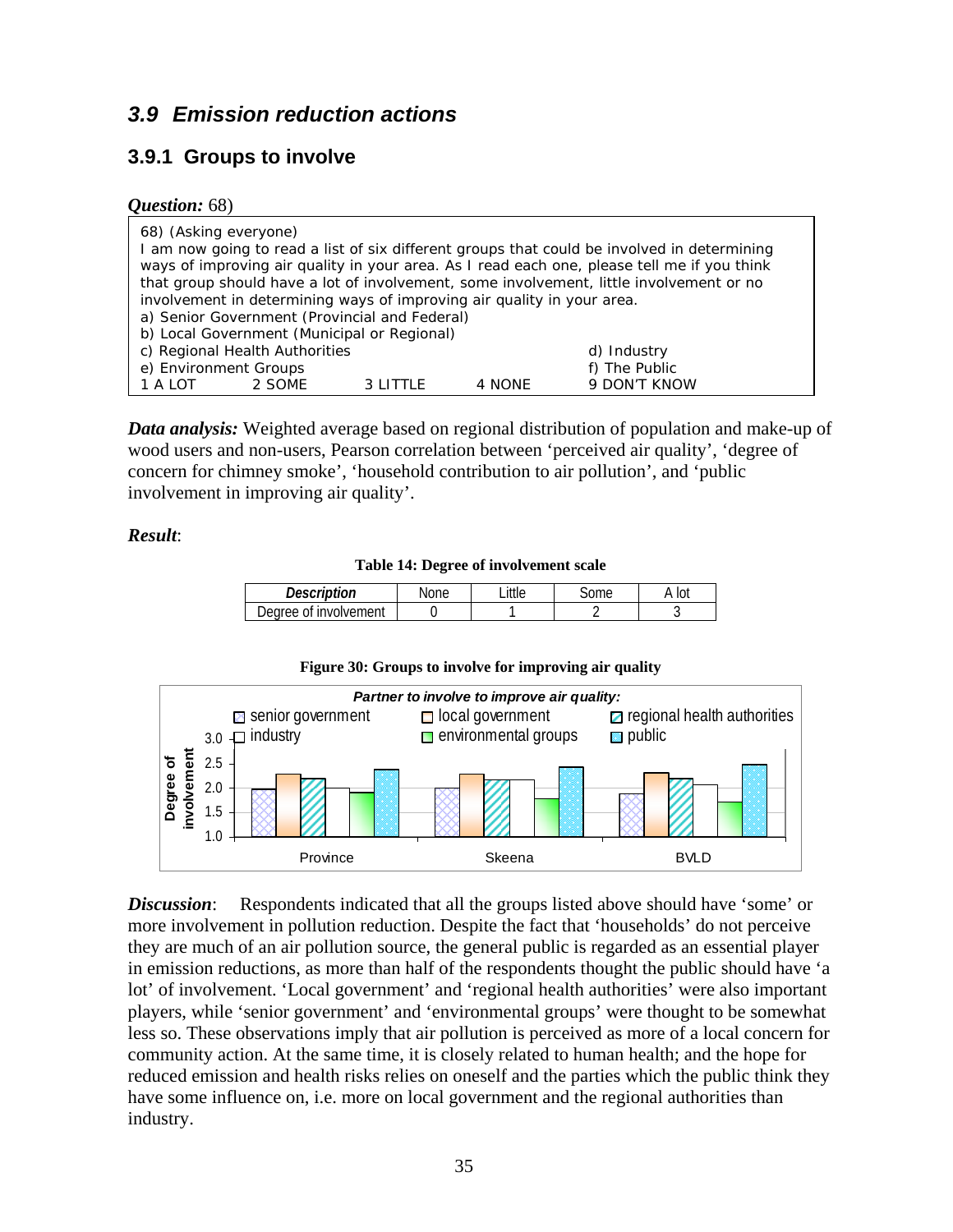### *3.9 Emission reduction actions*

### **3.9.1 Groups to involve**

#### *Question:* 68)

| 68) (Asking everyone)                         |        |                                                                        |        |                                                                                             |  |
|-----------------------------------------------|--------|------------------------------------------------------------------------|--------|---------------------------------------------------------------------------------------------|--|
|                                               |        |                                                                        |        | I am now going to read a list of six different groups that could be involved in determining |  |
|                                               |        |                                                                        |        | ways of improving air quality in your area. As I read each one, please tell me if you think |  |
|                                               |        |                                                                        |        | that group should have a lot of involvement, some involvement, little involvement or no     |  |
|                                               |        | involvement in determining ways of improving air quality in your area. |        |                                                                                             |  |
|                                               |        | a) Senior Government (Provincial and Federal)                          |        |                                                                                             |  |
|                                               |        | b) Local Government (Municipal or Regional)                            |        |                                                                                             |  |
| c) Regional Health Authorities<br>d) Industry |        |                                                                        |        |                                                                                             |  |
| f) The Public<br>e) Environment Groups        |        |                                                                        |        |                                                                                             |  |
| 1 A LOT                                       | 2 SOME |                                                                        | 4 NONE | 9 DON'T KNOW                                                                                |  |

*Data analysis:* Weighted average based on regional distribution of population and make-up of wood users and non-users, Pearson correlation between 'perceived air quality', 'degree of concern for chimney smoke', 'household contribution to air pollution', and 'public involvement in improving air quality'.

#### *Result*:

**Table 14: Degree of involvement scale** 

| <b>Description</b>    | one<br>NΙ | ittle | I٥ |
|-----------------------|-----------|-------|----|
| Degree of involvement |           |       |    |

#### **Figure 30: Groups to involve for improving air quality**



**Discussion:** Respondents indicated that all the groups listed above should have 'some' or more involvement in pollution reduction. Despite the fact that 'households' do not perceive they are much of an air pollution source, the general public is regarded as an essential player in emission reductions, as more than half of the respondents thought the public should have 'a lot' of involvement. 'Local government' and 'regional health authorities' were also important players, while 'senior government' and 'environmental groups' were thought to be somewhat less so. These observations imply that air pollution is perceived as more of a local concern for community action. At the same time, it is closely related to human health; and the hope for reduced emission and health risks relies on oneself and the parties which the public think they have some influence on, i.e. more on local government and the regional authorities than industry.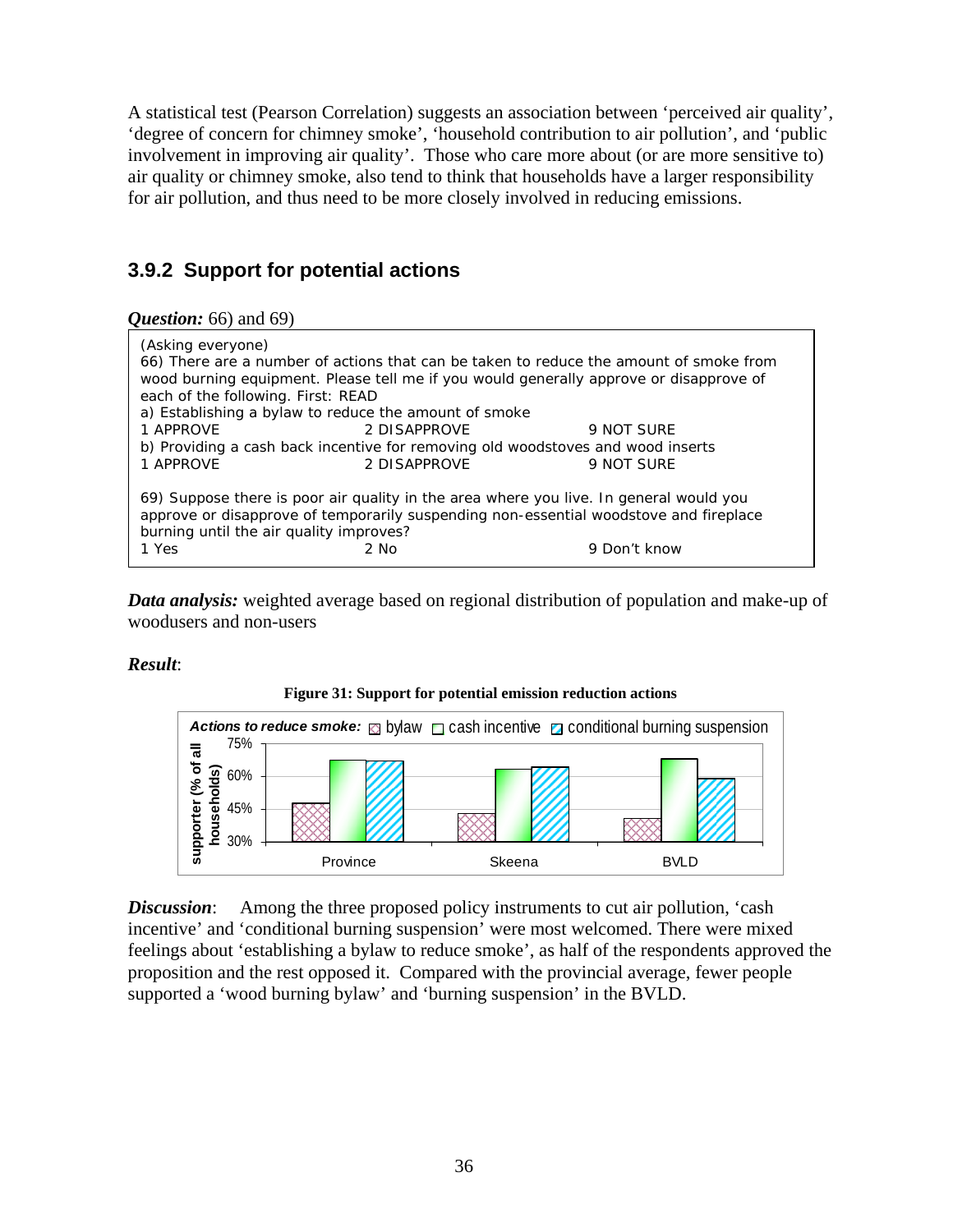A statistical test (Pearson Correlation) suggests an association between 'perceived air quality', 'degree of concern for chimney smoke', 'household contribution to air pollution', and 'public involvement in improving air quality'. Those who care more about (or are more sensitive to) air quality or chimney smoke, also tend to think that households have a larger responsibility for air pollution, and thus need to be more closely involved in reducing emissions.

### **3.9.2 Support for potential actions**

| <b>Question:</b> 66) and 69) |  |  |
|------------------------------|--|--|
|                              |  |  |

| <i>(Asking everyone)</i><br>66) There are a number of actions that can be taken to reduce the amount of smoke from<br>wood burning equipment. Please tell me if you would generally approve or disapprove of<br>each of the following. First: READ<br>a) Establishing a bylaw to reduce the amount of smoke |              |                                                                                               |  |  |  |  |
|-------------------------------------------------------------------------------------------------------------------------------------------------------------------------------------------------------------------------------------------------------------------------------------------------------------|--------------|-----------------------------------------------------------------------------------------------|--|--|--|--|
| 1 APPROVE                                                                                                                                                                                                                                                                                                   | 2 DISAPPROVE | 9 NOT SURE                                                                                    |  |  |  |  |
| 1 APPROVE                                                                                                                                                                                                                                                                                                   | 2 DISAPPROVE | b) Providing a cash back incentive for removing old woodstoves and wood inserts<br>9 NOT SURE |  |  |  |  |
| 69) Suppose there is poor air quality in the area where you live. In general would you<br>approve or disapprove of temporarily suspending non-essential woodstove and fireplace<br>burning until the air quality improves?<br>1 Yes<br>2 No<br>9 Don't know                                                 |              |                                                                                               |  |  |  |  |

*Data analysis:* weighted average based on regional distribution of population and make-up of woodusers and non-users

#### *Result*:



**Figure 31: Support for potential emission reduction actions** 

*Discussion*: Among the three proposed policy instruments to cut air pollution, 'cash incentive' and 'conditional burning suspension' were most welcomed. There were mixed feelings about 'establishing a bylaw to reduce smoke', as half of the respondents approved the proposition and the rest opposed it. Compared with the provincial average, fewer people supported a 'wood burning bylaw' and 'burning suspension' in the BVLD.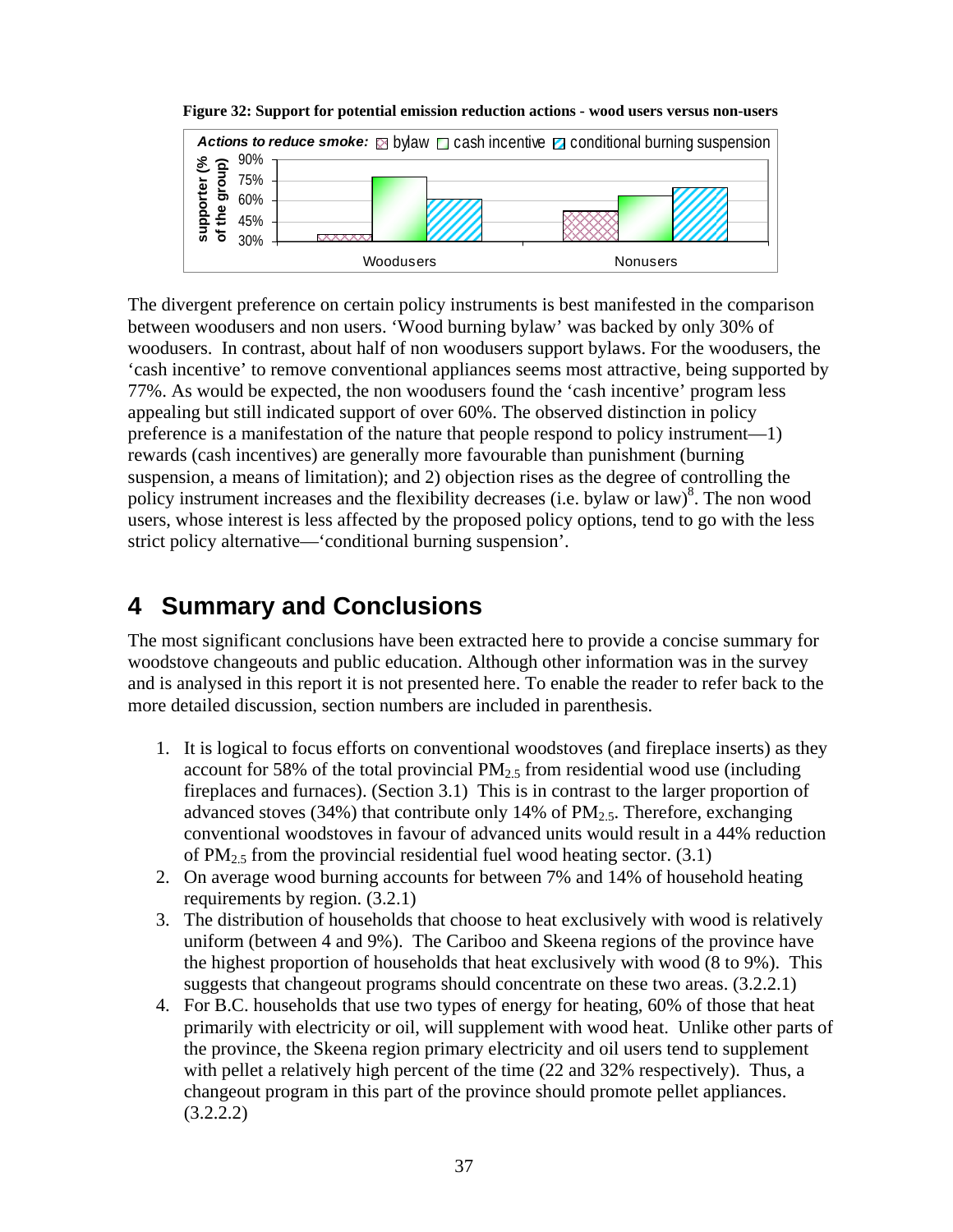**Figure 32: Support for potential emission reduction actions - wood users versus non-users** 



The divergent preference on certain policy instruments is best manifested in the comparison between woodusers and non users. 'Wood burning bylaw' was backed by only 30% of woodusers. In contrast, about half of non woodusers support bylaws. For the woodusers, the 'cash incentive' to remove conventional appliances seems most attractive, being supported by 77%. As would be expected, the non woodusers found the 'cash incentive' program less appealing but still indicated support of over 60%. The observed distinction in policy preference is a manifestation of the nature that people respond to policy instrument—1) rewards (cash incentives) are generally more favourable than punishment (burning suspension, a means of limitation); and 2) objection rises as the degree of controlling the policy instrument increases and the flexibility decreases (i.e. bylaw or law)<sup>8</sup>. The non wood users, whose interest is less affected by the proposed policy options, tend to go with the less strict policy alternative—'conditional burning suspension'.

# **4 Summary and Conclusions**

The most significant conclusions have been extracted here to provide a concise summary for woodstove changeouts and public education. Although other information was in the survey and is analysed in this report it is not presented here. To enable the reader to refer back to the more detailed discussion, section numbers are included in parenthesis.

- 1. It is logical to focus efforts on conventional woodstoves (and fireplace inserts) as they account for 58% of the total provincial  $PM<sub>2.5</sub>$  from residential wood use (including fireplaces and furnaces). (Section 3.1) This is in contrast to the larger proportion of advanced stoves (34%) that contribute only 14% of  $PM_{2.5}$ . Therefore, exchanging conventional woodstoves in favour of advanced units would result in a 44% reduction of  $PM_{2.5}$  from the provincial residential fuel wood heating sector. (3.1)
- 2. On average wood burning accounts for between 7% and 14% of household heating requirements by region. (3.2.1)
- 3. The distribution of households that choose to heat exclusively with wood is relatively uniform (between 4 and 9%). The Cariboo and Skeena regions of the province have the highest proportion of households that heat exclusively with wood (8 to 9%). This suggests that changeout programs should concentrate on these two areas.  $(3.2.2.1)$
- 4. For B.C. households that use two types of energy for heating, 60% of those that heat primarily with electricity or oil, will supplement with wood heat. Unlike other parts of the province, the Skeena region primary electricity and oil users tend to supplement with pellet a relatively high percent of the time (22 and 32% respectively). Thus, a changeout program in this part of the province should promote pellet appliances.  $(3.2.2.2)$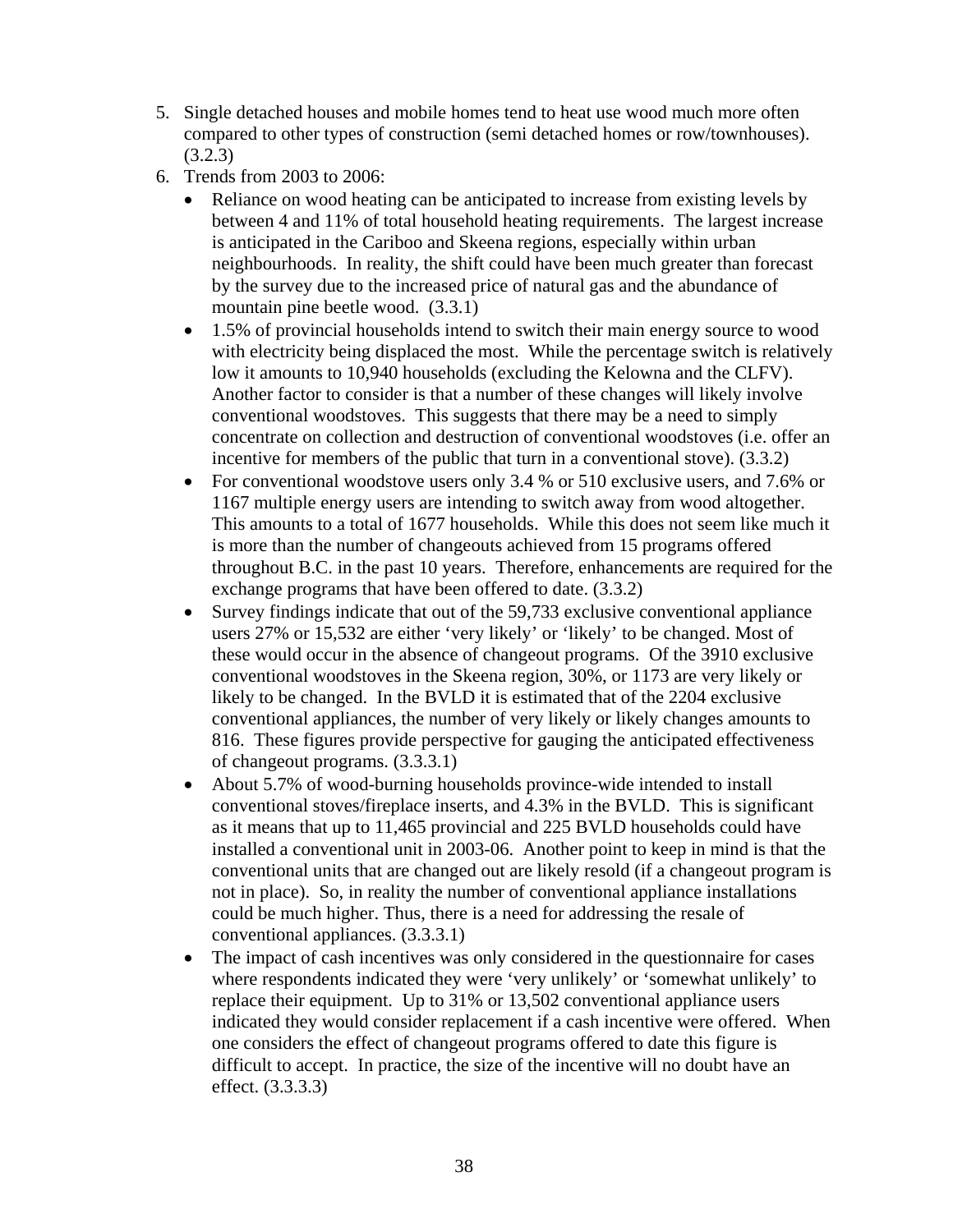- 5. Single detached houses and mobile homes tend to heat use wood much more often compared to other types of construction (semi detached homes or row/townhouses). (3.2.3)
- 6. Trends from 2003 to 2006:
	- Reliance on wood heating can be anticipated to increase from existing levels by between 4 and 11% of total household heating requirements. The largest increase is anticipated in the Cariboo and Skeena regions, especially within urban neighbourhoods. In reality, the shift could have been much greater than forecast by the survey due to the increased price of natural gas and the abundance of mountain pine beetle wood. (3.3.1)
	- 1.5% of provincial households intend to switch their main energy source to wood with electricity being displaced the most. While the percentage switch is relatively low it amounts to 10,940 households (excluding the Kelowna and the CLFV). Another factor to consider is that a number of these changes will likely involve conventional woodstoves. This suggests that there may be a need to simply concentrate on collection and destruction of conventional woodstoves (i.e. offer an incentive for members of the public that turn in a conventional stove). (3.3.2)
	- For conventional woodstove users only 3.4 % or 510 exclusive users, and 7.6% or 1167 multiple energy users are intending to switch away from wood altogether. This amounts to a total of 1677 households. While this does not seem like much it is more than the number of changeouts achieved from 15 programs offered throughout B.C. in the past 10 years. Therefore, enhancements are required for the exchange programs that have been offered to date. (3.3.2)
	- Survey findings indicate that out of the 59,733 exclusive conventional appliance users 27% or 15,532 are either 'very likely' or 'likely' to be changed. Most of these would occur in the absence of changeout programs. Of the 3910 exclusive conventional woodstoves in the Skeena region, 30%, or 1173 are very likely or likely to be changed. In the BVLD it is estimated that of the 2204 exclusive conventional appliances, the number of very likely or likely changes amounts to 816. These figures provide perspective for gauging the anticipated effectiveness of changeout programs. (3.3.3.1)
	- About 5.7% of wood-burning households province-wide intended to install conventional stoves/fireplace inserts, and 4.3% in the BVLD. This is significant as it means that up to 11,465 provincial and 225 BVLD households could have installed a conventional unit in 2003-06. Another point to keep in mind is that the conventional units that are changed out are likely resold (if a changeout program is not in place). So, in reality the number of conventional appliance installations could be much higher. Thus, there is a need for addressing the resale of conventional appliances. (3.3.3.1)
	- The impact of cash incentives was only considered in the questionnaire for cases where respondents indicated they were 'very unlikely' or 'somewhat unlikely' to replace their equipment. Up to 31% or 13,502 conventional appliance users indicated they would consider replacement if a cash incentive were offered. When one considers the effect of changeout programs offered to date this figure is difficult to accept. In practice, the size of the incentive will no doubt have an effect. (3.3.3.3)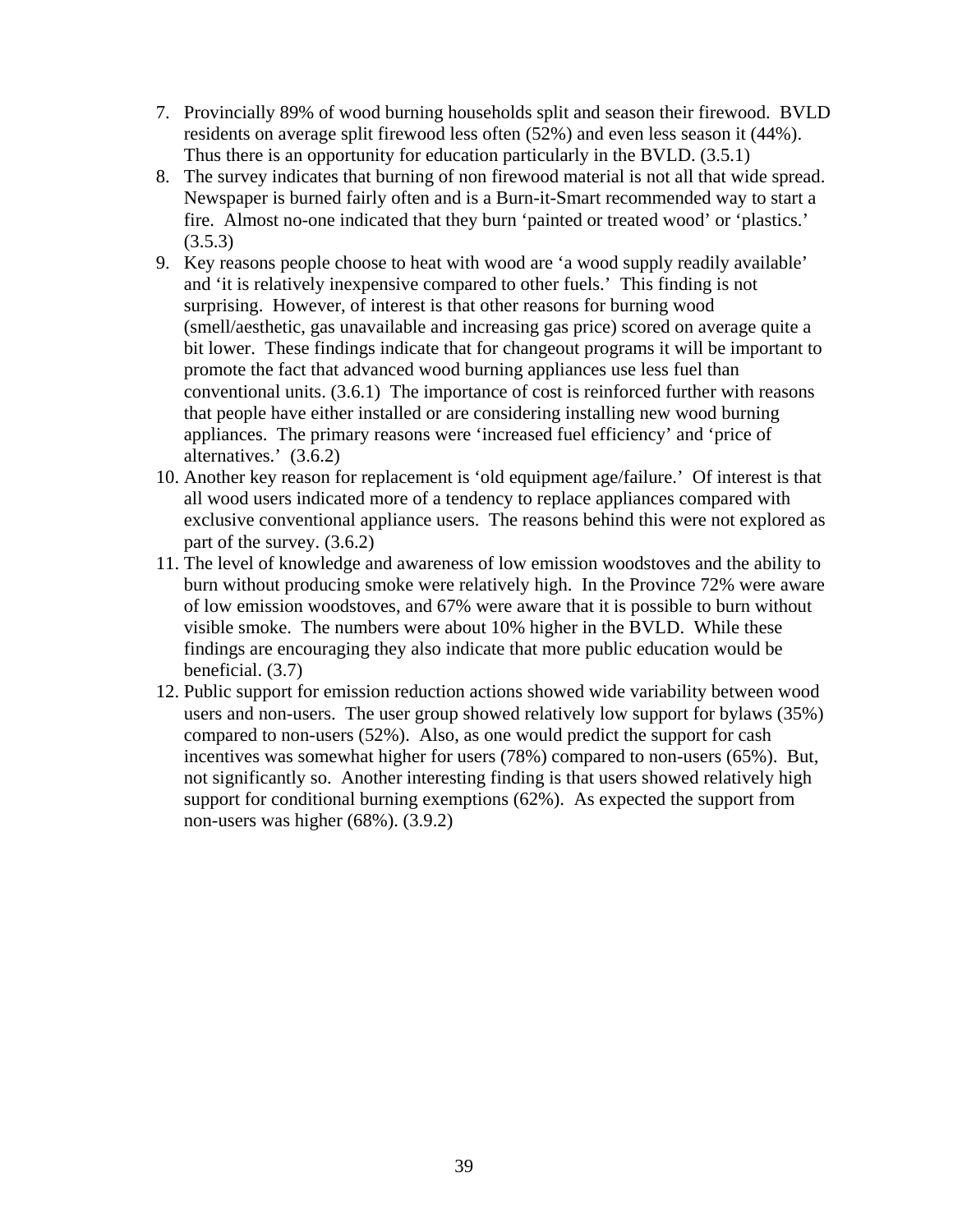- 7. Provincially 89% of wood burning households split and season their firewood. BVLD residents on average split firewood less often (52%) and even less season it (44%). Thus there is an opportunity for education particularly in the BVLD. (3.5.1)
- 8. The survey indicates that burning of non firewood material is not all that wide spread. Newspaper is burned fairly often and is a Burn-it-Smart recommended way to start a fire. Almost no-one indicated that they burn 'painted or treated wood' or 'plastics.'  $(3.5.3)$
- 9. Key reasons people choose to heat with wood are 'a wood supply readily available' and 'it is relatively inexpensive compared to other fuels.' This finding is not surprising. However, of interest is that other reasons for burning wood (smell/aesthetic, gas unavailable and increasing gas price) scored on average quite a bit lower. These findings indicate that for changeout programs it will be important to promote the fact that advanced wood burning appliances use less fuel than conventional units. (3.6.1) The importance of cost is reinforced further with reasons that people have either installed or are considering installing new wood burning appliances. The primary reasons were 'increased fuel efficiency' and 'price of alternatives.' (3.6.2)
- 10. Another key reason for replacement is 'old equipment age/failure.' Of interest is that all wood users indicated more of a tendency to replace appliances compared with exclusive conventional appliance users. The reasons behind this were not explored as part of the survey. (3.6.2)
- 11. The level of knowledge and awareness of low emission woodstoves and the ability to burn without producing smoke were relatively high. In the Province 72% were aware of low emission woodstoves, and 67% were aware that it is possible to burn without visible smoke. The numbers were about 10% higher in the BVLD. While these findings are encouraging they also indicate that more public education would be beneficial. (3.7)
- 12. Public support for emission reduction actions showed wide variability between wood users and non-users. The user group showed relatively low support for bylaws (35%) compared to non-users (52%). Also, as one would predict the support for cash incentives was somewhat higher for users (78%) compared to non-users (65%). But, not significantly so. Another interesting finding is that users showed relatively high support for conditional burning exemptions (62%). As expected the support from non-users was higher (68%). (3.9.2)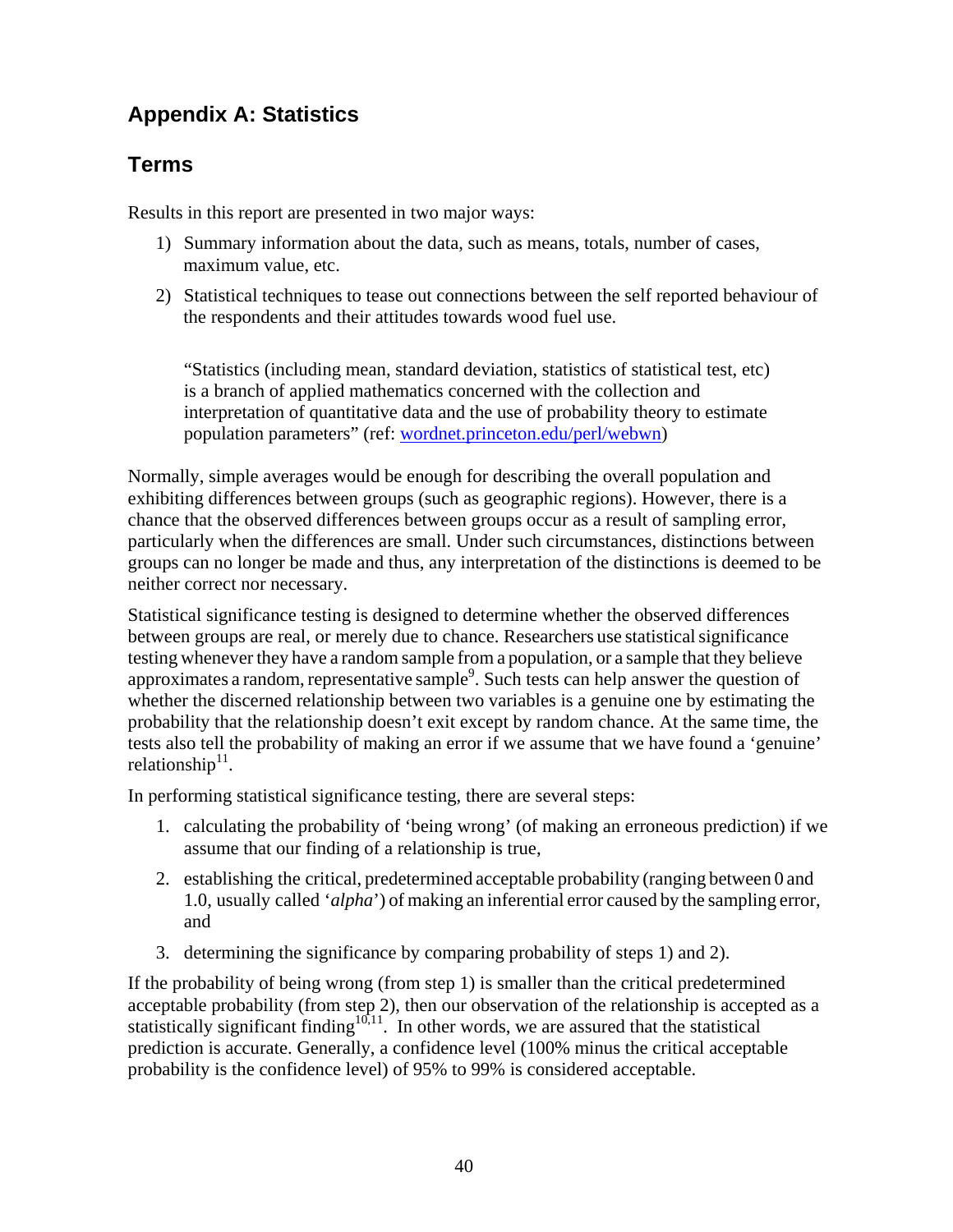# **Appendix A: Statistics**

### **Terms**

Results in this report are presented in two major ways:

- 1) Summary information about the data, such as means, totals, number of cases, maximum value, etc.
- 2) Statistical techniques to tease out connections between the self reported behaviour of the respondents and their attitudes towards wood fuel use.

"Statistics (including mean, standard deviation, statistics of statistical test, etc) is a branch of applied mathematics concerned with the collection and interpretation of quantitative data and the use of probability theory to estimate population parameters" (ref: wordnet.princeton.edu/perl/webwn)

Normally, simple averages would be enough for describing the overall population and exhibiting differences between groups (such as geographic regions). However, there is a chance that the observed differences between groups occur as a result of sampling error, particularly when the differences are small. Under such circumstances, distinctions between groups can no longer be made and thus, any interpretation of the distinctions is deemed to be neither correct nor necessary.

Statistical significance testing is designed to determine whether the observed differences between groups are real, or merely due to chance. Researchers use statistical significance testing whenever they have a random sample from a population, or a sample that they believe approximates a random, representative sample $\degree$ . Such tests can help answer the question of whether the discerned relationship between two variables is a genuine one by estimating the probability that the relationship doesn't exit except by random chance. At the same time, the tests also tell the probability of making an error if we assume that we have found a 'genuine' relationship $11$ .

In performing statistical significance testing, there are several steps:

- 1. calculating the probability of 'being wrong' (of making an erroneous prediction) if we assume that our finding of a relationship is true,
- 2. establishing the critical, predetermined acceptable probability (ranging between 0 and 1.0, usually called '*alpha*') of making an inferential error caused by the sampling error, and
- 3. determining the significance by comparing probability of steps 1) and 2).

If the probability of being wrong (from step 1) is smaller than the critical predetermined acceptable probability (from step 2), then our observation of the relationship is accepted as a statistically significant finding<sup>10,11</sup>. In other words, we are assured that the statistical prediction is accurate. Generally, a confidence level (100% minus the critical acceptable probability is the confidence level) of 95% to 99% is considered acceptable.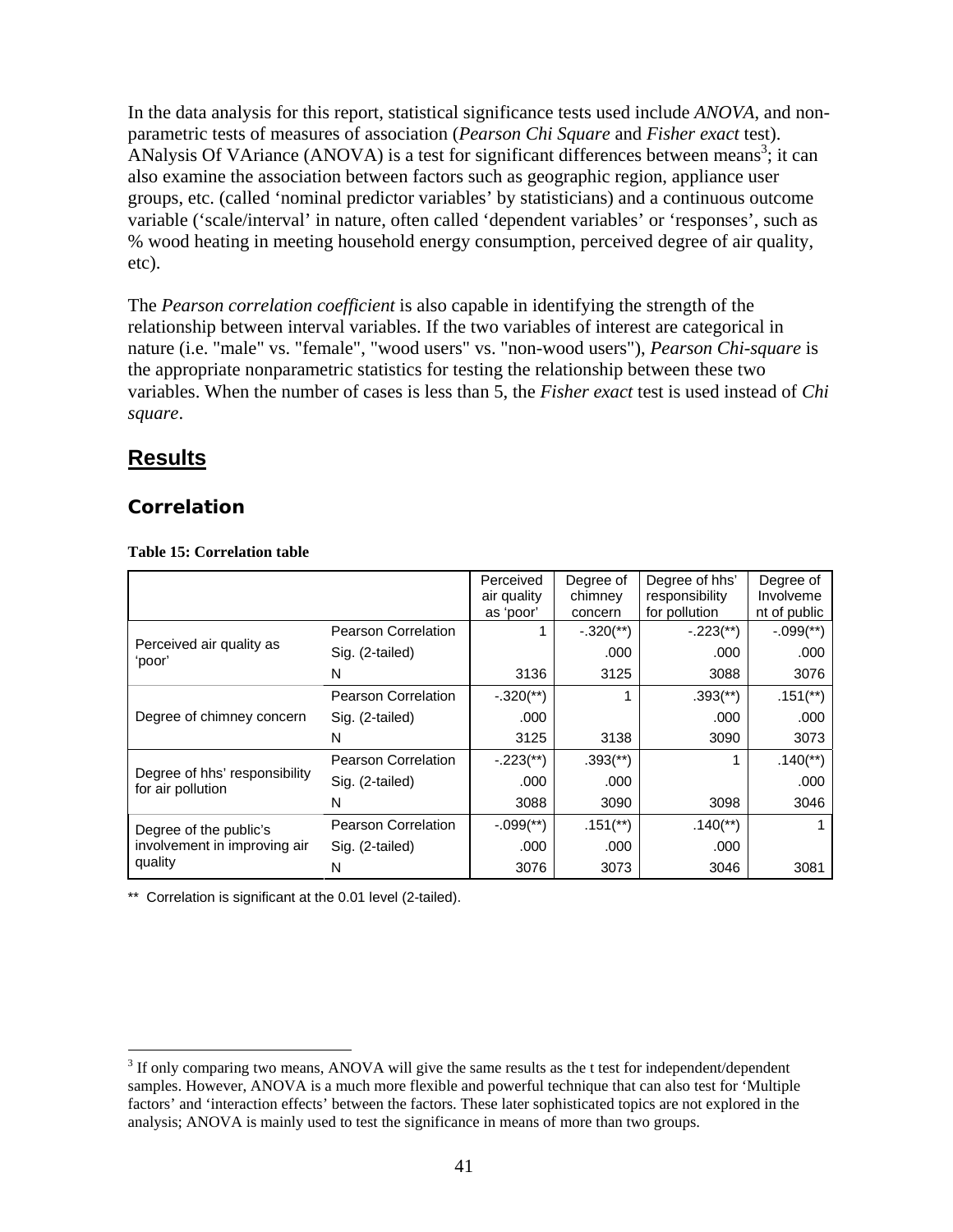In the data analysis for this report, statistical significance tests used include *ANOVA*, and nonparametric tests of measures of association (*Pearson Chi Square* and *Fisher exact* test). ANalysis Of VAriance (ANOVA) is a test for significant differences between means<sup>3</sup>; it can also examine the association between factors such as geographic region, appliance user groups, etc. (called 'nominal predictor variables' by statisticians) and a continuous outcome variable ('scale/interval' in nature, often called 'dependent variables' or 'responses', such as % wood heating in meeting household energy consumption, perceived degree of air quality, etc).

The *Pearson correlation coefficient* is also capable in identifying the strength of the relationship between interval variables. If the two variables of interest are categorical in nature (i.e. "male" vs. "female", "wood users" vs. "non-wood users"), *Pearson Chi-square* is the appropriate nonparametric statistics for testing the relationship between these two variables. When the number of cases is less than 5, the *Fisher exact* test is used instead of *Chi square*.

### **Results**

 $\overline{a}$ 

### **Correlation**

|                                                                   |                            | Perceived                 | Degree of                | Degree of hhs'           | Degree of                 |
|-------------------------------------------------------------------|----------------------------|---------------------------|--------------------------|--------------------------|---------------------------|
|                                                                   |                            | air quality               | chimney                  | responsibility           | Involveme                 |
|                                                                   |                            | as 'poor'                 | concern                  | for pollution            | nt of public              |
| Perceived air quality as<br>'poor'                                | <b>Pearson Correlation</b> |                           | $-.320$ (**)             | $-.223$ <sup>(**)</sup>  | $-.099$ <sup>(**)</sup> ) |
|                                                                   | Sig. (2-tailed)            |                           | .000                     | .000                     | .000                      |
|                                                                   | N                          | 3136                      | 3125                     | 3088                     | 3076                      |
| Degree of chimney concern                                         | <b>Pearson Correlation</b> | $-.320$ (**)              |                          | $.393$ <sup>(**)</sup> ) | $.151$ <sup>**</sup> )    |
|                                                                   | Sig. (2-tailed)            | .000                      |                          | .000                     | .000                      |
|                                                                   | N                          | 3125                      | 3138                     | 3090                     | 3073                      |
| Degree of hhs' responsibility<br>for air pollution                | <b>Pearson Correlation</b> | $-.223$ <sup>**</sup> )   | $.393$ <sup>(**)</sup> ) |                          | $.140$ (**)               |
|                                                                   | Sig. (2-tailed)            | .000                      | .000                     |                          | .000                      |
|                                                                   | N                          | 3088                      | 3090                     | 3098                     | 3046                      |
| Degree of the public's<br>involvement in improving air<br>quality | <b>Pearson Correlation</b> | $-.099$ <sup>(**)</sup> ) | $.151$ <sup>**</sup> )   | $.140$ <sup>**</sup> )   |                           |
|                                                                   | Sig. (2-tailed)            | .000                      | .000                     | .000                     |                           |
|                                                                   | N                          | 3076                      | 3073                     | 3046                     | 3081                      |

#### **Table 15: Correlation table**

\*\* Correlation is significant at the 0.01 level (2-tailed).

 $3$  If only comparing two means, ANOVA will give the same results as the t test for independent/dependent samples. However, ANOVA is a much more flexible and powerful technique that can also test for 'Multiple factors' and 'interaction effects' between the factors. These later sophisticated topics are not explored in the analysis; ANOVA is mainly used to test the significance in means of more than two groups.